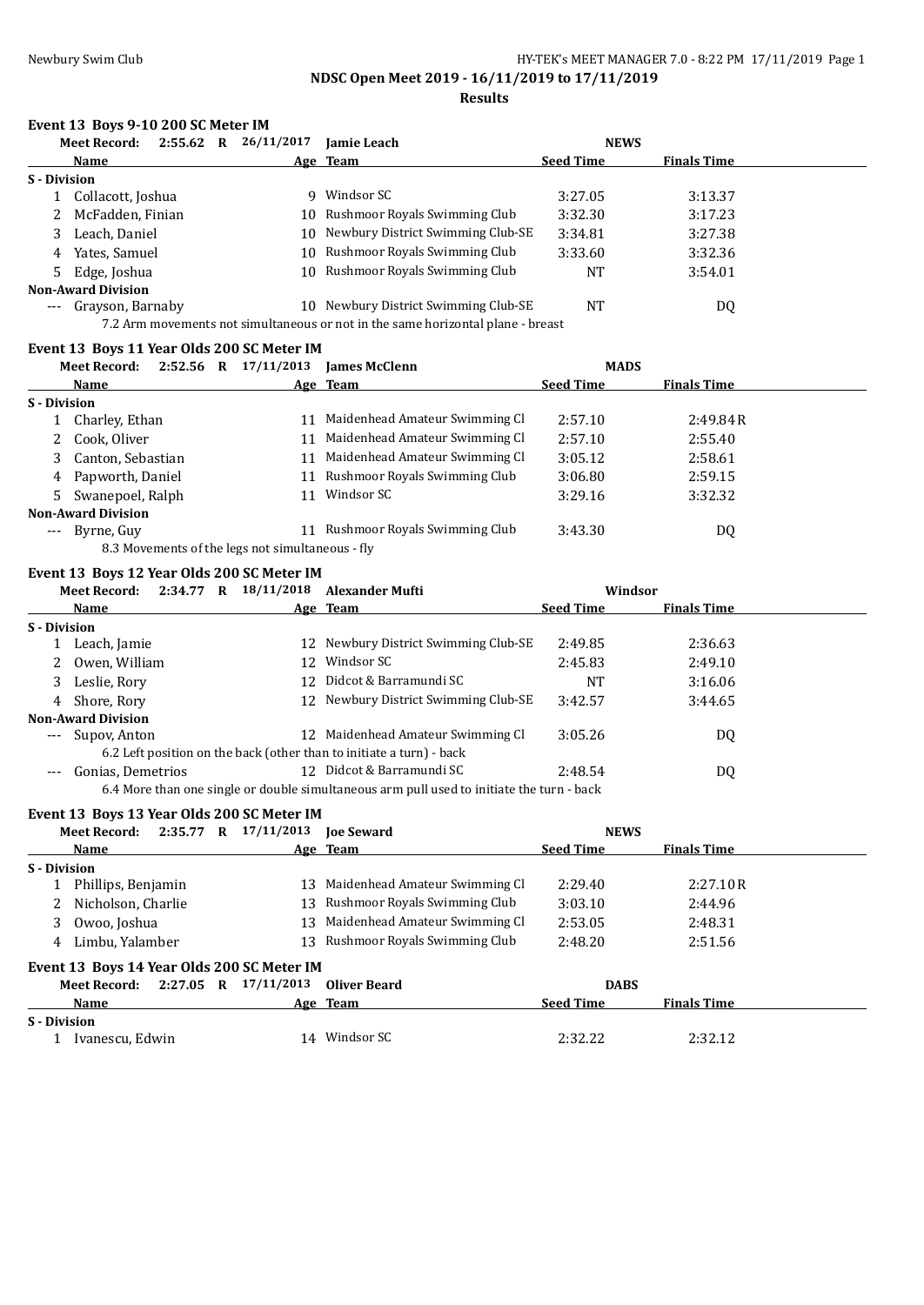# **Results**

# **Event 13 Boys 9-10 200 SC Meter IM**

|              | <b>Meet Record:</b>                                                             | $2:55.62$ R |  | 26/11/2017 | <b>Iamie Leach</b>                   | <b>NEWS</b>      |                    |  |  |
|--------------|---------------------------------------------------------------------------------|-------------|--|------------|--------------------------------------|------------------|--------------------|--|--|
|              | Name                                                                            |             |  |            | Age Team                             | <b>Seed Time</b> | <b>Finals Time</b> |  |  |
| S - Division |                                                                                 |             |  |            |                                      |                  |                    |  |  |
|              | Collacott, Joshua                                                               |             |  | Q.         | Windsor SC                           | 3:27.05          | 3:13.37            |  |  |
| 2            | McFadden, Finian                                                                |             |  |            | 10 Rushmoor Royals Swimming Club     | 3:32.30          | 3:17.23            |  |  |
|              | Leach, Daniel                                                                   |             |  |            | 10 Newbury District Swimming Club-SE | 3:34.81          | 3:27.38            |  |  |
| 4            | Yates, Samuel                                                                   |             |  |            | 10 Rushmoor Royals Swimming Club     | 3:33.60          | 3:32.36            |  |  |
| 5            | Edge, Joshua                                                                    |             |  |            | 10 Rushmoor Royals Swimming Club     | <b>NT</b>        | 3:54.01            |  |  |
|              | <b>Non-Award Division</b>                                                       |             |  |            |                                      |                  |                    |  |  |
| ---          | Grayson, Barnaby                                                                |             |  |            | 10 Newbury District Swimming Club-SE | <b>NT</b>        | DQ                 |  |  |
|              | 7.2 Arm movements not simultaneous or not in the same horizontal plane - breast |             |  |            |                                      |                  |                    |  |  |

### **Event 13 Boys 11 Year Olds 200 SC Meter IM**

|                     | <b>Meet Record:</b>                              | $2:52.56$ R |  | 17/11/2013 | <b>James McClenn</b>           | <b>MADS</b>      |                    |  |  |
|---------------------|--------------------------------------------------|-------------|--|------------|--------------------------------|------------------|--------------------|--|--|
|                     | Name                                             |             |  |            | Age Team                       | <b>Seed Time</b> | <b>Finals Time</b> |  |  |
| S - Division        |                                                  |             |  |            |                                |                  |                    |  |  |
|                     | Charley, Ethan                                   |             |  | 11         | Maidenhead Amateur Swimming Cl | 2:57.10          | 2:49.84R           |  |  |
| 2                   | Cook, Oliver                                     |             |  | 11         | Maidenhead Amateur Swimming Cl | 2:57.10          | 2:55.40            |  |  |
|                     | Canton, Sebastian                                |             |  | 11         | Maidenhead Amateur Swimming Cl | 3:05.12          | 2:58.61            |  |  |
|                     | 4 Papworth, Daniel                               |             |  | 11         | Rushmoor Royals Swimming Club  | 3:06.80          | 2:59.15            |  |  |
|                     | Swanepoel, Ralph                                 |             |  | 11         | Windsor SC                     | 3:29.16          | 3:32.32            |  |  |
|                     | <b>Non-Award Division</b>                        |             |  |            |                                |                  |                    |  |  |
| $\qquad \qquad - -$ | Byrne, Guy                                       |             |  | 11         | Rushmoor Royals Swimming Club  | 3:43.30          | DQ                 |  |  |
|                     | 8.3 Movements of the legs not simultaneous - fly |             |  |            |                                |                  |                    |  |  |

### **Event 13 Boys 12 Year Olds 200 SC Meter IM**

|                     | <b>Meet Record:</b>       | 2:34.77 R |     | 18/11/2018 Alexander Mufti                                           | Windsor          |                    |  |
|---------------------|---------------------------|-----------|-----|----------------------------------------------------------------------|------------------|--------------------|--|
|                     | <b>Name</b>               |           |     | Age Team                                                             | <b>Seed Time</b> | <b>Finals Time</b> |  |
| <b>S</b> - Division |                           |           |     |                                                                      |                  |                    |  |
|                     | Leach, Jamie              |           |     | 12 Newbury District Swimming Club-SE                                 | 2:49.85          | 2:36.63            |  |
|                     | Owen, William             |           |     | 12 Windsor SC                                                        | 2:45.83          | 2:49.10            |  |
| 3                   | Leslie, Rory              |           |     | 12 Didcot & Barramundi SC                                            | NT               | 3:16.06            |  |
| 4                   | Shore, Rory               |           |     | 12 Newbury District Swimming Club-SE                                 | 3:42.57          | 3:44.65            |  |
|                     | <b>Non-Award Division</b> |           |     |                                                                      |                  |                    |  |
| $\qquad \qquad - -$ | Supov, Anton              |           |     | 12 Maidenhead Amateur Swimming Cl                                    | 3:05.26          | DQ                 |  |
|                     |                           |           |     | 6.2 Left position on the back (other than to initiate a turn) - back |                  |                    |  |
|                     | Gonias, Demetrios         |           | 12. | Didcot & Barramundi SC                                               | 2:48.54          | DQ                 |  |
|                     |                           |           |     |                                                                      |                  |                    |  |

6.4 More than one single or double simultaneous arm pull used to initiate the turn - back

### **Event 13 Boys 13 Year Olds 200 SC Meter IM**

| Meet Record:                               | $2:35.77$ R $17/11/2013$ | <b>Ioe Seward</b>                | <b>NEWS</b>      |                    |
|--------------------------------------------|--------------------------|----------------------------------|------------------|--------------------|
| Name                                       |                          | Age Team                         | <b>Seed Time</b> | <b>Finals Time</b> |
| S - Division                               |                          |                                  |                  |                    |
| Phillips, Benjamin                         | 13.                      | Maidenhead Amateur Swimming Cl   | 2:29.40          | 2:27.10R           |
| 2 Nicholson, Charlie                       |                          | 13 Rushmoor Royals Swimming Club | 3:03.10          | 2:44.96            |
| Owoo, Joshua<br>3                          | 13                       | Maidenhead Amateur Swimming Cl   | 2:53.05          | 2:48.31            |
| Limbu, Yalamber<br>4                       | 13.                      | Rushmoor Royals Swimming Club    | 2:48.20          | 2:51.56            |
| Event 13 Boys 14 Year Olds 200 SC Meter IM |                          |                                  |                  |                    |
| 2:27.05 R<br>Meet Record:                  | 17/11/2013               | Oliver Beard                     | <b>DABS</b>      |                    |
| Name                                       |                          | Age Team                         | <b>Seed Time</b> | <b>Finals Time</b> |
| S - Division                               |                          |                                  |                  |                    |
| Ivanescu, Edwin                            | 14                       | Windsor SC                       | 2:32.22          | 2:32.12            |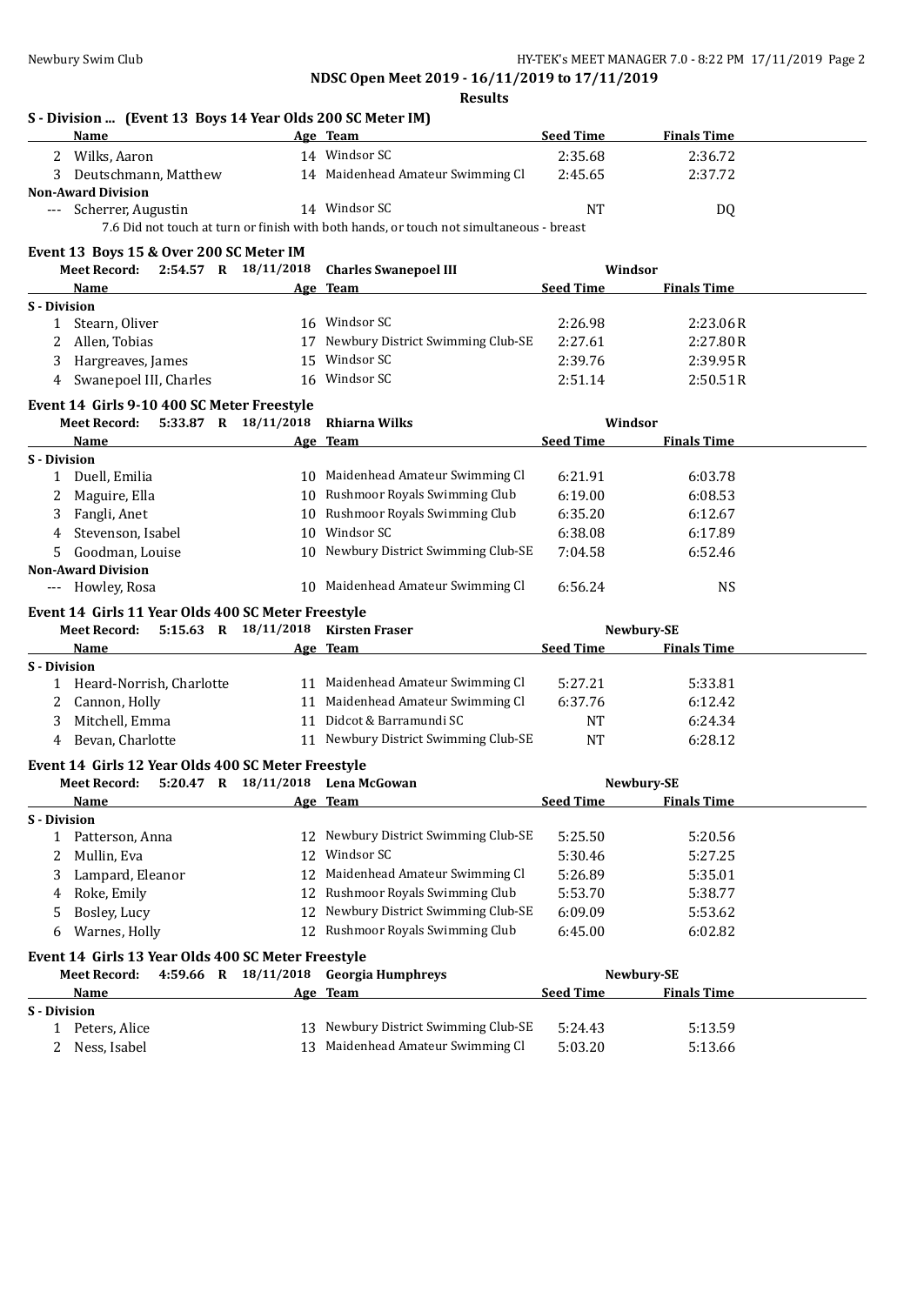**NDSC Open Meet 2019 - 16/11/2019 to 17/11/2019 Results**

| S - Division  (Event 13 Boys 14 Year Olds 200 SC Meter IM) |     |                                                                                         |                  |                    |
|------------------------------------------------------------|-----|-----------------------------------------------------------------------------------------|------------------|--------------------|
| Name                                                       |     | Age Team                                                                                | <b>Seed Time</b> | <b>Finals Time</b> |
| Wilks, Aaron<br>2                                          |     | 14 Windsor SC                                                                           | 2:35.68          | 2:36.72            |
| Deutschmann, Matthew<br>3                                  |     | 14 Maidenhead Amateur Swimming Cl                                                       | 2:45.65          | 2:37.72            |
| <b>Non-Award Division</b>                                  |     | 14 Windsor SC                                                                           | NT               |                    |
| --- Scherrer, Augustin                                     |     | 7.6 Did not touch at turn or finish with both hands, or touch not simultaneous - breast |                  | DQ                 |
|                                                            |     |                                                                                         |                  |                    |
| Event 13 Boys 15 & Over 200 SC Meter IM                    |     |                                                                                         |                  |                    |
| Meet Record: 2:54.57 R 18/11/2018                          |     | <b>Charles Swanepoel III</b>                                                            | Windsor          |                    |
| Name                                                       |     | <u>Age Team</u>                                                                         | <b>Seed Time</b> | <b>Finals Time</b> |
| <b>S</b> - Division                                        |     | 16 Windsor SC                                                                           |                  |                    |
| 1 Stearn, Oliver                                           |     |                                                                                         | 2:26.98          | 2:23.06R           |
| 2 Allen, Tobias                                            |     | 17 Newbury District Swimming Club-SE                                                    | 2:27.61          | 2:27.80R           |
| Hargreaves, James<br>3                                     | 15  | Windsor SC                                                                              | 2:39.76          | 2:39.95R           |
| 4 Swanepoel III, Charles                                   | 16  | Windsor SC                                                                              | 2:51.14          | 2:50.51R           |
| Event 14 Girls 9-10 400 SC Meter Freestyle                 |     |                                                                                         |                  |                    |
| 5:33.87 R 18/11/2018<br>Meet Record:                       |     | <b>Rhiarna Wilks</b>                                                                    | Windsor          |                    |
| Name                                                       | Age | <b>Team</b>                                                                             | <b>Seed Time</b> | <b>Finals Time</b> |
| S - Division                                               |     |                                                                                         |                  |                    |
| 1 Duell, Emilia                                            |     | 10 Maidenhead Amateur Swimming Cl                                                       | 6:21.91          | 6:03.78            |
| Maguire, Ella<br>2                                         |     | 10 Rushmoor Royals Swimming Club                                                        | 6:19.00          | 6:08.53            |
| 3<br>Fangli, Anet                                          |     | 10 Rushmoor Royals Swimming Club                                                        | 6:35.20          | 6:12.67            |
| Stevenson, Isabel<br>4                                     |     | 10 Windsor SC                                                                           | 6:38.08          | 6:17.89            |
| Goodman, Louise<br>5.                                      |     | 10 Newbury District Swimming Club-SE                                                    | 7:04.58          | 6:52.46            |
| <b>Non-Award Division</b>                                  |     |                                                                                         |                  |                    |
| --- Howley, Rosa                                           |     | 10 Maidenhead Amateur Swimming Cl                                                       | 6:56.24          | <b>NS</b>          |
| Event 14 Girls 11 Year Olds 400 SC Meter Freestyle         |     |                                                                                         |                  |                    |
| <b>Meet Record:</b>                                        |     | 5:15.63 R 18/11/2018 Kirsten Fraser                                                     |                  | Newbury-SE         |
| <b>Name</b>                                                |     | Age Team                                                                                | <b>Seed Time</b> | <b>Finals Time</b> |
| S - Division                                               |     |                                                                                         |                  |                    |
| 1 Heard-Norrish, Charlotte                                 |     | 11 Maidenhead Amateur Swimming Cl                                                       | 5:27.21          | 5:33.81            |
| 2 Cannon, Holly                                            |     | 11 Maidenhead Amateur Swimming Cl                                                       | 6:37.76          | 6:12.42            |
| Mitchell, Emma<br>3                                        |     | 11 Didcot & Barramundi SC                                                               | <b>NT</b>        | 6:24.34            |
| Bevan, Charlotte<br>4                                      |     | 11 Newbury District Swimming Club-SE                                                    | <b>NT</b>        | 6:28.12            |
| Event 14 Girls 12 Year Olds 400 SC Meter Freestyle         |     |                                                                                         |                  |                    |
| Meet Record: 5:20.47 R 18/11/2018 Lena McGowan             |     |                                                                                         |                  | Newbury-SE         |
| Name                                                       |     | Age Team                                                                                | Seed Time        | <b>Finals Time</b> |
| <b>S</b> - Division                                        |     |                                                                                         |                  |                    |
| 1 Patterson, Anna                                          |     | 12 Newbury District Swimming Club-SE                                                    | 5:25.50          | 5:20.56            |
| Mullin, Eva<br>2                                           |     | 12 Windsor SC                                                                           | 5:30.46          | 5:27.25            |
| Lampard, Eleanor<br>3                                      |     | 12 Maidenhead Amateur Swimming Cl                                                       | 5:26.89          | 5:35.01            |
| Roke, Emily<br>4                                           |     | 12 Rushmoor Royals Swimming Club                                                        | 5:53.70          | 5:38.77            |
| Bosley, Lucy<br>5                                          |     | 12 Newbury District Swimming Club-SE                                                    | 6:09.09          | 5:53.62            |
| Warnes, Holly<br>6                                         |     | 12 Rushmoor Royals Swimming Club                                                        | 6:45.00          | 6:02.82            |
|                                                            |     |                                                                                         |                  |                    |
| Event 14 Girls 13 Year Olds 400 SC Meter Freestyle         |     |                                                                                         |                  |                    |
| 4:59.66 R 18/11/2018<br><b>Meet Record:</b>                |     | <b>Georgia Humphreys</b>                                                                |                  | Newbury-SE         |
| Name                                                       |     | Age Team                                                                                | <b>Seed Time</b> | <b>Finals Time</b> |
| S - Division                                               |     | Newbury District Swimming Club-SE                                                       |                  |                    |
| 1 Peters, Alice                                            | 13  |                                                                                         | 5:24.43          | 5:13.59            |
| 2 Ness, Isabel                                             |     | 13 Maidenhead Amateur Swimming Cl                                                       | 5:03.20          | 5:13.66            |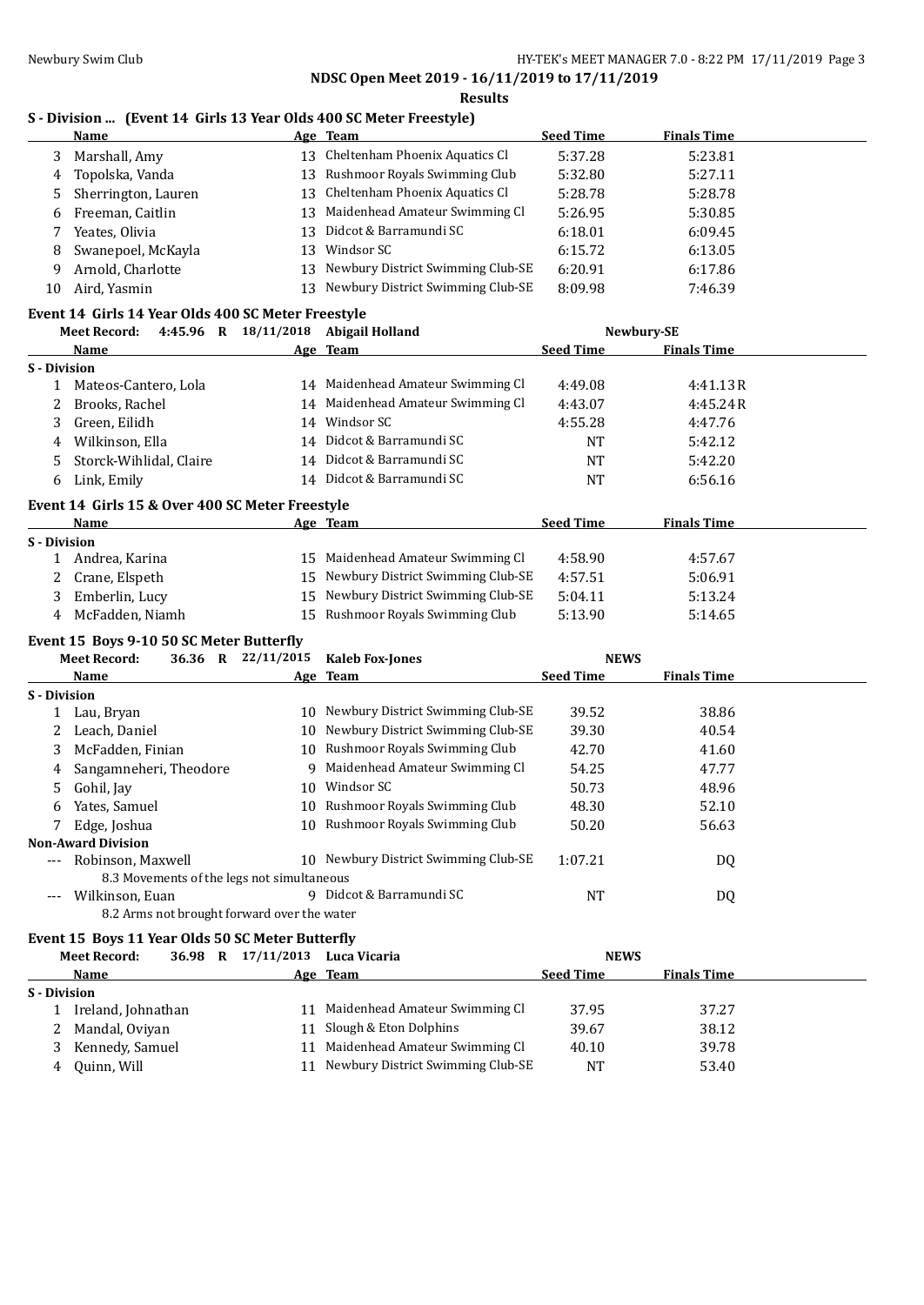**NDSC Open Meet 2019 - 16/11/2019 to 17/11/2019 Results**

### **S - Division ... (Event 14 Girls 13 Year Olds 400 SC Meter Freestyle)**

|    | Name                  |     | Age Team                          | <b>Seed Time</b> | <b>Finals Time</b> |  |
|----|-----------------------|-----|-----------------------------------|------------------|--------------------|--|
| 3. | Marshall, Amy         | 13  | Cheltenham Phoenix Aquatics Cl    | 5:37.28          | 5:23.81            |  |
|    | 4 Topolska, Vanda     | 13. | Rushmoor Royals Swimming Club     | 5:32.80          | 5:27.11            |  |
|    | 5 Sherrington, Lauren | 13  | Cheltenham Phoenix Aquatics Cl    | 5:28.78          | 5:28.78            |  |
| 6  | Freeman, Caitlin      | 13. | Maidenhead Amateur Swimming Cl    | 5:26.95          | 5:30.85            |  |
|    | Yeates, Olivia        | 13. | Didcot & Barramundi SC            | 6:18.01          | 6:09.45            |  |
| 8  | Swanepoel, McKayla    | 13. | Windsor SC                        | 6:15.72          | 6:13.05            |  |
| 9  | Arnold, Charlotte     | 13  | Newbury District Swimming Club-SE | 6:20.91          | 6:17.86            |  |
| 10 | Aird, Yasmin          | 13. | Newbury District Swimming Club-SE | 8:09.98          | 7:46.39            |  |

# **Event 14 Girls 14 Year Olds 400 SC Meter Freestyle**

| Meet Record:                                    | 4:45.96 R 18/11/2018 | Abigail Holland                   |                  | Newbury-SE         |  |  |  |  |
|-------------------------------------------------|----------------------|-----------------------------------|------------------|--------------------|--|--|--|--|
| Name                                            |                      | Age Team                          | <b>Seed Time</b> | <b>Finals Time</b> |  |  |  |  |
| S - Division                                    |                      |                                   |                  |                    |  |  |  |  |
| Mateos-Cantero, Lola                            |                      | 14 Maidenhead Amateur Swimming Cl | 4:49.08          | 4:41.13R           |  |  |  |  |
| Brooks, Rachel                                  |                      | 14 Maidenhead Amateur Swimming Cl | 4:43.07          | 4:45.24R           |  |  |  |  |
| Green, Eilidh                                   |                      | 14 Windsor SC                     | 4:55.28          | 4:47.76            |  |  |  |  |
| Wilkinson, Ella<br>4                            |                      | 14 Didcot & Barramundi SC         | <b>NT</b>        | 5:42.12            |  |  |  |  |
| Storck-Wihlidal, Claire                         |                      | 14 Didcot & Barramundi SC         | NT               | 5:42.20            |  |  |  |  |
| Link, Emily<br>6.                               |                      | 14 Didcot & Barramundi SC         | NT               | 6:56.16            |  |  |  |  |
| Event 14 Girls 15 & Over 400 SC Meter Freestyle |                      |                                   |                  |                    |  |  |  |  |

### **Name Age Team Seed Time Finals Time S - Division** 15 Maidenhead Amateur Swimming Cl 4:58.90 4:57.67 2 Crane, Elspeth 15 Newbury District Swimming Club-SE 4:57.51 5:06.91 3 Emberlin, Lucy 15 Newbury District Swimming Club-SE 5:04.11 5:13.24 4 McFadden, Niamh 15 Rushmoor Royals Swimming Club 5:13.90 5:14.65

### **Event 15 Boys 9-10 50 SC Meter Butterfly**

|                     | <b>Meet Record:</b><br>36.36 R                           | 22/11/2015 | <b>Kaleb Fox-Jones</b>            | <b>NEWS</b>      |                    |  |
|---------------------|----------------------------------------------------------|------------|-----------------------------------|------------------|--------------------|--|
|                     | <b>Name</b>                                              |            | Age Team                          | <b>Seed Time</b> | <b>Finals Time</b> |  |
| <b>S</b> - Division |                                                          |            |                                   |                  |                    |  |
|                     | Lau, Bryan                                               | 10         | Newbury District Swimming Club-SE | 39.52            | 38.86              |  |
|                     | Leach, Daniel                                            | 10         | Newbury District Swimming Club-SE | 39.30            | 40.54              |  |
| 3                   | McFadden, Finian                                         | 10         | Rushmoor Royals Swimming Club     | 42.70            | 41.60              |  |
| 4                   | Sangamneheri, Theodore                                   | q          | Maidenhead Amateur Swimming Cl    | 54.25            | 47.77              |  |
| 5                   | Gohil, Jay                                               | 10         | Windsor SC                        | 50.73            | 48.96              |  |
| 6                   | Yates, Samuel                                            | 10.        | Rushmoor Royals Swimming Club     | 48.30            | 52.10              |  |
|                     | Edge, Joshua                                             | 10         | Rushmoor Royals Swimming Club     | 50.20            | 56.63              |  |
|                     | <b>Non-Award Division</b>                                |            |                                   |                  |                    |  |
| $\qquad \qquad - -$ | Robinson, Maxwell                                        | 10.        | Newbury District Swimming Club-SE | 1:07.21          | DQ                 |  |
|                     | 8.3 Movements of the legs not simultaneous               |            |                                   |                  |                    |  |
| $---$               | Wilkinson, Euan                                          | 9          | Didcot & Barramundi SC            | NT               | DQ                 |  |
|                     | 8.2 Arms not brought forward over the water              |            |                                   |                  |                    |  |
|                     | <b>Evant 15. Dove 11 Voor Olde 50 CC Motor Duttorfly</b> |            |                                   |                  |                    |  |

### **Event 15 Boys 11 Year Olds 50 SC Meter Butterfly**

|              | <b>Meet Record:</b> | 36.98 R | 17/11/2013 | Luca Vicaria                      | <b>NEWS</b>      |                    |  |
|--------------|---------------------|---------|------------|-----------------------------------|------------------|--------------------|--|
|              | Name                |         |            | Age Team                          | <b>Seed Time</b> | <b>Finals Time</b> |  |
| S - Division |                     |         |            |                                   |                  |                    |  |
|              | Ireland, Johnathan  |         | 11         | Maidenhead Amateur Swimming Cl    | 37.95            | 37.27              |  |
|              | Mandal, Oviyan      |         |            | 11 Slough & Eton Dolphins         | 39.67            | 38.12              |  |
| 3.           | Kennedy, Samuel     |         | 11         | Maidenhead Amateur Swimming Cl    | 40.10            | 39.78              |  |
| 4            | Quinn, Will         |         | 11         | Newbury District Swimming Club-SE | NT               | 53.40              |  |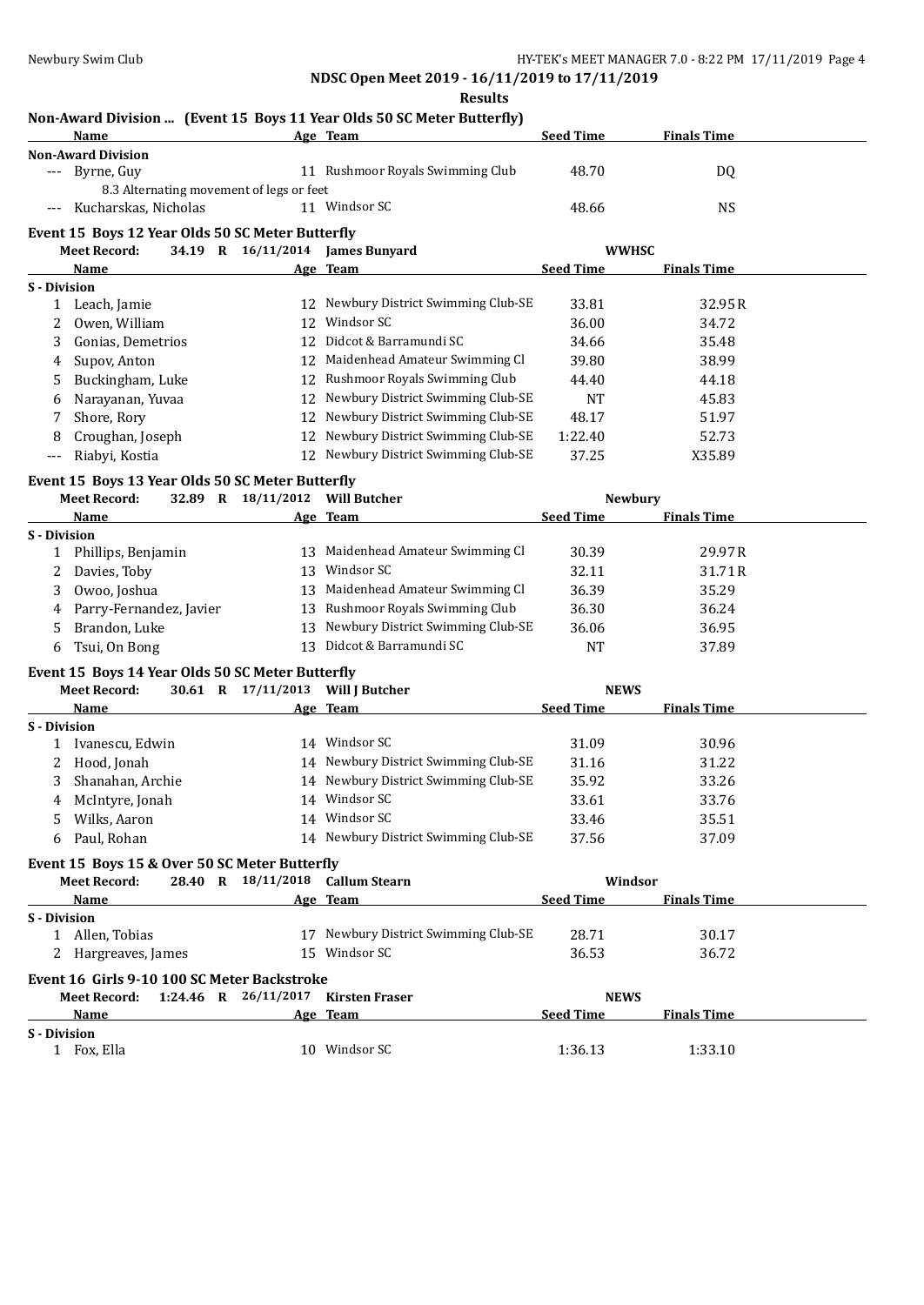**Results**

### **Non-Award Division ... (Event 15 Boys 11 Year Olds 50 SC Meter Butterfly) Age** Team **Seed Time Finals Time**

|                     | <b>Non-Award Division</b>                        |                                   |                                       |                  |                    |  |
|---------------------|--------------------------------------------------|-----------------------------------|---------------------------------------|------------------|--------------------|--|
|                     | Byrne, Guy                                       |                                   | 11 Rushmoor Royals Swimming Club      | 48.70            | DQ                 |  |
|                     | 8.3 Alternating movement of legs or feet         |                                   |                                       |                  |                    |  |
|                     | Kucharskas, Nicholas                             |                                   | 11 Windsor SC                         | 48.66            | <b>NS</b>          |  |
|                     | Event 15 Boys 12 Year Olds 50 SC Meter Butterfly |                                   |                                       |                  |                    |  |
|                     | <b>Meet Record:</b>                              |                                   | 34.19 R 16/11/2014 James Bunyard      |                  | <b>WWHSC</b>       |  |
|                     | Name                                             |                                   | Age Team                              | <b>Seed Time</b> | <b>Finals Time</b> |  |
|                     |                                                  |                                   |                                       |                  |                    |  |
| S - Division        | Leach, Jamie                                     |                                   | 12 Newbury District Swimming Club-SE  | 33.81            | 32.95R             |  |
| 1                   |                                                  |                                   | 12 Windsor SC                         |                  |                    |  |
| 2                   | Owen, William                                    |                                   | 12 Didcot & Barramundi SC             | 36.00            | 34.72              |  |
| 3                   | Gonias, Demetrios                                |                                   |                                       | 34.66            | 35.48              |  |
| 4                   | Supov, Anton                                     |                                   | 12 Maidenhead Amateur Swimming Cl     | 39.80            | 38.99              |  |
| 5                   | Buckingham, Luke                                 | 12                                | Rushmoor Royals Swimming Club         | 44.40            | 44.18              |  |
| 6                   | Narayanan, Yuvaa                                 | 12                                | Newbury District Swimming Club-SE     | <b>NT</b>        | 45.83              |  |
|                     | Shore, Rory                                      | 12                                | Newbury District Swimming Club-SE     | 48.17            | 51.97              |  |
| 8                   | Croughan, Joseph                                 | 12                                | Newbury District Swimming Club-SE     | 1:22.40          | 52.73              |  |
| $---$               | Riabyi, Kostia                                   | 12                                | Newbury District Swimming Club-SE     | 37.25            | X35.89             |  |
|                     | Event 15 Boys 13 Year Olds 50 SC Meter Butterfly |                                   |                                       |                  |                    |  |
|                     | <b>Meet Record:</b>                              | 32.89 R 18/11/2012                | Will Butcher                          |                  | Newbury            |  |
|                     | Name                                             |                                   | Age Team                              | <b>Seed Time</b> | <b>Finals Time</b> |  |
| S - Division        |                                                  |                                   |                                       |                  |                    |  |
| 1                   | Phillips, Benjamin                               |                                   | 13 Maidenhead Amateur Swimming Cl     | 30.39            | 29.97R             |  |
|                     | Davies, Toby                                     | 13                                | Windsor SC                            | 32.11            | 31.71R             |  |
| 3                   | Owoo, Joshua                                     | 13                                | Maidenhead Amateur Swimming Cl        | 36.39            | 35.29              |  |
|                     | Parry-Fernandez, Javier                          | 13                                | Rushmoor Royals Swimming Club         | 36.30            | 36.24              |  |
| 4                   |                                                  |                                   | Newbury District Swimming Club-SE     |                  |                    |  |
| 5                   | Brandon, Luke                                    | 13                                | 13 Didcot & Barramundi SC             | 36.06            | 36.95              |  |
| 6                   | Tsui, On Bong                                    |                                   |                                       | <b>NT</b>        | 37.89              |  |
|                     | Event 15 Boys 14 Year Olds 50 SC Meter Butterfly |                                   |                                       |                  |                    |  |
|                     | <b>Meet Record:</b>                              | 30.61 R 17/11/2013 Will J Butcher |                                       | <b>NEWS</b>      |                    |  |
|                     | Name                                             |                                   | Age Team                              | <b>Seed Time</b> | <b>Finals Time</b> |  |
| S - Division        |                                                  |                                   |                                       |                  |                    |  |
| 1                   | Ivanescu, Edwin                                  |                                   | 14 Windsor SC                         | 31.09            | 30.96              |  |
| 2                   | Hood, Jonah                                      |                                   | 14 Newbury District Swimming Club-SE  | 31.16            | 31.22              |  |
| 3                   | Shanahan, Archie                                 |                                   | 14 Newbury District Swimming Club-SE  | 35.92            | 33.26              |  |
| 4                   | McIntyre, Jonah                                  |                                   | 14 Windsor SC                         | 33.61            | 33.76              |  |
| 5                   | Wilks, Aaron                                     |                                   | 14 Windsor SC                         | 33.46            | 35.51              |  |
| 6                   | Paul, Rohan                                      |                                   | 14 Newbury District Swimming Club-SE  | 37.56            | 37.09              |  |
|                     |                                                  |                                   |                                       |                  |                    |  |
|                     | Event 15 Boys 15 & Over 50 SC Meter Butterfly    | 28.40 R 18/11/2018 Callum Stearn  |                                       |                  | Windsor            |  |
|                     | <b>Meet Record:</b>                              |                                   |                                       |                  |                    |  |
|                     | Name                                             |                                   | Age Team                              | <b>Seed Time</b> | <b>Finals Time</b> |  |
| <b>S</b> - Division | 1 Allen, Tobias                                  |                                   | 17 Newbury District Swimming Club-SE  | 28.71            | 30.17              |  |
|                     |                                                  |                                   | 15 Windsor SC                         |                  |                    |  |
|                     | 2 Hargreaves, James                              |                                   |                                       | 36.53            | 36.72              |  |
|                     | Event 16 Girls 9-10 100 SC Meter Backstroke      |                                   |                                       |                  |                    |  |
|                     | <b>Meet Record:</b>                              |                                   | 1:24.46 R $26/11/2017$ Kirsten Fraser | <b>NEWS</b>      |                    |  |
|                     | Name                                             |                                   | Age Team                              | <b>Seed Time</b> | <b>Finals Time</b> |  |
| <b>S</b> - Division |                                                  |                                   |                                       |                  |                    |  |
|                     | 1 Fox, Ella                                      |                                   | 10 Windsor SC                         | 1:36.13          | 1:33.10            |  |
|                     |                                                  |                                   |                                       |                  |                    |  |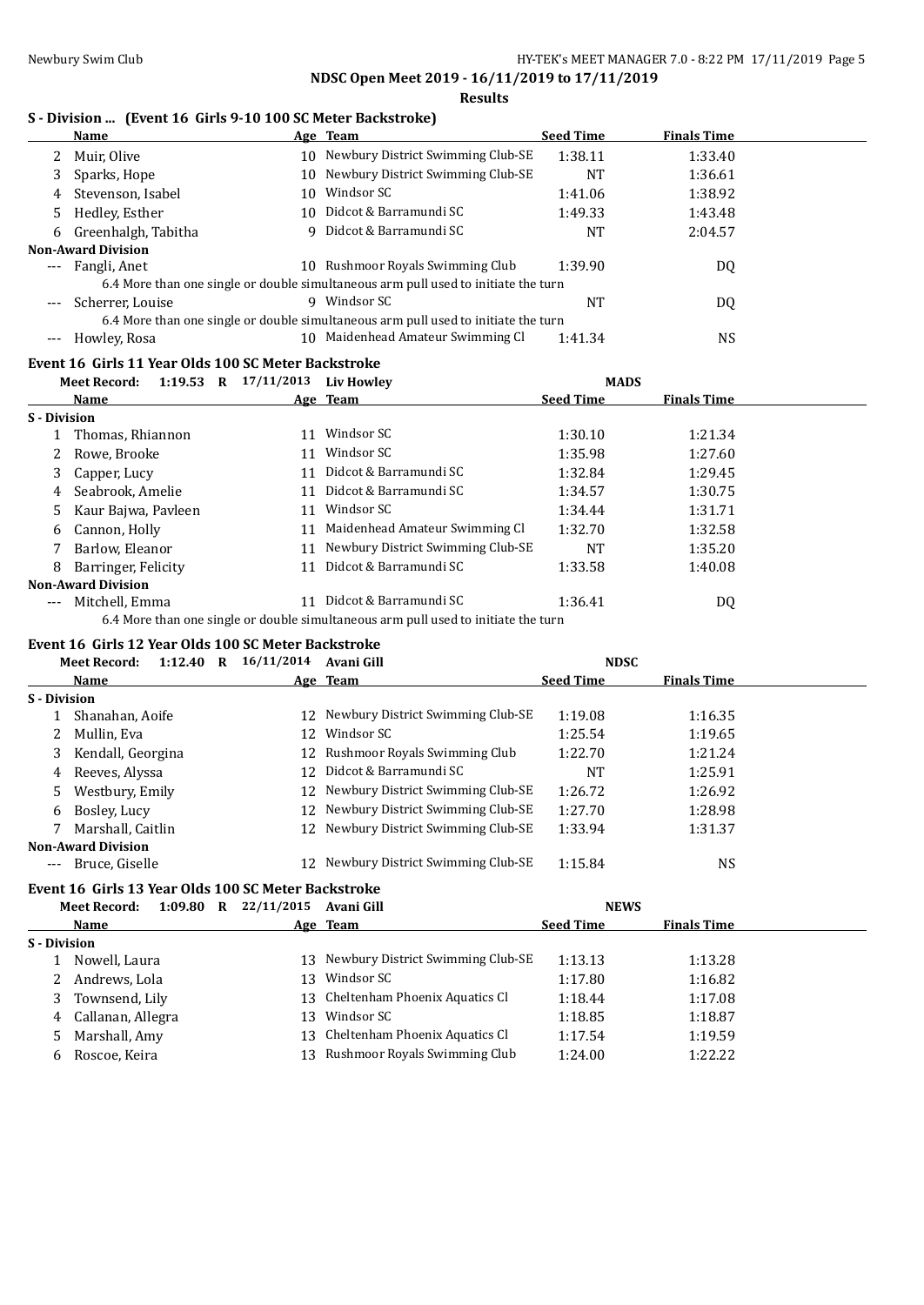### **Results**

## **S - Division ... (Event 16 Girls 9-10 100 SC Meter Backstroke)**

|                           | Name                                                                               |    | Age Team                                                                           | <b>Seed Time</b> | <b>Finals Time</b> |  |  |  |  |
|---------------------------|------------------------------------------------------------------------------------|----|------------------------------------------------------------------------------------|------------------|--------------------|--|--|--|--|
|                           | Muir, Olive                                                                        | 10 | Newbury District Swimming Club-SE                                                  | 1:38.11          | 1:33.40            |  |  |  |  |
| 3                         | Sparks, Hope                                                                       |    | 10 Newbury District Swimming Club-SE                                               | NT               | 1:36.61            |  |  |  |  |
| 4                         | Stevenson, Isabel                                                                  | 10 | Windsor SC                                                                         | 1:41.06          | 1:38.92            |  |  |  |  |
| 5.                        | Hedley, Esther                                                                     |    | 10 Didcot & Barramundi SC                                                          | 1:49.33          | 1:43.48            |  |  |  |  |
|                           | 6 Greenhalgh, Tabitha                                                              |    | 9 Didcot & Barramundi SC                                                           | <b>NT</b>        | 2:04.57            |  |  |  |  |
| <b>Non-Award Division</b> |                                                                                    |    |                                                                                    |                  |                    |  |  |  |  |
| $---$                     | Fangli, Anet                                                                       |    | 10 Rushmoor Royals Swimming Club                                                   | 1:39.90          | DQ                 |  |  |  |  |
|                           |                                                                                    |    | 6.4 More than one single or double simultaneous arm pull used to initiate the turn |                  |                    |  |  |  |  |
| ---                       | Scherrer, Louise                                                                   |    | 9 Windsor SC                                                                       | NT               | DQ                 |  |  |  |  |
|                           | 6.4 More than one single or double simultaneous arm pull used to initiate the turn |    |                                                                                    |                  |                    |  |  |  |  |
| $---$                     | Howley, Rosa                                                                       | 10 | Maidenhead Amateur Swimming Cl                                                     | 1:41.34          | NS.                |  |  |  |  |

# **Event 16 Girls 11 Year Olds 100 SC Meter Backstroke**

|              | $1:19.53$ R<br><b>Meet Record:</b> | 17/11/2013 | <b>Liv Howley</b>                                                                                                                                                                                                                     | <b>MADS</b>      |                    |  |
|--------------|------------------------------------|------------|---------------------------------------------------------------------------------------------------------------------------------------------------------------------------------------------------------------------------------------|------------------|--------------------|--|
|              | Name                               |            | Age Team                                                                                                                                                                                                                              | <b>Seed Time</b> | <b>Finals Time</b> |  |
| S - Division |                                    |            |                                                                                                                                                                                                                                       |                  |                    |  |
|              | Thomas, Rhiannon                   | 11         | Windsor SC                                                                                                                                                                                                                            | 1:30.10          | 1:21.34            |  |
|              | Rowe, Brooke                       | 11         | Windsor SC                                                                                                                                                                                                                            | 1:35.98          | 1:27.60            |  |
| 3            | Capper, Lucy                       | 11         | Didcot & Barramundi SC                                                                                                                                                                                                                | 1:32.84          | 1:29.45            |  |
| 4            | Seabrook, Amelie                   | 11         | - Didcot & Barramundi SC                                                                                                                                                                                                              | 1:34.57          | 1:30.75            |  |
| 5.           | Kaur Bajwa, Pavleen                | 11         | Windsor SC                                                                                                                                                                                                                            | 1:34.44          | 1:31.71            |  |
| 6            | Cannon, Holly                      | 11         | Maidenhead Amateur Swimming Cl                                                                                                                                                                                                        | 1:32.70          | 1:32.58            |  |
|              | Barlow, Eleanor                    |            | 11 Newbury District Swimming Club-SE                                                                                                                                                                                                  | NT               | 1:35.20            |  |
| 8            | Barringer, Felicity                | 11         | Didcot & Barramundi SC                                                                                                                                                                                                                | 1:33.58          | 1:40.08            |  |
|              | <b>Non-Award Division</b>          |            |                                                                                                                                                                                                                                       |                  |                    |  |
| $---$        | Mitchell. Emma                     |            | Didcot & Barramundi SC                                                                                                                                                                                                                | 1:36.41          | DQ                 |  |
|              |                                    |            | $\mathcal{L}$ and the state in the state of the state $\mathbf{H}$ is the state of the state of the state of the state of the state of the state of the state of the state of the state of the state of the state of the state of the |                  |                    |  |

6.4 More than one single or double simultaneous arm pull used to initiate the turn

# **Event 16 Girls 12 Year Olds 100 SC Meter Backstroke**

|              | <b>Meet Record:</b>       | 1:12.40 R |              | 16/11/2014                                          | Avani Gill                           | <b>NDSC</b>      |                    |  |
|--------------|---------------------------|-----------|--------------|-----------------------------------------------------|--------------------------------------|------------------|--------------------|--|
|              | Name                      |           |              |                                                     | Age Team                             | <b>Seed Time</b> | <b>Finals Time</b> |  |
| S - Division |                           |           |              |                                                     |                                      |                  |                    |  |
|              | Shanahan, Aoife           |           |              |                                                     | 12 Newbury District Swimming Club-SE | 1:19.08          | 1:16.35            |  |
|              | Mullin, Eva               |           |              | 12                                                  | Windsor SC                           | 1:25.54          | 1:19.65            |  |
| 3            | Kendall, Georgina         |           |              | 12                                                  | Rushmoor Royals Swimming Club        | 1:22.70          | 1:21.24            |  |
| 4            | Reeves, Alyssa            |           |              | 12.                                                 | Didcot & Barramundi SC               | NT               | 1:25.91            |  |
| 5            | Westbury, Emily           |           |              |                                                     | 12 Newbury District Swimming Club-SE | 1:26.72          | 1:26.92            |  |
| 6            | Bosley, Lucy              |           |              |                                                     | 12 Newbury District Swimming Club-SE | 1:27.70          | 1:28.98            |  |
|              | Marshall, Caitlin         |           |              |                                                     | 12 Newbury District Swimming Club-SE | 1:33.94          | 1:31.37            |  |
|              | <b>Non-Award Division</b> |           |              |                                                     |                                      |                  |                    |  |
| $---$        | Bruce, Giselle            |           |              | 12.                                                 | Newbury District Swimming Club-SE    | 1:15.84          | NS                 |  |
|              |                           |           |              | Event 16 Girls 13 Year Olds 100 SC Meter Backstroke |                                      |                  |                    |  |
|              | <b>Meet Record:</b>       | 1:09.80   | $\mathbf{R}$ | 22/11/2015                                          | Avani Gill                           | <b>NEWS</b>      |                    |  |
|              | Name                      |           |              |                                                     | Age Team                             | <b>Seed Time</b> | <b>Finals Time</b> |  |
| .            |                           |           |              |                                                     |                                      |                  |                    |  |

| 13 Newbury District Swimming Club-SE<br>1:13.28<br>1:13.13 |
|------------------------------------------------------------|
| 1:16.82<br>1:17.80                                         |
| 13 Cheltenham Phoenix Aquatics Cl<br>1:17.08<br>1:18.44    |
| 1:18.87<br>1:18.85                                         |
| Cheltenham Phoenix Aquatics Cl<br>1:19.59<br>1:17.54       |
| Rushmoor Royals Swimming Club<br>1:22.22<br>1:24.00        |
|                                                            |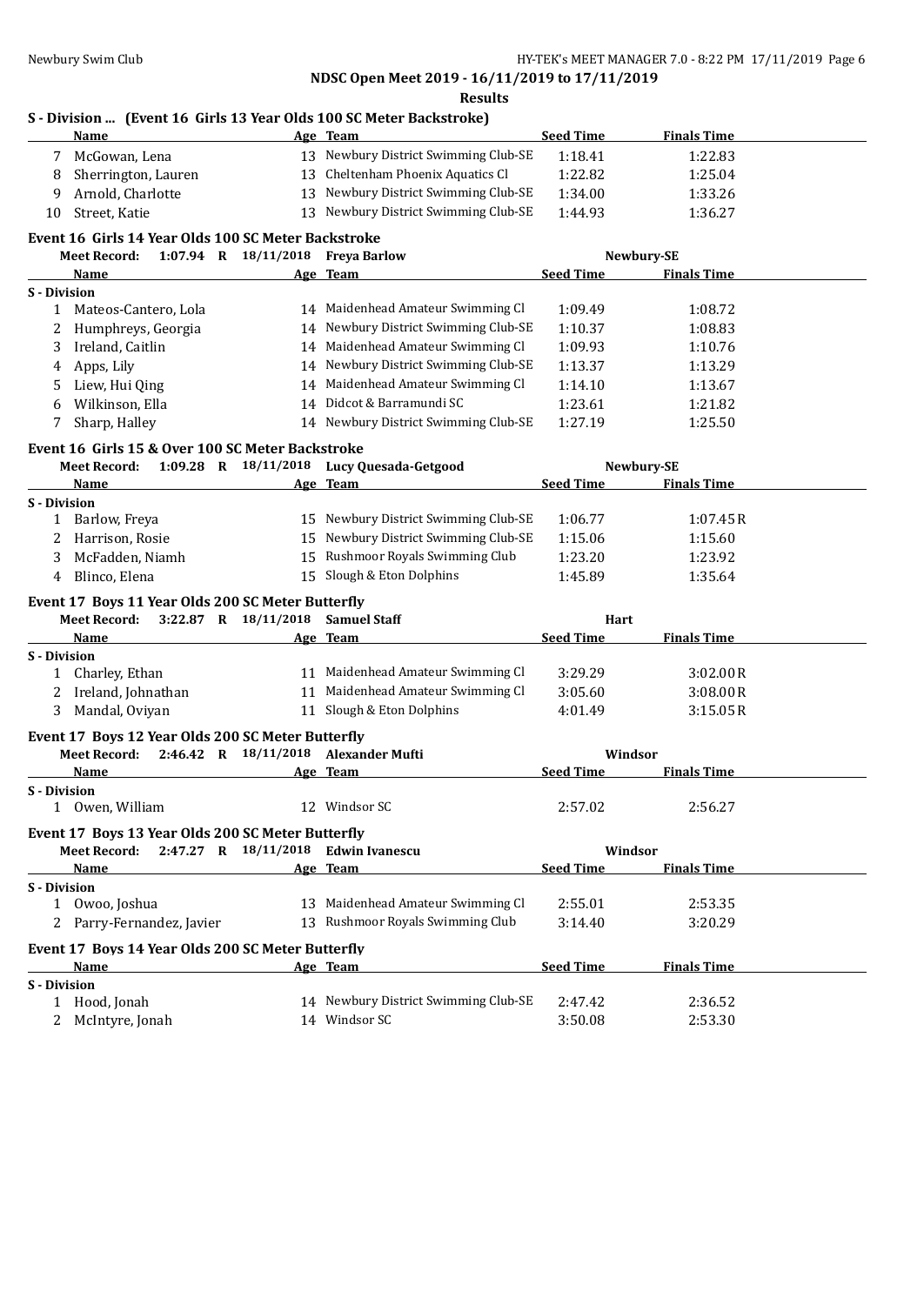**Results**

# **S - Division ... (Event 16 Girls 13 Year Olds 100 SC Meter Backstroke)**

| Name                                                     |    | Age Team                                  | <b>Seed Time</b> | <b>Finals Time</b> |  |
|----------------------------------------------------------|----|-------------------------------------------|------------------|--------------------|--|
| McGowan, Lena                                            |    | 13 Newbury District Swimming Club-SE      | 1:18.41          | 1:22.83            |  |
| Sherrington, Lauren<br>8                                 |    | 13 Cheltenham Phoenix Aquatics Cl         | 1:22.82          | 1:25.04            |  |
| Arnold, Charlotte<br>9                                   |    | 13 Newbury District Swimming Club-SE      | 1:34.00          | 1:33.26            |  |
| Street, Katie<br>10                                      |    | 13 Newbury District Swimming Club-SE      | 1:44.93          | 1:36.27            |  |
| Event 16 Girls 14 Year Olds 100 SC Meter Backstroke      |    |                                           |                  |                    |  |
| 1:07.94 R 18/11/2018 Freya Barlow<br><b>Meet Record:</b> |    |                                           |                  | Newbury-SE         |  |
| Name                                                     |    | Age Team                                  | <b>Seed Time</b> | <b>Finals Time</b> |  |
| S - Division                                             |    |                                           |                  |                    |  |
| 1 Mateos-Cantero, Lola                                   |    | 14 Maidenhead Amateur Swimming Cl         | 1:09.49          | 1:08.72            |  |
| Humphreys, Georgia<br>2                                  |    | 14 Newbury District Swimming Club-SE      | 1:10.37          | 1:08.83            |  |
| Ireland, Caitlin<br>3                                    |    | 14 Maidenhead Amateur Swimming Cl         | 1:09.93          | 1:10.76            |  |
| Apps, Lily<br>4                                          |    | 14 Newbury District Swimming Club-SE      | 1:13.37          | 1:13.29            |  |
| Liew, Hui Qing<br>5                                      |    | 14 Maidenhead Amateur Swimming Cl         | 1:14.10          | 1:13.67            |  |
| Wilkinson, Ella<br>6                                     |    | 14 Didcot & Barramundi SC                 | 1:23.61          | 1:21.82            |  |
| Sharp, Halley<br>7                                       |    | 14 Newbury District Swimming Club-SE      | 1:27.19          | 1:25.50            |  |
| Event 16 Girls 15 & Over 100 SC Meter Backstroke         |    |                                           |                  |                    |  |
| <b>Meet Record:</b>                                      |    | 1:09.28 R 18/11/2018 Lucy Quesada-Getgood |                  | Newbury-SE         |  |
| Name                                                     |    | Age Team                                  | <b>Seed Time</b> | <b>Finals Time</b> |  |
| <b>S</b> - Division                                      |    |                                           |                  |                    |  |
| 1 Barlow, Freya                                          |    | 15 Newbury District Swimming Club-SE      | 1:06.77          | 1:07.45R           |  |
| Harrison, Rosie<br>2                                     | 15 | Newbury District Swimming Club-SE         | 1:15.06          | 1:15.60            |  |
| McFadden, Niamh<br>3                                     | 15 | Rushmoor Royals Swimming Club             | 1:23.20          | 1:23.92            |  |
| Blinco, Elena<br>4                                       |    | 15 Slough & Eton Dolphins                 | 1:45.89          | 1:35.64            |  |
| Event 17 Boys 11 Year Olds 200 SC Meter Butterfly        |    |                                           |                  |                    |  |
| <b>Meet Record:</b><br>$3:22.87$ R $18/11/2018$          |    | <b>Samuel Staff</b>                       | Hart             |                    |  |
| Name                                                     |    | Age Team                                  | <b>Seed Time</b> | <b>Finals Time</b> |  |
| S - Division                                             |    |                                           |                  |                    |  |
| 1 Charley, Ethan                                         |    | 11 Maidenhead Amateur Swimming Cl         | 3:29.29          | 3:02.00R           |  |
| 2 Ireland, Johnathan                                     |    | 11 Maidenhead Amateur Swimming Cl         | 3:05.60          | 3:08.00R           |  |
| 3 Mandal, Oviyan                                         |    | 11 Slough & Eton Dolphins                 | 4:01.49          | 3:15.05R           |  |
| Event 17 Boys 12 Year Olds 200 SC Meter Butterfly        |    |                                           |                  |                    |  |
| <b>Meet Record:</b>                                      |    | 2:46.42 R 18/11/2018 Alexander Mufti      | Windsor          |                    |  |
| Name                                                     |    | Age Team                                  | <b>Seed Time</b> | <b>Finals Time</b> |  |
| <b>S</b> - Division                                      |    |                                           |                  |                    |  |
| 1 Owen, William                                          |    | 12 Windsor SC                             | 2:57.02          | 2:56.27            |  |
| Event 17 Boys 13 Year Olds 200 SC Meter Butterfly        |    |                                           |                  |                    |  |
| <b>Meet Record:</b>                                      |    | 2:47.27 R 18/11/2018 Edwin Ivanescu       | Windsor          |                    |  |
| Name                                                     |    | Age Team                                  | <b>Seed Time</b> | <b>Finals Time</b> |  |
| S - Division                                             |    |                                           |                  |                    |  |
| 1 Owoo, Joshua                                           |    | 13 Maidenhead Amateur Swimming Cl         | 2:55.01          | 2:53.35            |  |
| 2 Parry-Fernandez, Javier                                |    | 13 Rushmoor Royals Swimming Club          | 3:14.40          | 3:20.29            |  |
| Event 17 Boys 14 Year Olds 200 SC Meter Butterfly        |    |                                           |                  |                    |  |
| Name                                                     |    | Age Team                                  | <b>Seed Time</b> | <b>Finals Time</b> |  |
| S - Division                                             |    |                                           |                  |                    |  |
| 1 Hood, Jonah                                            |    | 14 Newbury District Swimming Club-SE      | 2:47.42          | 2:36.52            |  |
| 2 McIntyre, Jonah                                        |    | 14 Windsor SC                             |                  |                    |  |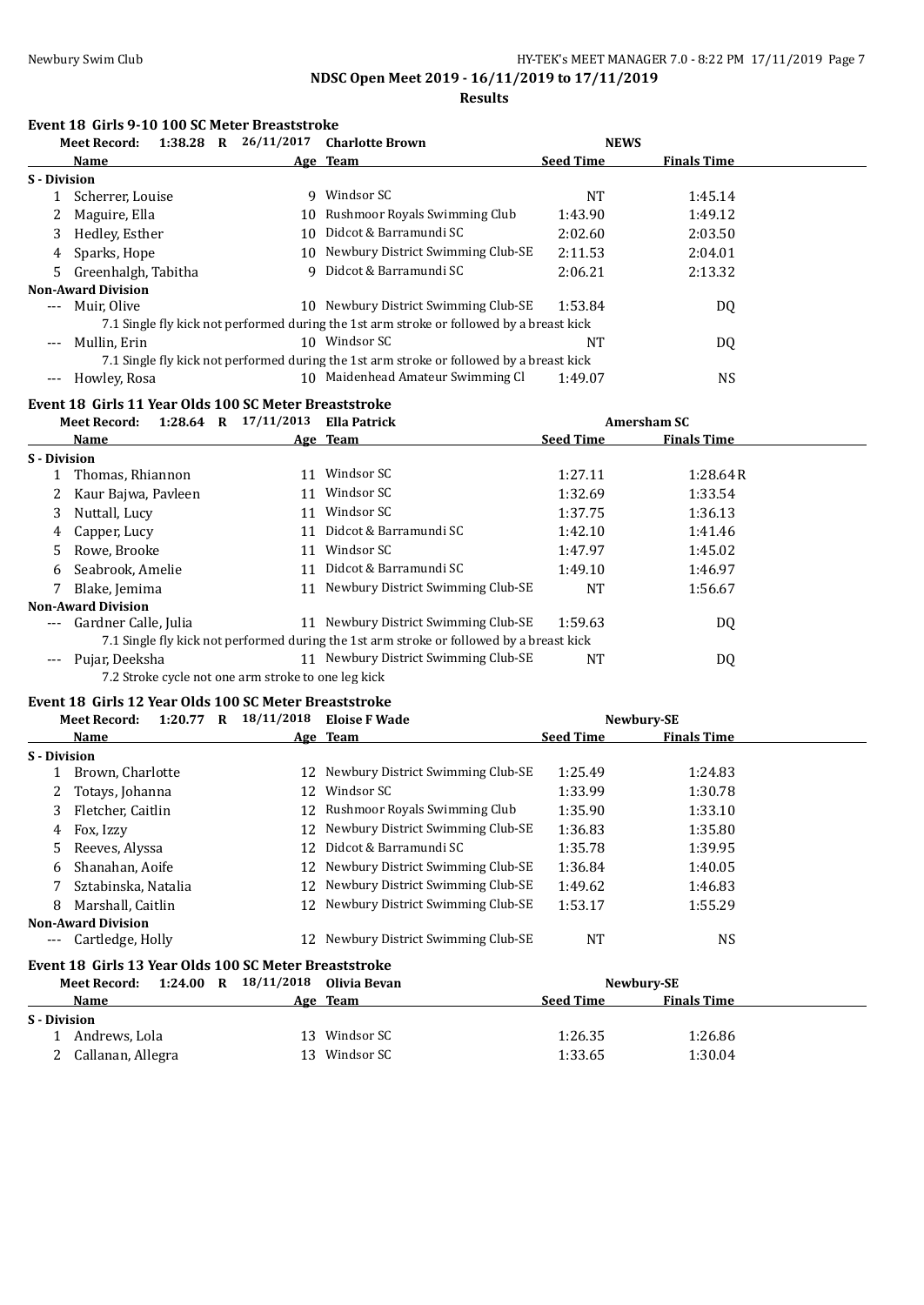**Results**

### **Event 18 Girls 9-10 100 SC Meter Breaststroke**

| Meet Record:                                               |    | 1:38.28 R 26/11/2017 Charlotte Brown                                                     | <b>NEWS</b>      |                    |
|------------------------------------------------------------|----|------------------------------------------------------------------------------------------|------------------|--------------------|
| Name                                                       |    | Age Team                                                                                 | <b>Seed Time</b> | <b>Finals Time</b> |
| <b>S</b> - Division                                        |    |                                                                                          |                  |                    |
| 1 Scherrer, Louise                                         |    | 9 Windsor SC                                                                             | NT               | 1:45.14            |
| 2 Maguire, Ella                                            |    | 10 Rushmoor Royals Swimming Club                                                         | 1:43.90          | 1:49.12            |
| Hedley, Esther<br>3                                        |    | 10 Didcot & Barramundi SC                                                                | 2:02.60          | 2:03.50            |
| Sparks, Hope<br>4                                          |    | 10 Newbury District Swimming Club-SE                                                     | 2:11.53          | 2:04.01            |
| Greenhalgh, Tabitha<br>5.                                  | 9  | Didcot & Barramundi SC                                                                   | 2:06.21          | 2:13.32            |
| <b>Non-Award Division</b>                                  |    |                                                                                          |                  |                    |
| Muir, Olive<br>$---$                                       |    | 10 Newbury District Swimming Club-SE                                                     | 1:53.84          | DQ                 |
|                                                            |    | 7.1 Single fly kick not performed during the 1st arm stroke or followed by a breast kick |                  |                    |
| Mullin, Erin<br>$---$                                      |    | 10 Windsor SC                                                                            | <b>NT</b>        | DQ                 |
|                                                            |    | 7.1 Single fly kick not performed during the 1st arm stroke or followed by a breast kick |                  |                    |
| Howley, Rosa<br>---                                        |    | 10 Maidenhead Amateur Swimming Cl                                                        | 1:49.07          | <b>NS</b>          |
| Event 18 Girls 11 Year Olds 100 SC Meter Breaststroke      |    |                                                                                          |                  |                    |
| 1:28.64 R $17/11/2013$ Ella Patrick<br><b>Meet Record:</b> |    |                                                                                          |                  | <b>Amersham SC</b> |
| <b>Name</b>                                                |    | <u>Age Team</u>                                                                          | <b>Seed Time</b> | <b>Finals Time</b> |
| S - Division                                               |    |                                                                                          |                  |                    |
| 1 Thomas, Rhiannon                                         |    | 11 Windsor SC                                                                            | 1:27.11          | 1:28.64R           |
| Kaur Bajwa, Pavleen                                        |    | 11 Windsor SC                                                                            | 1:32.69          | 1:33.54            |
| Nuttall, Lucy<br>3                                         |    | 11 Windsor SC                                                                            | 1:37.75          | 1:36.13            |
| Capper, Lucy<br>4                                          |    | 11 Didcot & Barramundi SC                                                                | 1:42.10          | 1:41.46            |
| Rowe, Brooke<br>5                                          |    | 11 Windsor SC                                                                            | 1:47.97          | 1:45.02            |
| Seabrook, Amelie<br>6                                      |    | 11 Didcot & Barramundi SC                                                                | 1:49.10          | 1:46.97            |
| Blake, Jemima<br>7                                         |    | 11 Newbury District Swimming Club-SE                                                     | <b>NT</b>        | 1:56.67            |
| <b>Non-Award Division</b>                                  |    |                                                                                          |                  |                    |
| Gardner Calle, Julia                                       |    | 11 Newbury District Swimming Club-SE                                                     | 1:59.63          | DQ                 |
|                                                            |    | 7.1 Single fly kick not performed during the 1st arm stroke or followed by a breast kick |                  |                    |
| Pujar, Deeksha<br>---                                      |    | 11 Newbury District Swimming Club-SE                                                     | NT               | DQ                 |
| 7.2 Stroke cycle not one arm stroke to one leg kick        |    |                                                                                          |                  |                    |
| Event 18 Girls 12 Year Olds 100 SC Meter Breaststroke      |    |                                                                                          |                  |                    |
| $1:20.77$ R $18/11/2018$<br><b>Meet Record:</b>            |    | <b>Eloise F Wade</b>                                                                     |                  | Newbury-SE         |
| Name                                                       |    | <u>Age Team</u>                                                                          | <b>Seed Time</b> | <b>Finals Time</b> |
| S - Division                                               |    |                                                                                          |                  |                    |
| 1 Brown, Charlotte                                         |    | 12 Newbury District Swimming Club-SE                                                     | 1:25.49          | 1:24.83            |
| 2 Totays, Johanna                                          |    | 12 Windsor SC                                                                            | 1:33.99          | 1:30.78            |
| 3 Fletcher, Caitlin                                        |    | 12 Rushmoor Royals Swimming Club                                                         | 1:35.90          | 1:33.10            |
| 4 Fox, Izzy                                                |    | 12 Newbury District Swimming Club-SE                                                     | 1:36.83          | 1:35.80            |
| 5<br>Reeves, Alyssa                                        |    | 12 Didcot & Barramundi SC                                                                | 1:35.78          | 1:39.95            |
| Shanahan, Aoife<br>6                                       |    | 12 Newbury District Swimming Club-SE                                                     | 1:36.84          | 1:40.05            |
| Sztabinska, Natalia<br>7                                   | 12 | Newbury District Swimming Club-SE                                                        | 1:49.62          | 1:46.83            |
| Marshall, Caitlin<br>8                                     |    | 12 Newbury District Swimming Club-SE                                                     | 1:53.17          | 1:55.29            |
| <b>Non-Award Division</b>                                  |    |                                                                                          |                  |                    |
| Cartledge, Holly<br>---                                    |    | 12 Newbury District Swimming Club-SE                                                     | <b>NT</b>        | <b>NS</b>          |
| Event 18 Girls 13 Year Olds 100 SC Meter Breaststroke      |    |                                                                                          |                  |                    |
| 1:24.00 R $18/11/2018$<br><b>Meet Record:</b>              |    | Olivia Bevan                                                                             |                  | Newbury-SE         |
| Name                                                       |    | Age Team                                                                                 | <b>Seed Time</b> | <b>Finals Time</b> |
| <b>S</b> - Division                                        |    |                                                                                          |                  |                    |
| 1 Andrews, Lola                                            |    | 13 Windsor SC                                                                            | 1:26.35          | 1:26.86            |
| Callanan, Allegra<br>2                                     |    | 13 Windsor SC                                                                            | 1:33.65          | 1:30.04            |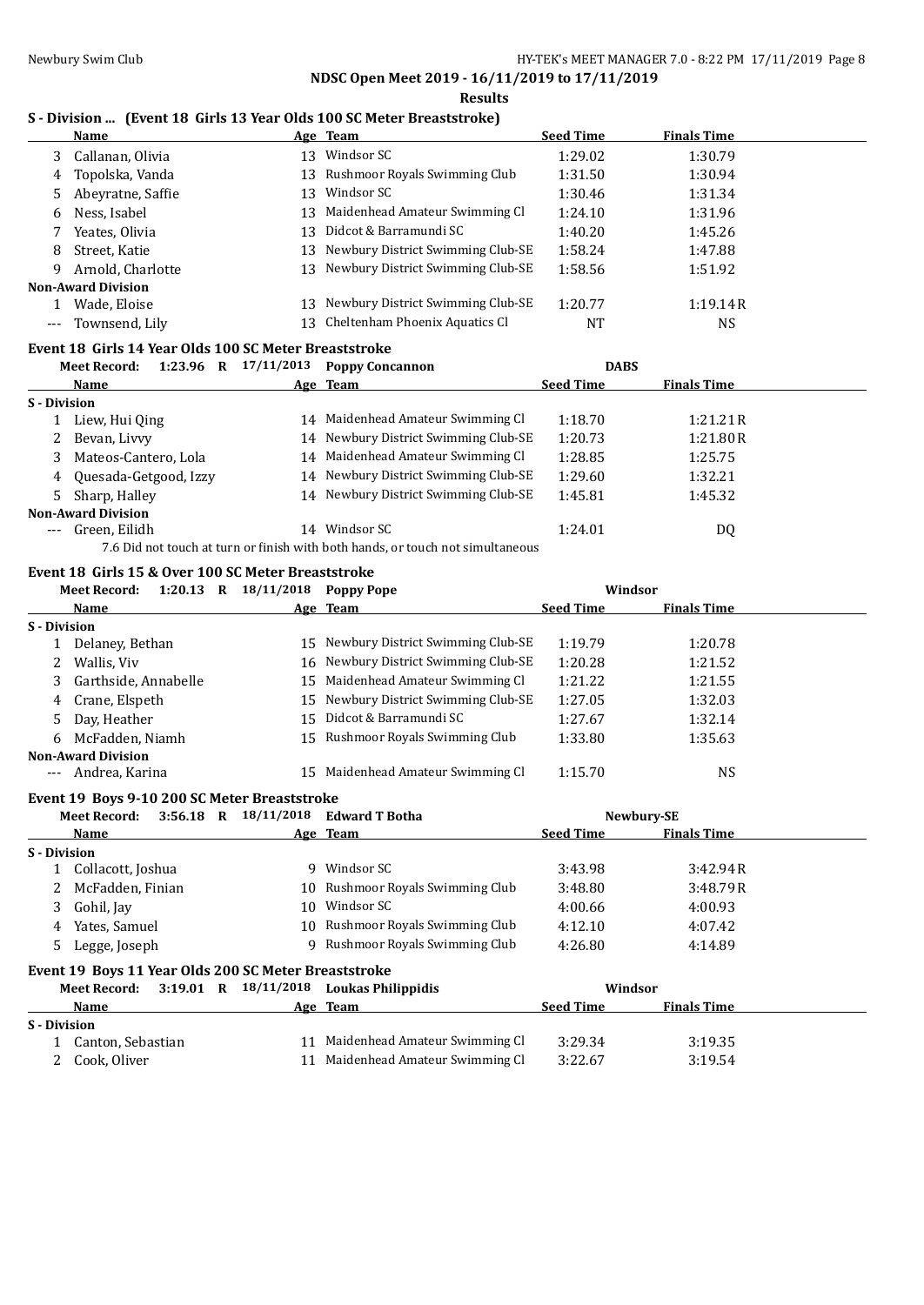### **Results S - Division ... (Event 18 Girls 13 Year Olds 100 SC Meter Breaststroke)**

|     | <b>Name</b>               |    | Age Team                             | <b>Seed Time</b> | <b>Finals Time</b> |
|-----|---------------------------|----|--------------------------------------|------------------|--------------------|
| 3   | Callanan, Olivia          | 13 | Windsor SC                           | 1:29.02          | 1:30.79            |
| 4   | Topolska, Vanda           |    | 13 Rushmoor Royals Swimming Club     | 1:31.50          | 1:30.94            |
|     | Abeyratne, Saffie         | 13 | Windsor SC                           | 1:30.46          | 1:31.34            |
| 6   | Ness, Isabel              |    | 13 Maidenhead Amateur Swimming Cl    | 1:24.10          | 1:31.96            |
|     | Yeates, Olivia            | 13 | Didcot & Barramundi SC               | 1:40.20          | 1:45.26            |
| 8   | Street, Katie             |    | 13 Newbury District Swimming Club-SE | 1:58.24          | 1:47.88            |
| 9   | Arnold, Charlotte         |    | 13 Newbury District Swimming Club-SE | 1:58.56          | 1:51.92            |
|     | <b>Non-Award Division</b> |    |                                      |                  |                    |
|     | Wade, Eloise              | 13 | Newbury District Swimming Club-SE    | 1:20.77          | 1:19.14R           |
| --- | Townsend, Lily            | 13 | Cheltenham Phoenix Aquatics Cl       | NT               | NS                 |

### **Event 18 Girls 14 Year Olds 100 SC Meter Breaststroke**

|              | <b>Meet Record:</b>       | $1:23.96$ R | 17/11/2013 | <b>Poppy Concannon</b>                                                         | <b>DABS</b>      |                    |  |
|--------------|---------------------------|-------------|------------|--------------------------------------------------------------------------------|------------------|--------------------|--|
|              | Name                      |             |            | Age Team                                                                       | <b>Seed Time</b> | <b>Finals Time</b> |  |
| S - Division |                           |             |            |                                                                                |                  |                    |  |
|              | Liew, Hui Qing            |             |            | 14 Maidenhead Amateur Swimming Cl                                              | 1:18.70          | 1:21.21R           |  |
| 2            | Bevan, Livvy              |             |            | 14 Newbury District Swimming Club-SE                                           | 1:20.73          | 1:21.80R           |  |
|              | 3 Mateos-Cantero, Lola    |             |            | 14 Maidenhead Amateur Swimming Cl                                              | 1:28.85          | 1:25.75            |  |
|              | 4 Quesada-Getgood, Izzy   |             |            | 14 Newbury District Swimming Club-SE                                           | 1:29.60          | 1:32.21            |  |
|              | 5 Sharp, Halley           |             |            | 14 Newbury District Swimming Club-SE                                           | 1:45.81          | 1:45.32            |  |
|              | <b>Non-Award Division</b> |             |            |                                                                                |                  |                    |  |
| $---$        | Green, Eilidh             |             | 14         | Windsor SC                                                                     | 1:24.01          | DQ                 |  |
|              |                           |             |            | 7.6 Did not touch at turn or finish with both hands, or touch not simultaneous |                  |                    |  |

### **Event 18 Girls 15 & Over 100 SC Meter Breaststroke Meet Record: 1:20.13 R 18/11/2018 Poppy Pope Windsor**

|              | MEEL RELUI U.             | $1.20.13 \, \text{N}$ $10/11/2010$ ruppy rupe |                                      | www.             |                    |  |
|--------------|---------------------------|-----------------------------------------------|--------------------------------------|------------------|--------------------|--|
|              | Name                      |                                               | Age Team                             | <b>Seed Time</b> | <b>Finals Time</b> |  |
| S - Division |                           |                                               |                                      |                  |                    |  |
|              | Delaney, Bethan           |                                               | 15 Newbury District Swimming Club-SE | 1:19.79          | 1:20.78            |  |
| 2            | Wallis, Viv               |                                               | 16 Newbury District Swimming Club-SE | 1:20.28          | 1:21.52            |  |
|              | 3 Garthside, Annabelle    |                                               | 15 Maidenhead Amateur Swimming Cl    | 1:21.22          | 1:21.55            |  |
|              | 4 Crane, Elspeth          |                                               | 15 Newbury District Swimming Club-SE | 1:27.05          | 1:32.03            |  |
|              | 5 Day, Heather            |                                               | 15 Didcot & Barramundi SC            | 1:27.67          | 1:32.14            |  |
|              | 6 McFadden, Niamh         |                                               | 15 Rushmoor Royals Swimming Club     | 1:33.80          | 1:35.63            |  |
|              | <b>Non-Award Division</b> |                                               |                                      |                  |                    |  |
|              | --- Andrea, Karina        | 15.                                           | Maidenhead Amateur Swimming Cl       | 1:15.70          | NS                 |  |

### **Event 19 Boys 9-10 200 SC Meter Breaststroke**

|                     | <b>Meet Record:</b> | $3:56.18$ R | 18/11/2018                                           | <b>Edward T Botha</b>            |                  | Newbury-SE         |  |
|---------------------|---------------------|-------------|------------------------------------------------------|----------------------------------|------------------|--------------------|--|
|                     | Name                |             |                                                      | Age Team                         | <b>Seed Time</b> | <b>Finals Time</b> |  |
| <b>S</b> - Division |                     |             |                                                      |                                  |                  |                    |  |
|                     | Collacott, Joshua   |             | Q                                                    | Windsor SC                       | 3:43.98          | 3:42.94R           |  |
|                     | McFadden, Finian    |             |                                                      | 10 Rushmoor Royals Swimming Club | 3:48.80          | 3:48.79R           |  |
| 3                   | Gohil, Jay          |             | 10                                                   | Windsor SC                       | 4:00.66          | 4:00.93            |  |
| 4                   | Yates, Samuel       |             |                                                      | 10 Rushmoor Royals Swimming Club | 4:12.10          | 4:07.42            |  |
| 5.                  | Legge, Joseph       |             | q                                                    | Rushmoor Royals Swimming Club    | 4:26.80          | 4:14.89            |  |
|                     |                     |             | Event 19 Boys 11 Year Olds 200 SC Meter Breaststroke |                                  |                  |                    |  |
|                     | Meet Record:        | $3:19.01$ R | 18/11/2018                                           | Loukas Philippidis               | Windsor          |                    |  |
|                     | Name                |             |                                                      | Age Team                         | <b>Seed Time</b> | <b>Finals Time</b> |  |
| <b>S</b> - Division |                     |             |                                                      |                                  |                  |                    |  |
|                     | Canton, Sebastian   |             | 11                                                   | Maidenhead Amateur Swimming Cl   | 3:29.34          | 3:19.35            |  |
|                     | Cook. Oliver        |             | 11                                                   | Maidenhead Amateur Swimming Cl   | 3:22.67          | 3:19.54            |  |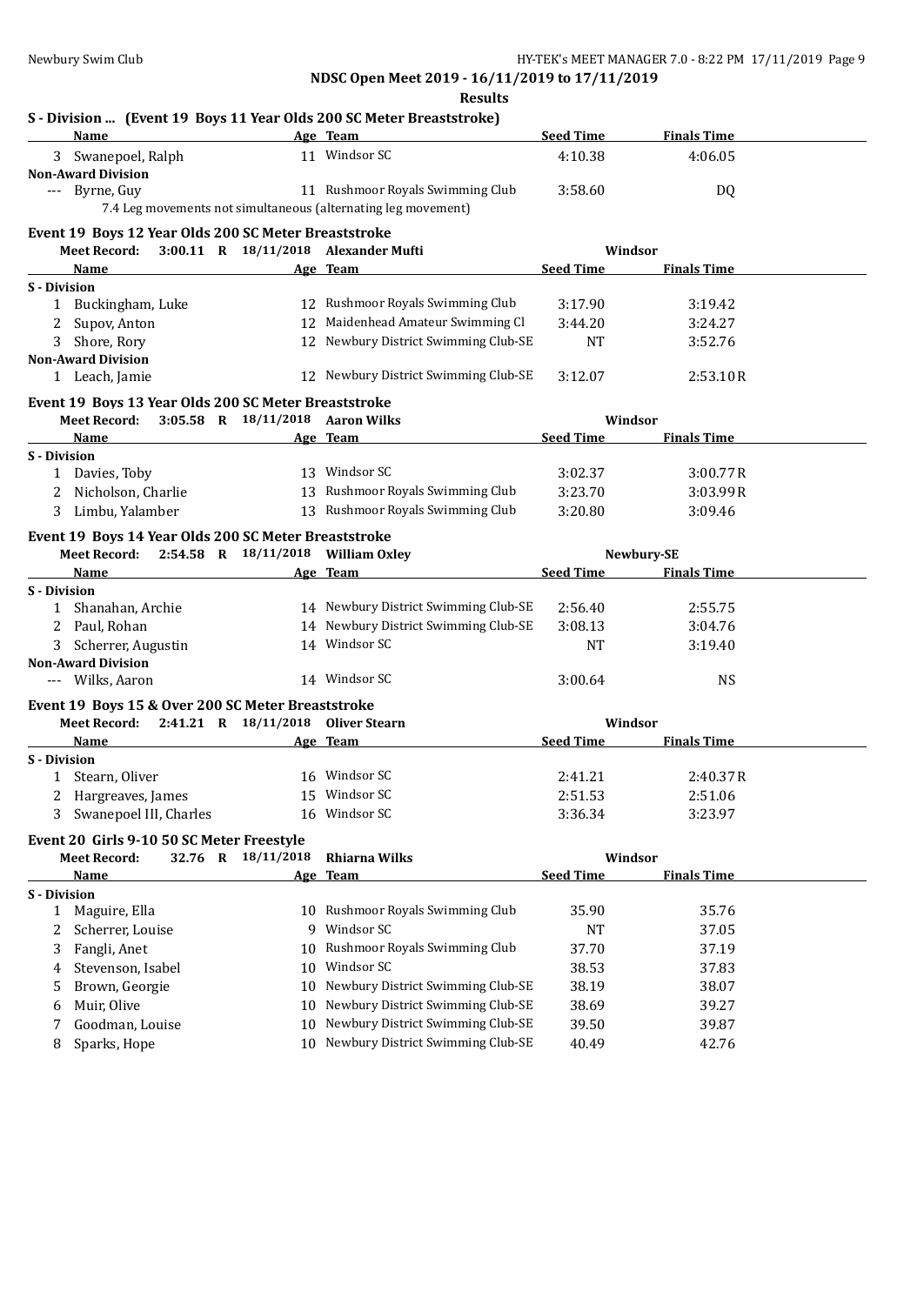|                     |                                                                      |                                      | <b>Results</b>                                                               |                    |                    |  |
|---------------------|----------------------------------------------------------------------|--------------------------------------|------------------------------------------------------------------------------|--------------------|--------------------|--|
|                     |                                                                      |                                      | S - Division  (Event 19 Boys 11 Year Olds 200 SC Meter Breaststroke)         |                    |                    |  |
|                     | Name                                                                 |                                      | Age Team                                                                     | <b>Seed Time</b>   | <b>Finals Time</b> |  |
|                     | Swanepoel, Ralph                                                     |                                      | 11 Windsor SC                                                                | 4:10.38            | 4:06.05            |  |
|                     | <b>Non-Award Division</b><br>--- Byrne, Guy                          |                                      | 11 Rushmoor Royals Swimming Club                                             | 3:58.60            | DQ                 |  |
|                     |                                                                      |                                      | 7.4 Leg movements not simultaneous (alternating leg movement)                |                    |                    |  |
|                     |                                                                      |                                      |                                                                              |                    |                    |  |
|                     | Event 19 Boys 12 Year Olds 200 SC Meter Breaststroke<br>Meet Record: |                                      | 3:00.11 R 18/11/2018 Alexander Mufti                                         |                    | Windsor            |  |
|                     | <b>Name</b>                                                          |                                      | Age Team                                                                     | <b>Seed Time</b>   | <b>Finals Time</b> |  |
| <b>S</b> - Division |                                                                      |                                      |                                                                              |                    |                    |  |
|                     | 1 Buckingham, Luke                                                   |                                      | 12 Rushmoor Royals Swimming Club                                             | 3:17.90            | 3:19.42            |  |
|                     | Supov, Anton                                                         |                                      | 12 Maidenhead Amateur Swimming Cl                                            | 3:44.20            | 3:24.27            |  |
| 3                   | Shore, Rory                                                          |                                      | 12 Newbury District Swimming Club-SE                                         | <b>NT</b>          | 3:52.76            |  |
|                     | <b>Non-Award Division</b>                                            |                                      |                                                                              |                    |                    |  |
|                     | 1 Leach, Jamie                                                       |                                      | 12 Newbury District Swimming Club-SE                                         | 3:12.07            | 2:53.10R           |  |
|                     | Event 19 Boys 13 Year Olds 200 SC Meter Breaststroke                 |                                      |                                                                              |                    |                    |  |
|                     | <b>Meet Record:</b>                                                  | $3:05.58$ R $18/11/2018$ Aaron Wilks |                                                                              |                    | Windsor            |  |
|                     | Name                                                                 |                                      | Age Team                                                                     | <b>Seed Time</b>   | <b>Finals Time</b> |  |
| S - Division        |                                                                      |                                      |                                                                              |                    |                    |  |
|                     | 1 Davies, Toby                                                       |                                      | 13 Windsor SC                                                                | 3:02.37            | 3:00.77R           |  |
|                     | Nicholson, Charlie                                                   |                                      | 13 Rushmoor Royals Swimming Club                                             | 3:23.70            | 3:03.99R           |  |
|                     | 3 Limbu, Yalamber                                                    |                                      | 13 Rushmoor Royals Swimming Club                                             | 3:20.80            | 3:09.46            |  |
|                     | Event 19 Boys 14 Year Olds 200 SC Meter Breaststroke                 |                                      |                                                                              |                    |                    |  |
|                     | Meet Record: 2:54.58 R 18/11/2018 William Oxley                      |                                      |                                                                              |                    | Newbury-SE         |  |
|                     | <b>Name</b>                                                          |                                      | Age Team                                                                     | Seed Time          | <b>Finals Time</b> |  |
| <b>S</b> - Division |                                                                      |                                      |                                                                              |                    |                    |  |
|                     | 1 Shanahan, Archie                                                   |                                      | 14 Newbury District Swimming Club-SE<br>14 Newbury District Swimming Club-SE | 2:56.40<br>3:08.13 | 2:55.75<br>3:04.76 |  |
|                     | 2 Paul, Rohan<br>3 Scherrer, Augustin                                |                                      | 14 Windsor SC                                                                | NT                 | 3:19.40            |  |
|                     | <b>Non-Award Division</b>                                            |                                      |                                                                              |                    |                    |  |
|                     | --- Wilks, Aaron                                                     |                                      | 14 Windsor SC                                                                | 3:00.64            | <b>NS</b>          |  |
|                     | Event 19 Boys 15 & Over 200 SC Meter Breaststroke                    |                                      |                                                                              |                    |                    |  |
|                     | <b>Meet Record:</b>                                                  | 2:41.21 R 18/11/2018 Oliver Stearn   |                                                                              |                    | Windsor            |  |
|                     | Name                                                                 |                                      | Age Team                                                                     | <b>Seed Time</b>   | <b>Finals Time</b> |  |
| <b>S</b> - Division |                                                                      |                                      |                                                                              |                    |                    |  |
|                     | 1 Stearn, Oliver                                                     |                                      | 16 Windsor SC                                                                | 2:41.21            | 2:40.37R           |  |
|                     | Hargreaves, James                                                    |                                      | 15 Windsor SC                                                                | 2:51.53            | 2:51.06            |  |
| 3                   | Swanepoel III, Charles                                               |                                      | 16 Windsor SC                                                                | 3:36.34            | 3:23.97            |  |
|                     | Event 20 Girls 9-10 50 SC Meter Freestyle                            |                                      |                                                                              |                    |                    |  |
|                     | <b>Meet Record:</b>                                                  | 32.76 R 18/11/2018                   | <b>Rhiarna Wilks</b>                                                         |                    | Windsor            |  |
|                     | Name                                                                 |                                      | Age Team                                                                     | <b>Seed Time</b>   | <b>Finals Time</b> |  |
| S - Division        |                                                                      |                                      |                                                                              |                    |                    |  |
| $\mathbf{1}$        | Maguire, Ella                                                        |                                      | 10 Rushmoor Royals Swimming Club                                             | 35.90              | 35.76              |  |
| 2                   | Scherrer, Louise                                                     |                                      | 9 Windsor SC                                                                 | <b>NT</b>          | 37.05              |  |
| 3                   | Fangli, Anet                                                         | 10                                   | Rushmoor Royals Swimming Club                                                | 37.70              | 37.19              |  |
| 4                   | Stevenson, Isabel                                                    | 10                                   | Windsor SC                                                                   | 38.53              | 37.83              |  |
| 5                   | Brown, Georgie                                                       | 10                                   | Newbury District Swimming Club-SE                                            | 38.19              | 38.07              |  |
| 6                   | Muir, Olive                                                          | 10                                   | Newbury District Swimming Club-SE                                            | 38.69              | 39.27              |  |
| 7                   | Goodman, Louise                                                      | 10                                   | Newbury District Swimming Club-SE                                            | 39.50              | 39.87              |  |
| 8                   | Sparks, Hope                                                         | 10                                   | Newbury District Swimming Club-SE                                            | 40.49              | 42.76              |  |
|                     |                                                                      |                                      |                                                                              |                    |                    |  |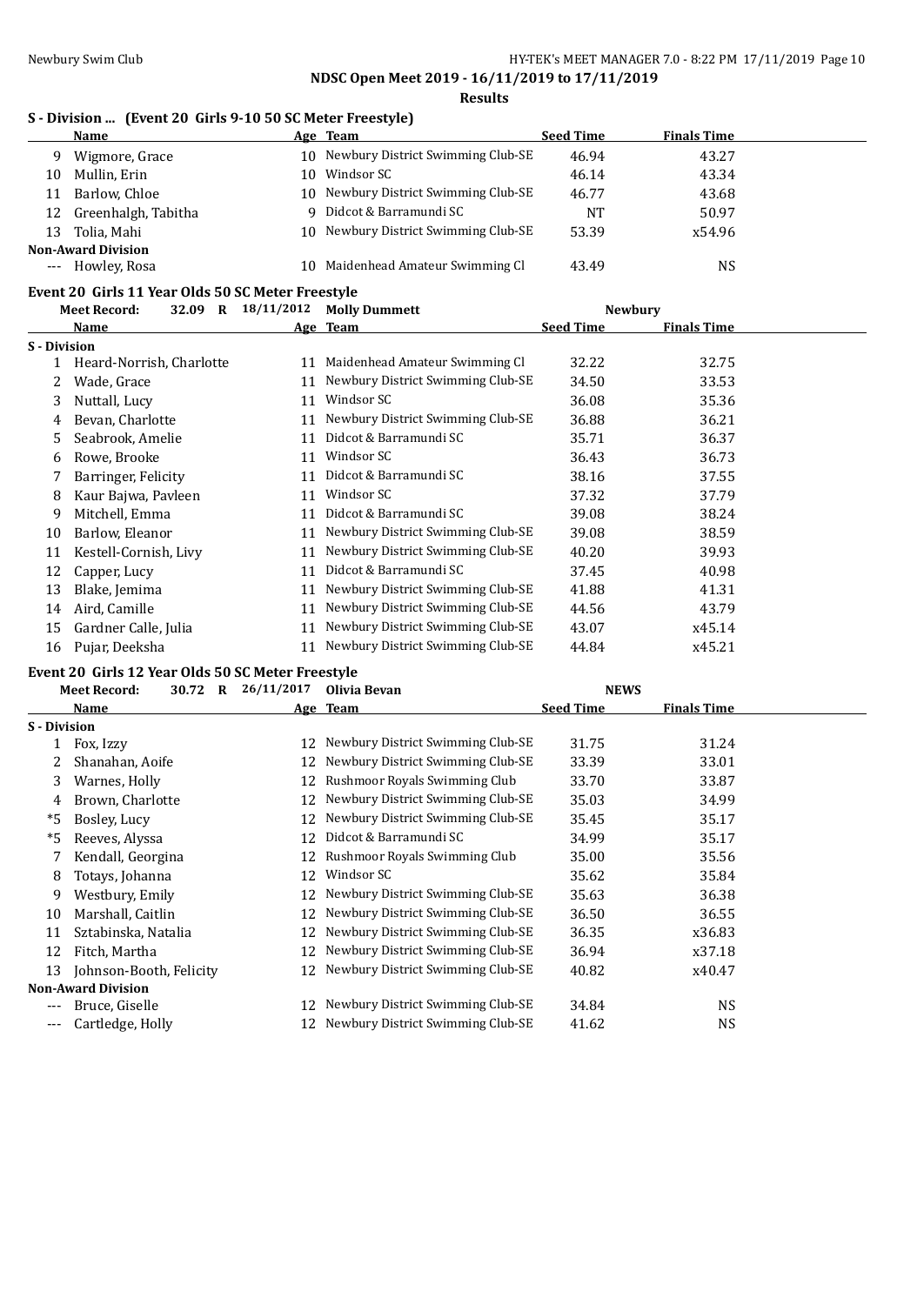**Results**

### **S - Division ... (Event 20 Girls 9-10 50 SC Meter Freestyle)**

|       | Name                      |     | Age Team                             | <b>Seed Time</b> | <b>Finals Time</b> |  |  |
|-------|---------------------------|-----|--------------------------------------|------------------|--------------------|--|--|
| 9     | Wigmore, Grace            |     | 10 Newbury District Swimming Club-SE | 46.94            | 43.27              |  |  |
| 10    | Mullin, Erin              | 10. | Windsor SC                           | 46.14            | 43.34              |  |  |
| 11    | Barlow, Chloe             |     | 10 Newbury District Swimming Club-SE | 46.77            | 43.68              |  |  |
| 12    | Greenhalgh, Tabitha       |     | 9 Didcot & Barramundi SC             | NT               | 50.97              |  |  |
| 13    | Tolia, Mahi               |     | 10 Newbury District Swimming Club-SE | 53.39            | x54.96             |  |  |
|       | <b>Non-Award Division</b> |     |                                      |                  |                    |  |  |
| $---$ | Howley, Rosa              |     | 10 Maidenhead Amateur Swimming Cl    | 43.49            | <b>NS</b>          |  |  |
|       |                           |     |                                      |                  |                    |  |  |

# **Event 20 Girls 11 Year Olds 50 SC Meter Freestyle**

|              | 32.09<br><b>Meet Record:</b><br>$\mathbf R$ | 18/11/2012 | <b>Molly Dummett</b>              | <b>Newbury</b>   |                    |  |
|--------------|---------------------------------------------|------------|-----------------------------------|------------------|--------------------|--|
|              | Name                                        |            | Age Team                          | <b>Seed Time</b> | <b>Finals Time</b> |  |
| S - Division |                                             |            |                                   |                  |                    |  |
|              | Heard-Norrish, Charlotte                    | 11         | Maidenhead Amateur Swimming Cl    | 32.22            | 32.75              |  |
|              | Wade, Grace                                 | 11         | Newbury District Swimming Club-SE | 34.50            | 33.53              |  |
| 3.           | Nuttall, Lucy                               | 11         | Windsor SC                        | 36.08            | 35.36              |  |
| 4            | Bevan, Charlotte                            | 11         | Newbury District Swimming Club-SE | 36.88            | 36.21              |  |
| 5.           | Seabrook, Amelie                            | 11         | Didcot & Barramundi SC            | 35.71            | 36.37              |  |
| 6            | Rowe, Brooke                                | 11         | Windsor SC                        | 36.43            | 36.73              |  |
|              | Barringer, Felicity                         | 11         | Didcot & Barramundi SC            | 38.16            | 37.55              |  |
| 8            | Kaur Bajwa, Pavleen                         | 11         | Windsor SC                        | 37.32            | 37.79              |  |
| 9            | Mitchell, Emma                              | 11         | Didcot & Barramundi SC            | 39.08            | 38.24              |  |
| 10           | Barlow, Eleanor                             | 11         | Newbury District Swimming Club-SE | 39.08            | 38.59              |  |
| 11           | Kestell-Cornish, Livy                       | 11         | Newbury District Swimming Club-SE | 40.20            | 39.93              |  |
| 12           | Capper, Lucy                                | 11         | Didcot & Barramundi SC            | 37.45            | 40.98              |  |
| 13           | Blake, Jemima                               | 11         | Newbury District Swimming Club-SE | 41.88            | 41.31              |  |
| 14           | Aird, Camille                               | 11         | Newbury District Swimming Club-SE | 44.56            | 43.79              |  |
| 15           | Gardner Calle, Julia                        | 11         | Newbury District Swimming Club-SE | 43.07            | x45.14             |  |
| 16           | Pujar, Deeksha                              | 11         | Newbury District Swimming Club-SE | 44.84            | x45.21             |  |

# **Event 20 Girls 12 Year Olds 50 SC Meter Freestyle**

|                     | 30.72<br><b>Meet Record:</b><br>R | 26/11/2017 | Olivia Bevan                      | <b>NEWS</b>      |                    |
|---------------------|-----------------------------------|------------|-----------------------------------|------------------|--------------------|
|                     | Name                              |            | Age Team                          | <b>Seed Time</b> | <b>Finals Time</b> |
| <b>S</b> - Division |                                   |            |                                   |                  |                    |
|                     | Fox, Izzy                         | 12         | Newbury District Swimming Club-SE | 31.75            | 31.24              |
|                     | Shanahan, Aoife                   | 12         | Newbury District Swimming Club-SE | 33.39            | 33.01              |
| 3                   | Warnes, Holly                     | 12         | Rushmoor Royals Swimming Club     | 33.70            | 33.87              |
| 4                   | Brown, Charlotte                  | 12         | Newbury District Swimming Club-SE | 35.03            | 34.99              |
| *5                  | Bosley, Lucy                      | 12         | Newbury District Swimming Club-SE | 35.45            | 35.17              |
| *5                  | Reeves, Alyssa                    | 12         | Didcot & Barramundi SC            | 34.99            | 35.17              |
| 7                   | Kendall, Georgina                 | 12         | Rushmoor Royals Swimming Club     | 35.00            | 35.56              |
| 8                   | Totays, Johanna                   | 12         | Windsor SC                        | 35.62            | 35.84              |
| 9                   | Westbury, Emily                   | 12         | Newbury District Swimming Club-SE | 35.63            | 36.38              |
| 10                  | Marshall, Caitlin                 | 12         | Newbury District Swimming Club-SE | 36.50            | 36.55              |
| 11                  | Sztabinska, Natalia               | 12         | Newbury District Swimming Club-SE | 36.35            | x36.83             |
| 12                  | Fitch, Martha                     | 12         | Newbury District Swimming Club-SE | 36.94            | x37.18             |
| 13                  | Johnson-Booth, Felicity           | 12         | Newbury District Swimming Club-SE | 40.82            | x40.47             |
|                     | <b>Non-Award Division</b>         |            |                                   |                  |                    |
| ---                 | Bruce, Giselle                    | 12         | Newbury District Swimming Club-SE | 34.84            | <b>NS</b>          |
| ---                 | Cartledge, Holly                  | 12         | Newbury District Swimming Club-SE | 41.62            | <b>NS</b>          |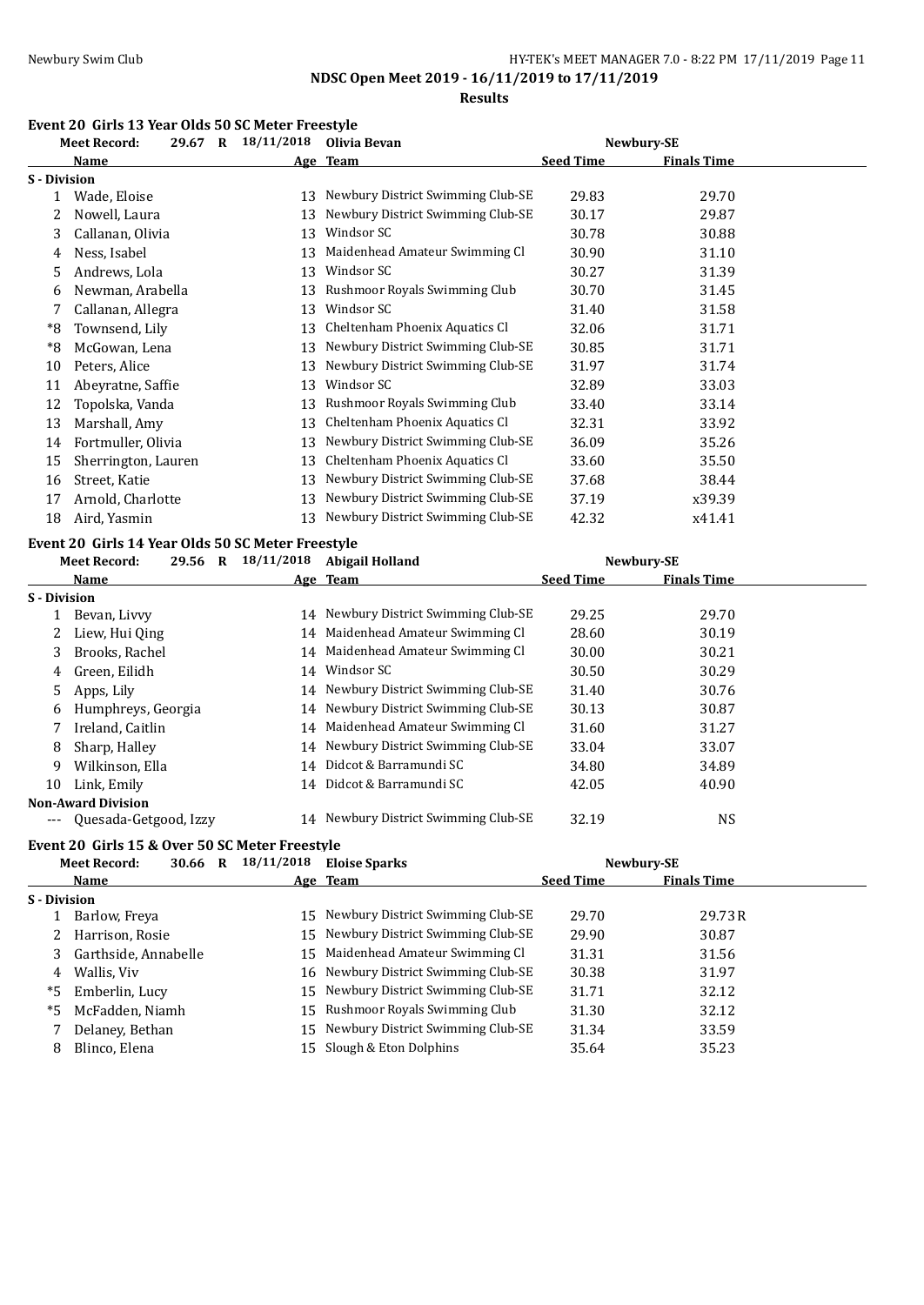### Newbury Swim Club **HY-TEK's MEET MANAGER 7.0 - 8:22 PM 17/11/2019** Page 11

**NDSC Open Meet 2019 - 16/11/2019 to 17/11/2019**

**Results**

# **Event 20 Girls 13 Year Olds 50 SC Meter Freestyle**

|                     | 29.67 R<br><b>Meet Record:</b> | 18/11/2018 | Olivia Bevan                      |                  | Newbury-SE         |  |
|---------------------|--------------------------------|------------|-----------------------------------|------------------|--------------------|--|
|                     | Name                           |            | Age Team                          | <b>Seed Time</b> | <b>Finals Time</b> |  |
| <b>S</b> - Division |                                |            |                                   |                  |                    |  |
|                     | Wade, Eloise                   | 13         | Newbury District Swimming Club-SE | 29.83            | 29.70              |  |
|                     | Nowell, Laura                  | 13         | Newbury District Swimming Club-SE | 30.17            | 29.87              |  |
| 3.                  | Callanan, Olivia               | 13         | Windsor SC                        | 30.78            | 30.88              |  |
| 4                   | Ness, Isabel                   | 13         | Maidenhead Amateur Swimming Cl    | 30.90            | 31.10              |  |
| 5.                  | Andrews, Lola                  | 13         | Windsor SC                        | 30.27            | 31.39              |  |
| 6                   | Newman, Arabella               | 13         | Rushmoor Royals Swimming Club     | 30.70            | 31.45              |  |
|                     | Callanan, Allegra              | 13         | Windsor SC                        | 31.40            | 31.58              |  |
| *8                  | Townsend, Lily                 | 13         | Cheltenham Phoenix Aquatics Cl    | 32.06            | 31.71              |  |
| *8                  | McGowan, Lena                  | 13         | Newbury District Swimming Club-SE | 30.85            | 31.71              |  |
| 10                  | Peters, Alice                  | 13         | Newbury District Swimming Club-SE | 31.97            | 31.74              |  |
| 11                  | Abeyratne, Saffie              | 13         | Windsor SC                        | 32.89            | 33.03              |  |
| 12                  | Topolska, Vanda                | 13         | Rushmoor Royals Swimming Club     | 33.40            | 33.14              |  |
| 13                  | Marshall, Amy                  | 13         | Cheltenham Phoenix Aquatics Cl    | 32.31            | 33.92              |  |
| 14                  | Fortmuller, Olivia             | 13         | Newbury District Swimming Club-SE | 36.09            | 35.26              |  |
| 15                  | Sherrington, Lauren            | 13         | Cheltenham Phoenix Aquatics Cl    | 33.60            | 35.50              |  |
| 16                  | Street, Katie                  | 13         | Newbury District Swimming Club-SE | 37.68            | 38.44              |  |
| 17                  | Arnold, Charlotte              | 13         | Newbury District Swimming Club-SE | 37.19            | x39.39             |  |
| 18                  | Aird, Yasmin                   | 13         | Newbury District Swimming Club-SE | 42.32            | x41.41             |  |

### **Event 20 Girls 14 Year Olds 50 SC Meter Freestyle**

|              | <b>Meet Record:</b>                            | 29.56 R | 18/11/2018           | <b>Abigail Holland</b>               |                  | Newbury-SE         |  |
|--------------|------------------------------------------------|---------|----------------------|--------------------------------------|------------------|--------------------|--|
|              | Name                                           |         |                      | Age Team                             | <b>Seed Time</b> | <b>Finals Time</b> |  |
| S - Division |                                                |         |                      |                                      |                  |                    |  |
|              | Bevan, Livvy                                   |         | 14                   | Newbury District Swimming Club-SE    | 29.25            | 29.70              |  |
|              | Liew, Hui Qing                                 |         |                      | 14 Maidenhead Amateur Swimming Cl    | 28.60            | 30.19              |  |
| 3            | Brooks, Rachel                                 |         |                      | 14 Maidenhead Amateur Swimming Cl    | 30.00            | 30.21              |  |
| 4            | Green, Eilidh                                  |         |                      | 14 Windsor SC                        | 30.50            | 30.29              |  |
| 5.           | Apps, Lily                                     |         |                      | 14 Newbury District Swimming Club-SE | 31.40            | 30.76              |  |
| 6            | Humphreys, Georgia                             |         |                      | 14 Newbury District Swimming Club-SE | 30.13            | 30.87              |  |
|              | Ireland, Caitlin                               |         |                      | 14 Maidenhead Amateur Swimming Cl    | 31.60            | 31.27              |  |
| 8            | Sharp, Halley                                  |         |                      | 14 Newbury District Swimming Club-SE | 33.04            | 33.07              |  |
| 9            | Wilkinson, Ella                                |         | 14                   | Didcot & Barramundi SC               | 34.80            | 34.89              |  |
| 10           | Link, Emily                                    |         |                      | 14 Didcot & Barramundi SC            | 42.05            | 40.90              |  |
|              | <b>Non-Award Division</b>                      |         |                      |                                      |                  |                    |  |
|              | --- Quesada-Getgood, Izzy                      |         |                      | 14 Newbury District Swimming Club-SE | 32.19            | <b>NS</b>          |  |
|              | Event 20 Girls 15 & Over 50 SC Meter Freestyle |         |                      |                                      |                  |                    |  |
|              | Meet Record:                                   |         | 30.66 R $18/11/2018$ | Eloise Sparks                        |                  | Newburv-SE         |  |

|              | MCCCMCCOIU.          | $JU_1U_2$ $N = 20/22/222$ | LIVIJU JUGI IS                       |                  | IVEWUULV JL        |  |
|--------------|----------------------|---------------------------|--------------------------------------|------------------|--------------------|--|
|              | Name                 |                           | Age Team                             | <b>Seed Time</b> | <b>Finals Time</b> |  |
| S - Division |                      |                           |                                      |                  |                    |  |
|              | Barlow, Freya        |                           | 15 Newbury District Swimming Club-SE | 29.70            | 29.73 R            |  |
|              | Harrison, Rosie      |                           | 15 Newbury District Swimming Club-SE | 29.90            | 30.87              |  |
|              | Garthside, Annabelle |                           | 15 Maidenhead Amateur Swimming Cl    | 31.31            | 31.56              |  |
| 4            | Wallis, Viv          |                           | 16 Newbury District Swimming Club-SE | 30.38            | 31.97              |  |
| *5           | Emberlin, Lucy       |                           | 15 Newbury District Swimming Club-SE | 31.71            | 32.12              |  |
| *5           | McFadden, Niamh      |                           | 15 Rushmoor Royals Swimming Club     | 31.30            | 32.12              |  |
|              | Delaney, Bethan      |                           | 15 Newbury District Swimming Club-SE | 31.34            | 33.59              |  |
| 8            | Blinco, Elena        |                           | 15 Slough & Eton Dolphins            | 35.64            | 35.23              |  |
|              |                      |                           |                                      |                  |                    |  |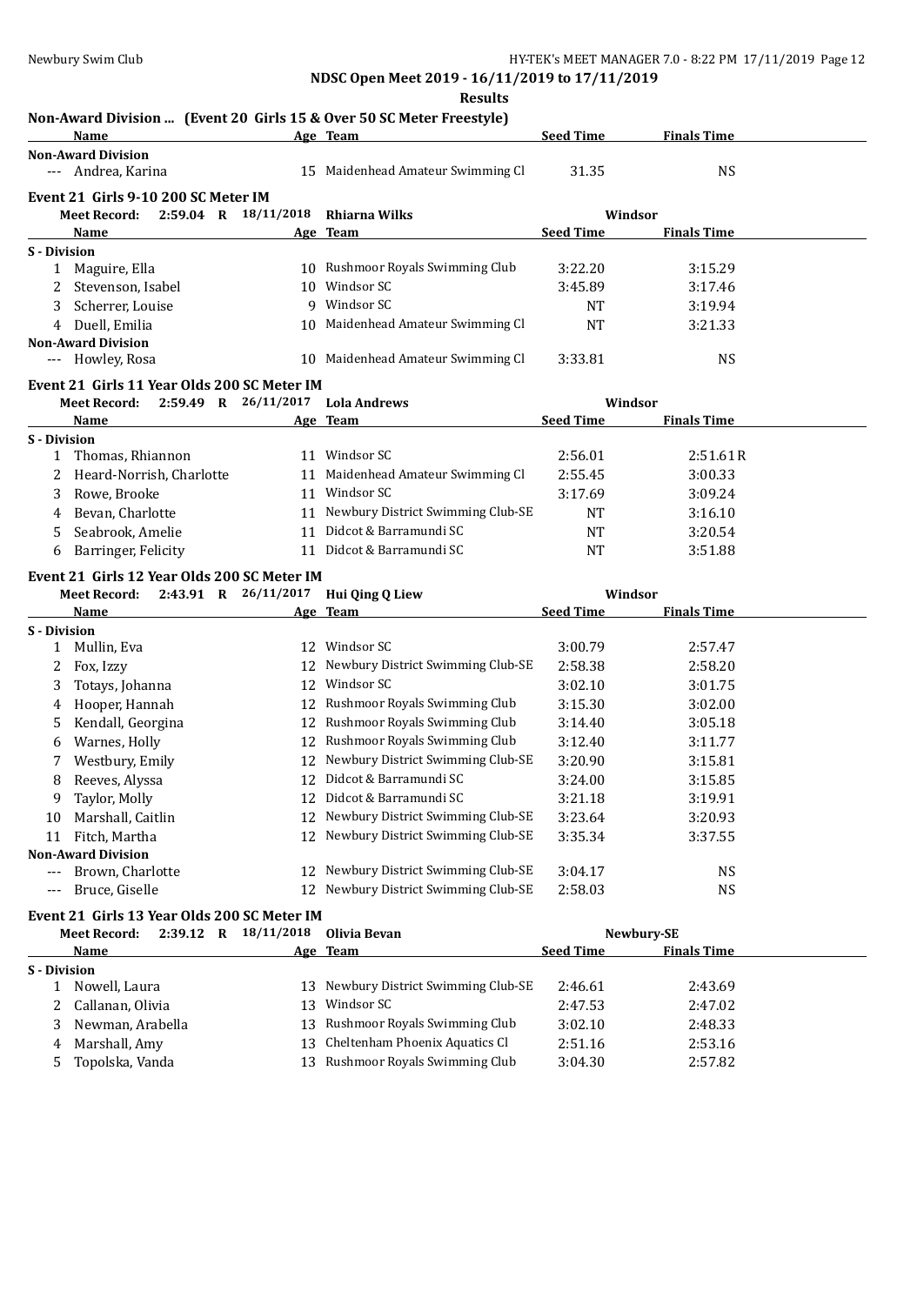**Results**

### **Non-Award Division ... (Event 20 Girls 15 & Over 50 SC Meter Freestyle)**

|                     | Name                                            |                      | Age Team                             | <b>Seed Time</b> | <b>Finals Time</b> |  |
|---------------------|-------------------------------------------------|----------------------|--------------------------------------|------------------|--------------------|--|
|                     | <b>Non-Award Division</b>                       |                      |                                      |                  |                    |  |
|                     | --- Andrea, Karina                              |                      | 15 Maidenhead Amateur Swimming Cl    | 31.35            | <b>NS</b>          |  |
|                     | Event 21 Girls 9-10 200 SC Meter IM             |                      |                                      |                  |                    |  |
|                     | $2:59.04$ R $18/11/2018$<br><b>Meet Record:</b> |                      | Rhiarna Wilks                        | Windsor          |                    |  |
|                     | Name                                            |                      | Age Team                             | <b>Seed Time</b> | <b>Finals Time</b> |  |
| S - Division        |                                                 |                      |                                      |                  |                    |  |
|                     | 1 Maguire, Ella                                 |                      | 10 Rushmoor Royals Swimming Club     | 3:22.20          | 3:15.29            |  |
| 2                   | Stevenson, Isabel                               |                      | 10 Windsor SC                        | 3:45.89          | 3:17.46            |  |
| 3                   | Scherrer, Louise                                |                      | 9 Windsor SC                         | NT               | 3:19.94            |  |
| 4                   | Duell, Emilia                                   |                      | 10 Maidenhead Amateur Swimming Cl    | <b>NT</b>        | 3:21.33            |  |
|                     | <b>Non-Award Division</b>                       |                      |                                      |                  |                    |  |
|                     | --- Howley, Rosa                                |                      | 10 Maidenhead Amateur Swimming Cl    | 3:33.81          | <b>NS</b>          |  |
|                     | Event 21 Girls 11 Year Olds 200 SC Meter IM     |                      |                                      |                  |                    |  |
|                     | 2:59.49 R 26/11/2017<br><b>Meet Record:</b>     |                      | <b>Lola Andrews</b>                  | Windsor          |                    |  |
|                     | Name                                            |                      | Age Team                             | <b>Seed Time</b> | <b>Finals Time</b> |  |
| <b>S</b> - Division |                                                 |                      |                                      |                  |                    |  |
| 1                   | Thomas, Rhiannon                                |                      | 11 Windsor SC                        | 2:56.01          | 2:51.61R           |  |
| 2                   | Heard-Norrish, Charlotte                        |                      | 11 Maidenhead Amateur Swimming Cl    | 2:55.45          | 3:00.33            |  |
| 3                   | Rowe, Brooke                                    |                      | 11 Windsor SC                        | 3:17.69          | 3:09.24            |  |
| 4                   | Bevan, Charlotte                                |                      | 11 Newbury District Swimming Club-SE | <b>NT</b>        | 3:16.10            |  |
| 5                   | Seabrook, Amelie                                |                      | 11 Didcot & Barramundi SC            | NT               | 3:20.54            |  |
| 6                   | Barringer, Felicity                             |                      | 11 Didcot & Barramundi SC            | <b>NT</b>        | 3:51.88            |  |
|                     | Event 21 Girls 12 Year Olds 200 SC Meter IM     |                      |                                      |                  |                    |  |
|                     | Meet Record:                                    | 2:43.91 R 26/11/2017 | Hui Qing Q Liew                      | Windsor          |                    |  |
|                     | Name                                            |                      | <u>Age Team</u>                      | <b>Seed Time</b> | <b>Finals Time</b> |  |
| S - Division        |                                                 |                      |                                      |                  |                    |  |
| 1                   | Mullin, Eva                                     |                      | 12 Windsor SC                        | 3:00.79          | 2:57.47            |  |
| 2                   | Fox, Izzy                                       |                      | 12 Newbury District Swimming Club-SE | 2:58.38          | 2:58.20            |  |
| 3                   | Totays, Johanna                                 |                      | 12 Windsor SC                        | 3:02.10          | 3:01.75            |  |
| 4                   | Hooper, Hannah                                  |                      | 12 Rushmoor Royals Swimming Club     | 3:15.30          | 3:02.00            |  |
| 5                   | Kendall, Georgina                               |                      | 12 Rushmoor Royals Swimming Club     | 3:14.40          | 3:05.18            |  |
| 6                   | Warnes, Holly                                   |                      | 12 Rushmoor Royals Swimming Club     | 3:12.40          | 3:11.77            |  |
| 7                   | Westbury, Emily                                 |                      | 12 Newbury District Swimming Club-SE | 3:20.90          | 3:15.81            |  |
| 8                   | Reeves, Alyssa                                  |                      | 12 Didcot & Barramundi SC            | 3:24.00          | 3:15.85            |  |
| 9                   | Taylor, Molly                                   |                      | 12 Didcot & Barramundi SC            | 3:21.18          | 3:19.91            |  |
| 10                  | Marshall, Caitlin                               |                      | 12 Newbury District Swimming Club-SE | 3:23.64          | 3:20.93            |  |
|                     | 11 Fitch, Martha                                |                      | 12 Newbury District Swimming Club-SE | 3:35.34          | 3:37.55            |  |
|                     | <b>Non-Award Division</b>                       |                      |                                      |                  |                    |  |
|                     | --- Brown, Charlotte                            |                      | 12 Newbury District Swimming Club-SE | 3:04.17          | <b>NS</b>          |  |
|                     | --- Bruce, Giselle                              |                      | 12 Newbury District Swimming Club-SE | 2:58.03          | <b>NS</b>          |  |
|                     | Event 21 Girls 13 Year Olds 200 SC Meter IM     |                      |                                      |                  |                    |  |
|                     | Meet Record:                                    | 2:39.12 R 18/11/2018 | Olivia Bevan                         |                  | Newbury-SE         |  |
|                     | Name                                            |                      | Age Team                             | <b>Seed Time</b> | <b>Finals Time</b> |  |
| S - Division        |                                                 |                      |                                      |                  |                    |  |
|                     | 1 Nowell, Laura                                 |                      | 13 Newbury District Swimming Club-SE | 2:46.61          | 2:43.69            |  |
|                     | 2 Callanan, Olivia                              |                      | 13 Windsor SC                        | 2:47.53          | 2:47.02            |  |

3 Newman, Arabella 13 Rushmoor Royals Swimming Club 3:02.10 2:48.33 4 Marshall, Amy 13 Cheltenham Phoenix Aquatics Cl 2:51.16 2:53.16 5 Topolska, Vanda 13 Rushmoor Royals Swimming Club 3:04.30 2:57.82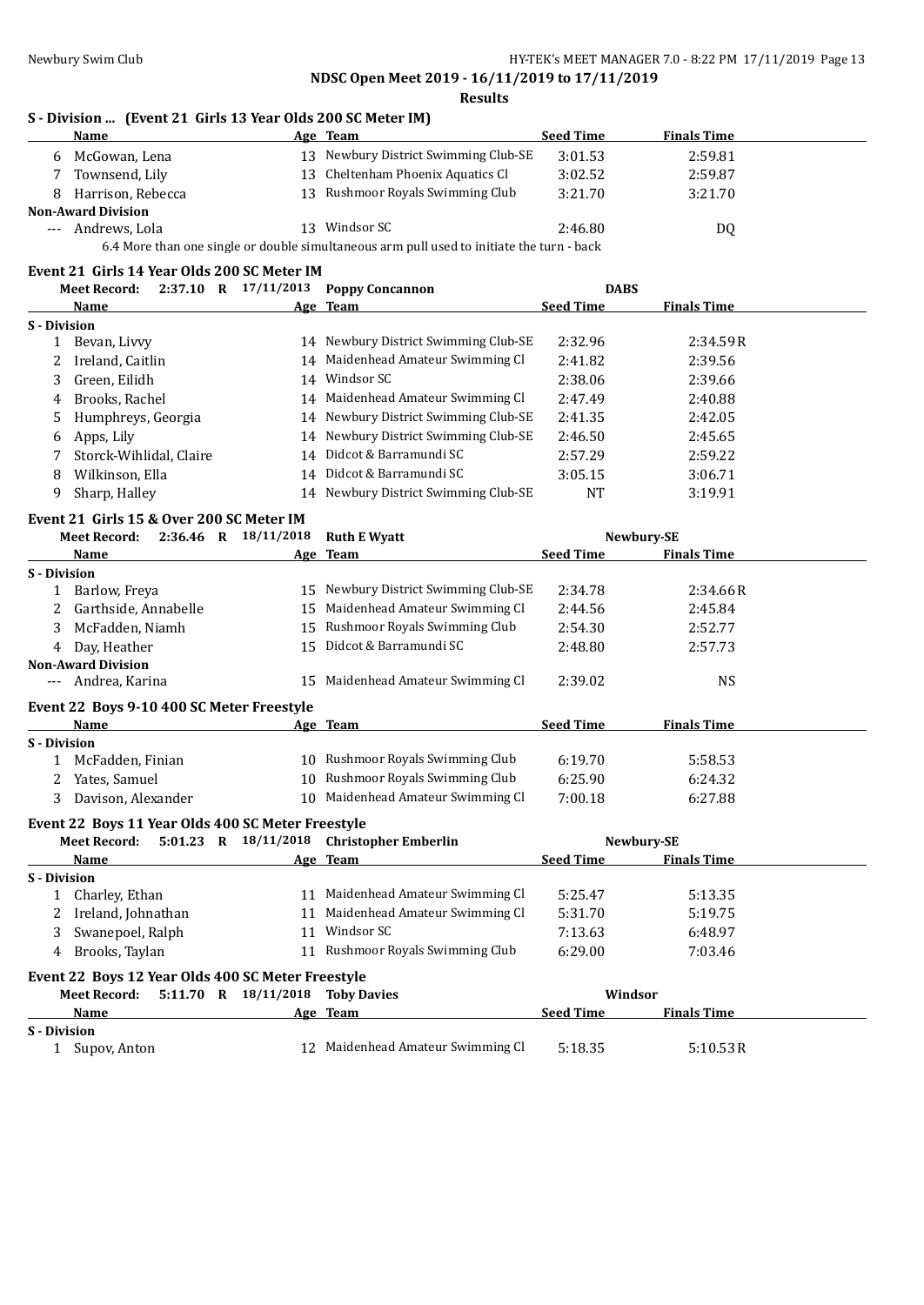**NDSC Open Meet 2019 - 16/11/2019 to 17/11/2019 Results**

# **S - Division ... (Event 21 Girls 13 Year Olds 200 SC Meter IM)**

|                     | Name                                              |    | Age Team                                                                                  | <b>Seed Time</b> | <b>Finals Time</b> |
|---------------------|---------------------------------------------------|----|-------------------------------------------------------------------------------------------|------------------|--------------------|
| 6                   | McGowan, Lena                                     |    | 13 Newbury District Swimming Club-SE                                                      | 3:01.53          | 2:59.81            |
| 7                   | Townsend, Lily                                    |    | 13 Cheltenham Phoenix Aquatics Cl                                                         | 3:02.52          | 2:59.87            |
| 8                   | Harrison, Rebecca                                 |    | 13 Rushmoor Royals Swimming Club                                                          | 3:21.70          | 3:21.70            |
|                     | <b>Non-Award Division</b>                         |    |                                                                                           |                  |                    |
|                     | --- Andrews, Lola                                 |    | 13 Windsor SC                                                                             | 2:46.80          | DQ                 |
|                     |                                                   |    | 6.4 More than one single or double simultaneous arm pull used to initiate the turn - back |                  |                    |
|                     | Event 21 Girls 14 Year Olds 200 SC Meter IM       |    |                                                                                           |                  |                    |
|                     | <b>Meet Record:</b>                               |    | 2:37.10 R 17/11/2013 Poppy Concannon                                                      | <b>DABS</b>      |                    |
|                     | Name                                              |    | Age Team                                                                                  | <b>Seed Time</b> | <b>Finals Time</b> |
| <b>S</b> - Division |                                                   |    |                                                                                           |                  |                    |
| $\mathbf{1}$        | Bevan, Livvy                                      |    | 14 Newbury District Swimming Club-SE                                                      | 2:32.96          | 2:34.59R           |
| 2                   | Ireland, Caitlin                                  |    | 14 Maidenhead Amateur Swimming Cl                                                         | 2:41.82          | 2:39.56            |
| 3                   | Green, Eilidh                                     |    | 14 Windsor SC                                                                             | 2:38.06          | 2:39.66            |
| 4                   | Brooks, Rachel                                    |    | 14 Maidenhead Amateur Swimming Cl                                                         | 2:47.49          | 2:40.88            |
| 5                   | Humphreys, Georgia                                |    | 14 Newbury District Swimming Club-SE                                                      | 2:41.35          | 2:42.05            |
| 6                   | Apps, Lily                                        |    | 14 Newbury District Swimming Club-SE                                                      | 2:46.50          | 2:45.65            |
| 7                   | Storck-Wihlidal, Claire                           |    | 14 Didcot & Barramundi SC                                                                 | 2:57.29          | 2:59.22            |
| 8                   | Wilkinson, Ella                                   |    | 14 Didcot & Barramundi SC                                                                 | 3:05.15          | 3:06.71            |
| 9                   | Sharp, Halley                                     |    | 14 Newbury District Swimming Club-SE                                                      | <b>NT</b>        | 3:19.91            |
|                     | Event 21 Girls 15 & Over 200 SC Meter IM          |    |                                                                                           |                  |                    |
|                     | 2:36.46 R 18/11/2018<br><b>Meet Record:</b>       |    | <b>Ruth E Wyatt</b>                                                                       |                  | Newbury-SE         |
|                     | Name                                              |    | Age Team                                                                                  | <b>Seed Time</b> | <b>Finals Time</b> |
| <b>S</b> - Division |                                                   |    |                                                                                           |                  |                    |
| 1                   | Barlow, Freya                                     |    | 15 Newbury District Swimming Club-SE                                                      | 2:34.78          | 2:34.66R           |
| 2                   | Garthside, Annabelle                              |    | 15 Maidenhead Amateur Swimming Cl                                                         | 2:44.56          | 2:45.84            |
| 3                   | McFadden, Niamh                                   | 15 | Rushmoor Royals Swimming Club                                                             | 2:54.30          | 2:52.77            |
| 4                   | Day, Heather                                      |    | 15 Didcot & Barramundi SC                                                                 | 2:48.80          | 2:57.73            |
|                     | <b>Non-Award Division</b>                         |    |                                                                                           |                  |                    |
|                     | --- Andrea, Karina                                |    | 15 Maidenhead Amateur Swimming Cl                                                         | 2:39.02          | <b>NS</b>          |
|                     | Event 22 Boys 9-10 400 SC Meter Freestyle         |    |                                                                                           |                  |                    |
|                     | Name                                              |    | Age Team                                                                                  | <b>Seed Time</b> | <b>Finals Time</b> |
| <b>S</b> - Division |                                                   |    |                                                                                           |                  |                    |
|                     | 1 McFadden, Finian                                |    | 10 Rushmoor Royals Swimming Club                                                          | 6:19.70          | 5:58.53            |
| 2                   | Yates, Samuel                                     |    | 10 Rushmoor Royals Swimming Club                                                          | 6:25.90          | 6:24.32            |
| 3                   | Davison, Alexander                                |    | 10 Maidenhead Amateur Swimming Cl                                                         | 7:00.18          | 6:27.88            |
|                     |                                                   |    |                                                                                           |                  |                    |
|                     | Event 22 Boys 11 Year Olds 400 SC Meter Freestyle |    |                                                                                           |                  |                    |
|                     | <b>Meet Record:</b>                               |    | 5:01.23 R 18/11/2018 Christopher Emberlin                                                 |                  | Newbury-SE         |
|                     | Name                                              |    | Age Team                                                                                  | <b>Seed Time</b> | <b>Finals Time</b> |
| <b>S</b> - Division |                                                   |    |                                                                                           |                  |                    |
|                     | 1 Charley, Ethan                                  |    | 11 Maidenhead Amateur Swimming Cl<br>11 Maidenhead Amateur Swimming Cl                    | 5:25.47          | 5:13.35            |
| 2                   | Ireland, Johnathan                                |    | 11 Windsor SC                                                                             | 5:31.70          | 5:19.75            |
| 3                   | Swanepoel, Ralph                                  |    |                                                                                           | 7:13.63          | 6:48.97            |
| 4                   | Brooks, Taylan                                    |    | 11 Rushmoor Royals Swimming Club                                                          | 6:29.00          | 7:03.46            |
|                     | Event 22 Boys 12 Year Olds 400 SC Meter Freestyle |    |                                                                                           |                  |                    |
|                     | 5:11.70 R 18/11/2018<br><b>Meet Record:</b>       |    | <b>Toby Davies</b>                                                                        | Windsor          |                    |
|                     | Name                                              |    | Age Team                                                                                  | <b>Seed Time</b> | <b>Finals Time</b> |
| S - Division        |                                                   |    |                                                                                           |                  |                    |
|                     | 1 Supov, Anton                                    |    | 12 Maidenhead Amateur Swimming Cl                                                         | 5:18.35          | 5:10.53R           |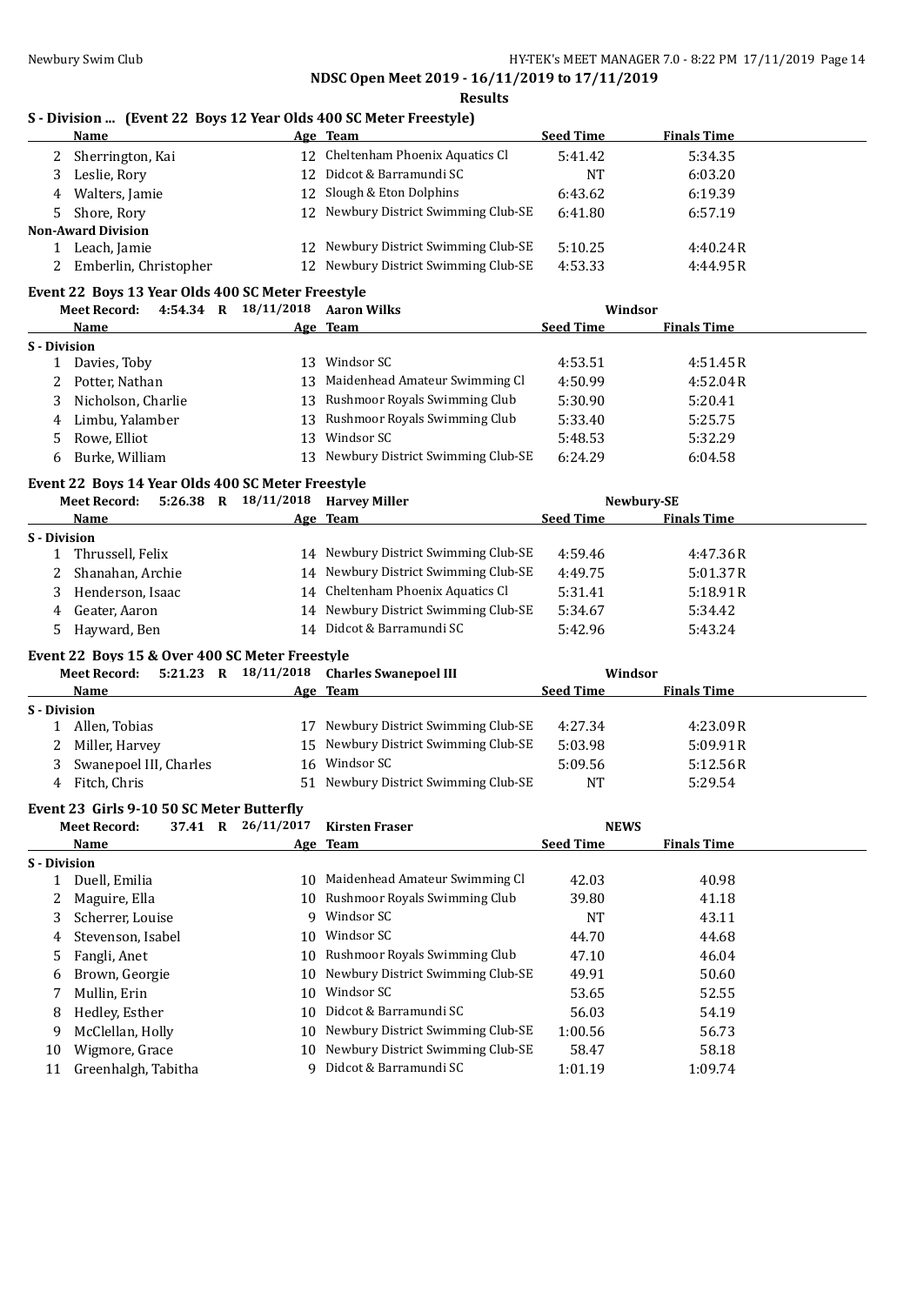**Results**

### **S - Division ... (Event 22 Boys 12 Year Olds 400 SC Meter Freestyle)**

| Name                      | Age Team                             | <b>Seed Time</b> | <b>Finals Time</b> |  |
|---------------------------|--------------------------------------|------------------|--------------------|--|
| Sherrington, Kai          | 12 Cheltenham Phoenix Aquatics Cl    | 5:41.42          | 5:34.35            |  |
| Leslie, Rory              | 12 Didcot & Barramundi SC            | NT               | 6:03.20            |  |
| 4 Walters, Jamie          | 12 Slough & Eton Dolphins            | 6:43.62          | 6:19.39            |  |
| 5 Shore, Rory             | 12 Newbury District Swimming Club-SE | 6:41.80          | 6:57.19            |  |
| <b>Non-Award Division</b> |                                      |                  |                    |  |
| Leach, Jamie              | 12 Newbury District Swimming Club-SE | 5:10.25          | 4:40.24R           |  |
| Emberlin, Christopher     | 12 Newbury District Swimming Club-SE | 4:53.33          | 4:44.95R           |  |

### **Event 22 Boys 13 Year Olds 400 SC Meter Freestyle**

|              | <b>Meet Record:</b> | 4:54.34 R | 18/11/2018 | <b>Aaron Wilks</b>                | Windsor          |                    |  |
|--------------|---------------------|-----------|------------|-----------------------------------|------------------|--------------------|--|
|              | Name                |           |            | Age Team                          | <b>Seed Time</b> | <b>Finals Time</b> |  |
| S - Division |                     |           |            |                                   |                  |                    |  |
|              | Davies, Toby        |           | 13.        | Windsor SC                        | 4:53.51          | 4:51.45R           |  |
|              | Potter, Nathan      |           | 13         | Maidenhead Amateur Swimming Cl    | 4:50.99          | 4:52.04R           |  |
| 3.           | Nicholson, Charlie  |           |            | 13 Rushmoor Royals Swimming Club  | 5:30.90          | 5:20.41            |  |
| 4            | Limbu, Yalamber     |           | 13         | Rushmoor Royals Swimming Club     | 5:33.40          | 5:25.75            |  |
|              | Rowe, Elliot        |           | 13         | Windsor SC                        | 5:48.53          | 5:32.29            |  |
|              | Burke, William      |           | 13         | Newbury District Swimming Club-SE | 6:24.29          | 6:04.58            |  |

### **Event 22 Boys 14 Year Olds 400 SC Meter Freestyle**

| 5:26.38<br>$\mathbf R$<br><b>Meet Record:</b> | <b>Harvey Miller</b> |                                                                                                                                                                                                                                                                                 |                    |            |
|-----------------------------------------------|----------------------|---------------------------------------------------------------------------------------------------------------------------------------------------------------------------------------------------------------------------------------------------------------------------------|--------------------|------------|
| Name                                          |                      | <b>Seed Time</b>                                                                                                                                                                                                                                                                | <b>Finals Time</b> |            |
| S - Division                                  |                      |                                                                                                                                                                                                                                                                                 |                    |            |
| Thrussell, Felix                              |                      | 4:59.46                                                                                                                                                                                                                                                                         | 4:47.36 R          |            |
| Shanahan, Archie                              |                      | 4:49.75                                                                                                                                                                                                                                                                         | 5:01.37R           |            |
| Henderson, Isaac                              |                      | 5:31.41                                                                                                                                                                                                                                                                         | 5:18.91R           |            |
| Geater, Aaron                                 |                      | 5:34.67                                                                                                                                                                                                                                                                         | 5:34.42            |            |
| Hayward, Ben                                  |                      | 5:42.96                                                                                                                                                                                                                                                                         | 5:43.24            |            |
|                                               |                      | <u>Liville a Doid II Iumi vimd Iou du Pictul II codtile</u><br>18/11/2018<br>Age Team<br>14 Newbury District Swimming Club-SE<br>14 Newbury District Swimming Club-SE<br>14 Cheltenham Phoenix Aquatics Cl<br>14 Newbury District Swimming Club-SE<br>14 Didcot & Barramundi SC |                    | Newbury-SE |

### **Event 22 Boys 15 & Over 400 SC Meter Freestyle**

|              | <b>Meet Record:</b>    | 5:21.23 R |    | 18/11/2018 Charles Swanepoel III     |                  | Windsor            |  |
|--------------|------------------------|-----------|----|--------------------------------------|------------------|--------------------|--|
|              | Name                   |           |    | Age Team                             | <b>Seed Time</b> | <b>Finals Time</b> |  |
| S - Division |                        |           |    |                                      |                  |                    |  |
|              | Allen, Tobias          |           |    | 17 Newbury District Swimming Club-SE | 4:27.34          | 4:23.09R           |  |
|              | 2 Miller, Harvey       |           |    | 15 Newbury District Swimming Club-SE | 5:03.98          | 5:09.91R           |  |
| 3            | Swanepoel III, Charles |           |    | 16 Windsor SC                        | 5:09.56          | 5:12.56R           |  |
| 4            | Fitch, Chris           |           | 51 | Newbury District Swimming Club-SE    | NT               | 5:29.54            |  |

### **Event 23 Girls 9-10 50 SC Meter Butterfly**

|              | <b>Meet Record:</b> | 37.41 | R | 26/11/2017 | <b>Kirsten Fraser</b>             | <b>NEWS</b>      |                    |  |
|--------------|---------------------|-------|---|------------|-----------------------------------|------------------|--------------------|--|
|              | Name                |       |   |            | Age Team                          | <b>Seed Time</b> | <b>Finals Time</b> |  |
| S - Division |                     |       |   |            |                                   |                  |                    |  |
|              | Duell, Emilia       |       |   | 10         | Maidenhead Amateur Swimming Cl    | 42.03            | 40.98              |  |
| 2            | Maguire, Ella       |       |   |            | 10 Rushmoor Royals Swimming Club  | 39.80            | 41.18              |  |
| 3            | Scherrer, Louise    |       |   | 9          | Windsor SC                        | NT               | 43.11              |  |
| 4            | Stevenson, Isabel   |       |   | 10         | Windsor SC                        | 44.70            | 44.68              |  |
| 5.           | Fangli, Anet        |       |   | 10         | Rushmoor Royals Swimming Club     | 47.10            | 46.04              |  |
| 6            | Brown, Georgie      |       |   | 10         | Newbury District Swimming Club-SE | 49.91            | 50.60              |  |
|              | Mullin, Erin        |       |   | 10         | Windsor SC                        | 53.65            | 52.55              |  |
| 8            | Hedley, Esther      |       |   | 10         | Didcot & Barramundi SC            | 56.03            | 54.19              |  |
| 9            | McClellan, Holly    |       |   | 10.        | Newbury District Swimming Club-SE | 1:00.56          | 56.73              |  |
| 10           | Wigmore, Grace      |       |   | 10         | Newbury District Swimming Club-SE | 58.47            | 58.18              |  |
| 11           | Greenhalgh, Tabitha |       |   |            | Didcot & Barramundi SC            | 1:01.19          | 1:09.74            |  |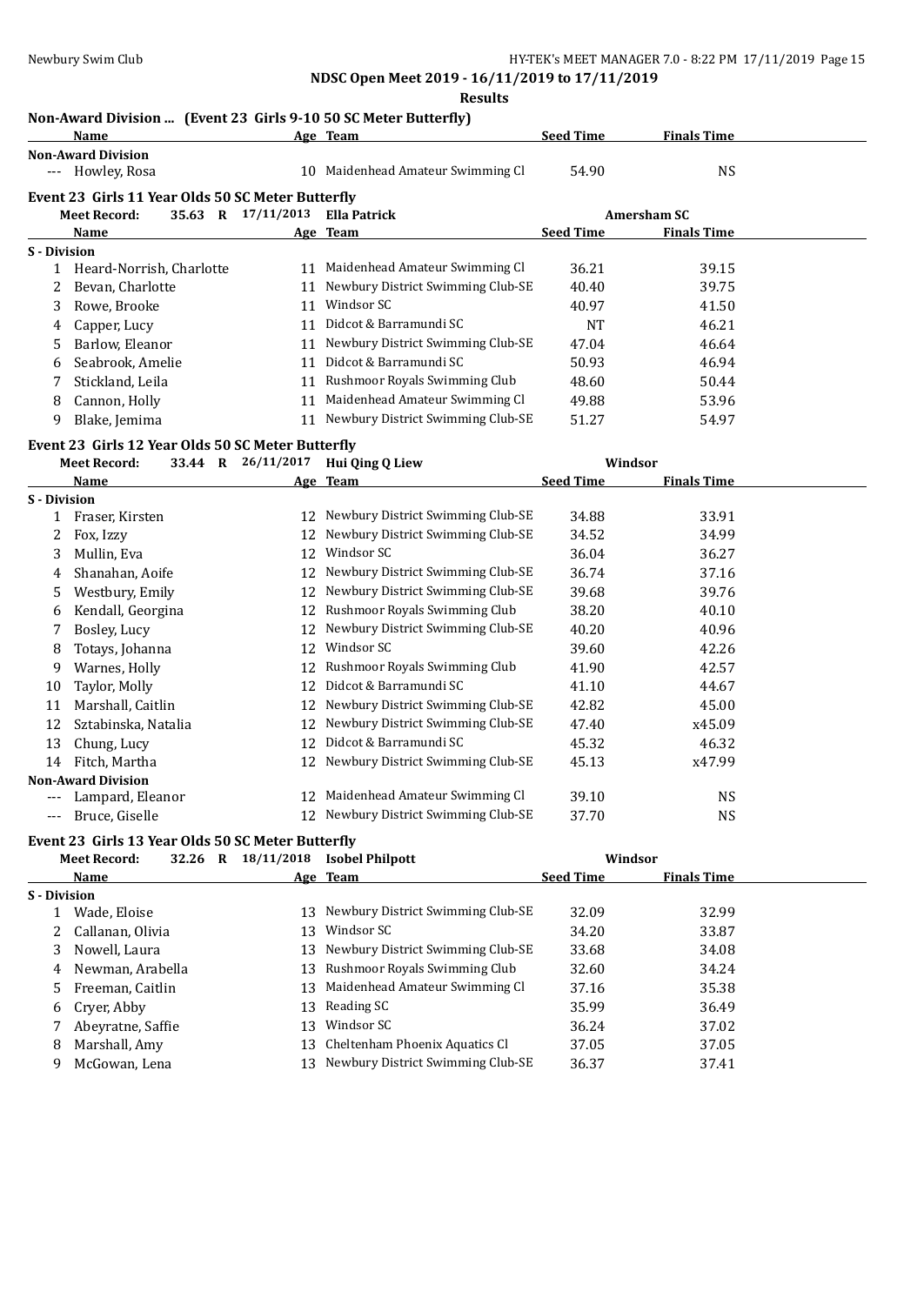**Results**

### **Non-Award Division ... (Event 23 Girls 9-10 50 SC Meter Butterfly)**

|                     | Name                                              |                    | Age Team                             | <b>Seed Time</b> | <b>Finals Time</b> |  |
|---------------------|---------------------------------------------------|--------------------|--------------------------------------|------------------|--------------------|--|
|                     | <b>Non-Award Division</b>                         |                    |                                      |                  |                    |  |
|                     | --- Howley, Rosa                                  |                    | 10 Maidenhead Amateur Swimming Cl    | 54.90            | <b>NS</b>          |  |
|                     | Event 23 Girls 11 Year Olds 50 SC Meter Butterfly |                    |                                      |                  |                    |  |
|                     | <b>Meet Record:</b>                               | 35.63 R 17/11/2013 | <b>Ella Patrick</b>                  |                  | <b>Amersham SC</b> |  |
|                     | Name                                              |                    | Age Team                             | <b>Seed Time</b> | <b>Finals Time</b> |  |
| <b>S</b> - Division |                                                   |                    |                                      |                  |                    |  |
| 1                   | Heard-Norrish, Charlotte                          |                    | 11 Maidenhead Amateur Swimming Cl    | 36.21            | 39.15              |  |
| 2                   | Bevan, Charlotte                                  |                    | 11 Newbury District Swimming Club-SE | 40.40            | 39.75              |  |
| 3                   | Rowe, Brooke                                      |                    | 11 Windsor SC                        | 40.97            | 41.50              |  |
| 4                   | Capper, Lucy                                      |                    | 11 Didcot & Barramundi SC            | <b>NT</b>        | 46.21              |  |
| 5                   | Barlow, Eleanor                                   | 11                 | Newbury District Swimming Club-SE    | 47.04            | 46.64              |  |
| 6                   | Seabrook, Amelie                                  |                    | 11 Didcot & Barramundi SC            | 50.93            | 46.94              |  |
|                     | Stickland, Leila                                  |                    | 11 Rushmoor Royals Swimming Club     | 48.60            | 50.44              |  |
| 7                   |                                                   |                    | 11 Maidenhead Amateur Swimming Cl    |                  |                    |  |
| 8                   | Cannon, Holly                                     |                    | 11 Newbury District Swimming Club-SE | 49.88            | 53.96              |  |
| 9                   | Blake, Jemima                                     |                    |                                      | 51.27            | 54.97              |  |
|                     | Event 23 Girls 12 Year Olds 50 SC Meter Butterfly |                    |                                      |                  |                    |  |
|                     | <b>Meet Record:</b>                               | 33.44 R 26/11/2017 | Hui Qing Q Liew                      |                  | Windsor            |  |
|                     | Name                                              |                    | Age Team                             | <b>Seed Time</b> | <b>Finals Time</b> |  |
| S - Division        |                                                   |                    |                                      |                  |                    |  |
| 1                   | Fraser, Kirsten                                   |                    | 12 Newbury District Swimming Club-SE | 34.88            | 33.91              |  |
| 2                   | Fox, Izzy                                         | 12                 | Newbury District Swimming Club-SE    | 34.52            | 34.99              |  |
| 3                   | Mullin, Eva                                       | 12                 | Windsor SC                           | 36.04            | 36.27              |  |
| 4                   | Shanahan, Aoife                                   |                    | 12 Newbury District Swimming Club-SE | 36.74            | 37.16              |  |
| 5                   | Westbury, Emily                                   | 12                 | Newbury District Swimming Club-SE    | 39.68            | 39.76              |  |
| 6                   | Kendall, Georgina                                 | 12                 | Rushmoor Royals Swimming Club        | 38.20            | 40.10              |  |
| 7                   | Bosley, Lucy                                      | 12                 | Newbury District Swimming Club-SE    | 40.20            | 40.96              |  |
| 8                   | Totays, Johanna                                   | 12                 | Windsor SC                           | 39.60            | 42.26              |  |
| 9                   | Warnes, Holly                                     | 12                 | Rushmoor Royals Swimming Club        | 41.90            | 42.57              |  |
| 10                  | Taylor, Molly                                     | 12                 | Didcot & Barramundi SC               | 41.10            | 44.67              |  |
| 11                  | Marshall, Caitlin                                 | 12                 | Newbury District Swimming Club-SE    | 42.82            | 45.00              |  |
| 12                  | Sztabinska, Natalia                               | 12                 | Newbury District Swimming Club-SE    | 47.40            | x45.09             |  |
| 13                  | Chung, Lucy                                       | 12                 | Didcot & Barramundi SC               | 45.32            | 46.32              |  |
| 14                  | Fitch, Martha                                     |                    | 12 Newbury District Swimming Club-SE | 45.13            | x47.99             |  |
|                     | <b>Non-Award Division</b>                         |                    |                                      |                  |                    |  |
|                     | Lampard, Eleanor                                  |                    | 12 Maidenhead Amateur Swimming Cl    | 39.10            | <b>NS</b>          |  |
| ---                 | Bruce, Giselle                                    |                    | 12 Newbury District Swimming Club-SE | 37.70            | <b>NS</b>          |  |
|                     | Event 23 Girls 13 Year Olds 50 SC Meter Butterfly |                    |                                      |                  |                    |  |
|                     | <b>Meet Record:</b><br>32.26 R                    | 18/11/2018         | <b>Isobel Philpott</b>               |                  | Windsor            |  |
|                     | Name                                              |                    | Age Team                             | <b>Seed Time</b> | <b>Finals Time</b> |  |
| S - Division        |                                                   |                    |                                      |                  |                    |  |
| $\mathbf{1}$        | Wade, Eloise                                      | 13                 | Newbury District Swimming Club-SE    | 32.09            | 32.99              |  |
| 2                   | Callanan, Olivia                                  | 13                 | Windsor SC                           | 34.20            | 33.87              |  |
| 3                   | Nowell, Laura                                     | 13                 | Newbury District Swimming Club-SE    | 33.68            | 34.08              |  |
| 4                   | Newman, Arabella                                  | 13                 | Rushmoor Royals Swimming Club        | 32.60            | 34.24              |  |
| 5                   | Freeman, Caitlin                                  | 13                 | Maidenhead Amateur Swimming Cl       | 37.16            | 35.38              |  |
| 6                   | Cryer, Abby                                       | 13                 | Reading SC                           | 35.99            | 36.49              |  |
| 7                   | Abeyratne, Saffie                                 | 13                 | Windsor SC                           | 36.24            | 37.02              |  |
| 8                   | Marshall, Amy                                     | 13                 | Cheltenham Phoenix Aquatics Cl       | 37.05            | 37.05              |  |
| 9                   | McGowan, Lena                                     |                    | 13 Newbury District Swimming Club-SE | 36.37            | 37.41              |  |
|                     |                                                   |                    |                                      |                  |                    |  |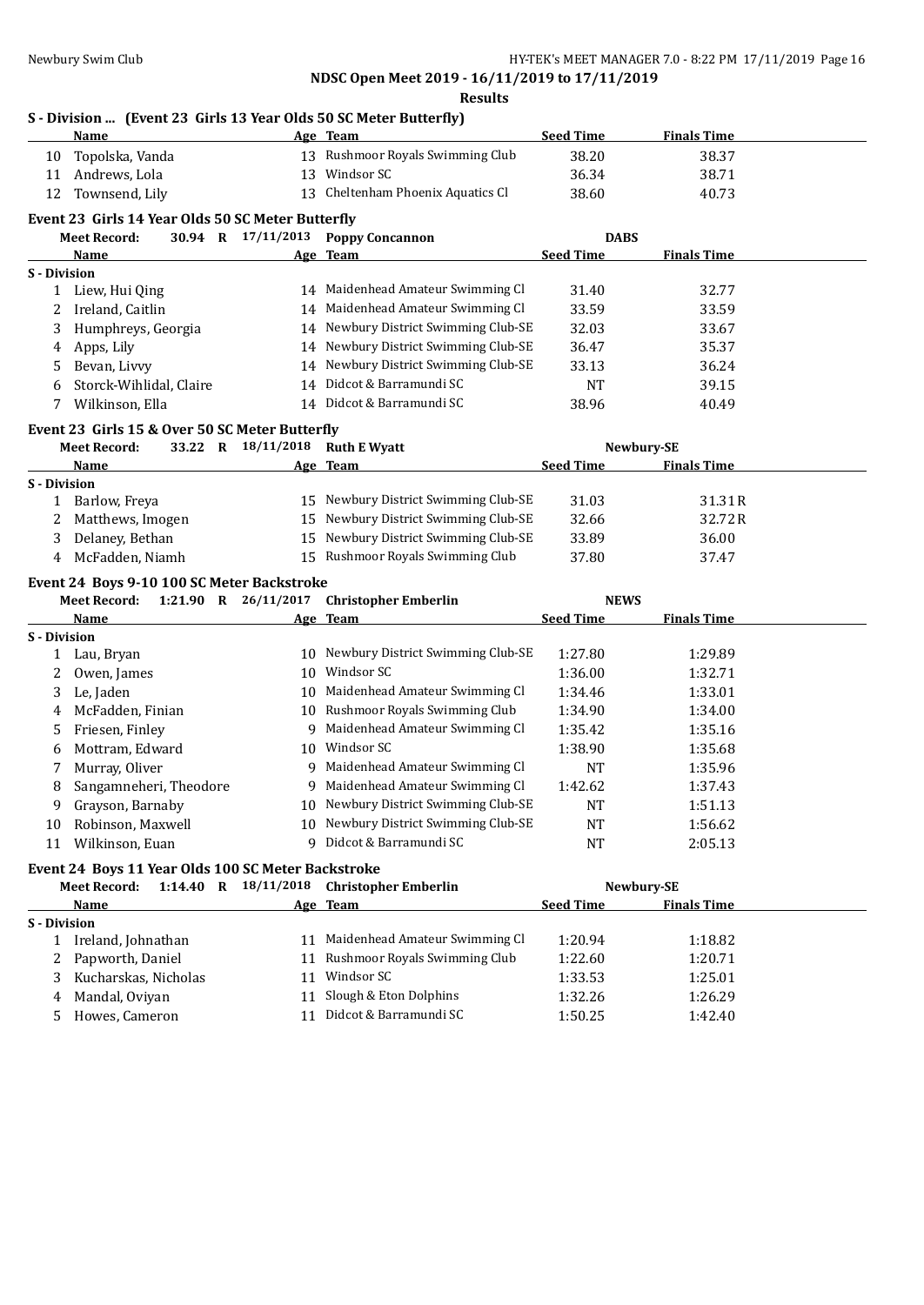**Results**

# **S - Division ... (Event 23 Girls 13 Year Olds 50 SC Meter Butterfly)**

|                     | <u>Name</u>                                                                        |                    | Age Team                                   | <b>Seed Time</b>   | <b>Finals Time</b> |  |
|---------------------|------------------------------------------------------------------------------------|--------------------|--------------------------------------------|--------------------|--------------------|--|
| 10                  | Topolska, Vanda                                                                    |                    | 13 Rushmoor Royals Swimming Club           | 38.20              | 38.37              |  |
| 11                  | Andrews, Lola                                                                      |                    | 13 Windsor SC                              | 36.34              | 38.71              |  |
| 12                  | Townsend, Lily                                                                     |                    | 13 Cheltenham Phoenix Aquatics Cl          | 38.60              | 40.73              |  |
|                     | Event 23 Girls 14 Year Olds 50 SC Meter Butterfly                                  |                    |                                            |                    |                    |  |
|                     | <b>Meet Record:</b>                                                                |                    | 30.94 R 17/11/2013 Poppy Concannon         | <b>DABS</b>        |                    |  |
|                     | Name                                                                               |                    | Age Team                                   | <b>Seed Time</b>   | <b>Finals Time</b> |  |
| <b>S</b> - Division |                                                                                    |                    |                                            |                    |                    |  |
|                     | 1 Liew, Hui Qing                                                                   |                    | 14 Maidenhead Amateur Swimming Cl          | 31.40              | 32.77              |  |
|                     | 2 Ireland, Caitlin                                                                 |                    | 14 Maidenhead Amateur Swimming Cl          | 33.59              | 33.59              |  |
| 3                   | Humphreys, Georgia                                                                 |                    | 14 Newbury District Swimming Club-SE       | 32.03              | 33.67              |  |
| 4                   | Apps, Lily                                                                         |                    | 14 Newbury District Swimming Club-SE       | 36.47              | 35.37              |  |
| 5                   | Bevan, Livvy                                                                       |                    | 14 Newbury District Swimming Club-SE       | 33.13              | 36.24              |  |
| 6                   | Storck-Wihlidal, Claire                                                            |                    | 14 Didcot & Barramundi SC                  | <b>NT</b>          | 39.15              |  |
| 7                   | Wilkinson, Ella                                                                    |                    | 14 Didcot & Barramundi SC                  | 38.96              | 40.49              |  |
|                     |                                                                                    |                    |                                            |                    |                    |  |
|                     | Event 23 Girls 15 & Over 50 SC Meter Butterfly<br><b>Meet Record:</b>              | 33.22 R 18/11/2018 | <b>Ruth E Wyatt</b>                        |                    | Newbury-SE         |  |
|                     | Name                                                                               |                    | Age Team                                   | <b>Seed Time</b>   | <b>Finals Time</b> |  |
| S - Division        |                                                                                    |                    |                                            |                    |                    |  |
| 1                   | Barlow, Freya                                                                      |                    | 15 Newbury District Swimming Club-SE       | 31.03              | 31.31R             |  |
| 2                   | Matthews, Imogen                                                                   |                    | 15 Newbury District Swimming Club-SE       | 32.66              | 32.72R             |  |
| 3                   | Delaney, Bethan                                                                    |                    | 15 Newbury District Swimming Club-SE       | 33.89              | 36.00              |  |
| 4                   | McFadden, Niamh                                                                    |                    | 15 Rushmoor Royals Swimming Club           | 37.80              | 37.47              |  |
|                     |                                                                                    |                    |                                            |                    |                    |  |
|                     | Event 24 Boys 9-10 100 SC Meter Backstroke<br>1:21.90 R 26/11/2017<br>Meet Record: |                    | <b>Christopher Emberlin</b>                | <b>NEWS</b>        |                    |  |
|                     | Name                                                                               |                    | Age Team                                   | <b>Seed Time</b>   | <b>Finals Time</b> |  |
| S - Division        |                                                                                    |                    |                                            |                    |                    |  |
|                     | 1 Lau, Bryan                                                                       |                    | 10 Newbury District Swimming Club-SE       | 1:27.80            | 1:29.89            |  |
| 2                   | Owen, James                                                                        |                    | 10 Windsor SC                              | 1:36.00            | 1:32.71            |  |
| 3                   | Le, Jaden                                                                          |                    | 10 Maidenhead Amateur Swimming Cl          | 1:34.46            | 1:33.01            |  |
| 4                   | McFadden, Finian                                                                   |                    | 10 Rushmoor Royals Swimming Club           | 1:34.90            | 1:34.00            |  |
| 5                   | Friesen, Finley                                                                    |                    | 9 Maidenhead Amateur Swimming Cl           | 1:35.42            | 1:35.16            |  |
| 6                   | Mottram, Edward                                                                    |                    | 10 Windsor SC                              | 1:38.90            | 1:35.68            |  |
| 7                   | Murray, Oliver                                                                     |                    | 9 Maidenhead Amateur Swimming Cl           | <b>NT</b>          | 1:35.96            |  |
| 8                   | Sangamneheri, Theodore                                                             |                    | 9 Maidenhead Amateur Swimming Cl           | 1:42.62            | 1:37.43            |  |
| 9                   | Grayson, Barnaby                                                                   |                    | 10 Newbury District Swimming Club-SE       | <b>NT</b>          | 1:51.13            |  |
|                     | 10 Robinson, Maxwell                                                               |                    | 10 Newbury District Swimming Club-SE       | <b>NT</b>          | 1:56.62            |  |
|                     | 11 Wilkinson, Euan                                                                 |                    | 9 Didcot & Barramundi SC                   | <b>NT</b>          | 2:05.13            |  |
|                     |                                                                                    |                    |                                            |                    |                    |  |
|                     | Event 24 Boys 11 Year Olds 100 SC Meter Backstroke                                 |                    |                                            |                    |                    |  |
|                     | Meet Record:                                                                       |                    | 1:14.40 R 18/11/2018 Christopher Emberlin  |                    | Newbury-SE         |  |
| S - Division        | <b>Name</b>                                                                        |                    | Age Team                                   | <b>Seed Time</b>   | <b>Finals Time</b> |  |
| $\mathbf{1}$        | Ireland, Johnathan                                                                 |                    | 11 Maidenhead Amateur Swimming Cl          | 1:20.94            | 1:18.82            |  |
| 2                   | Papworth, Daniel                                                                   |                    | 11 Rushmoor Royals Swimming Club           | 1:22.60            | 1:20.71            |  |
|                     |                                                                                    |                    |                                            |                    |                    |  |
|                     |                                                                                    |                    |                                            |                    |                    |  |
| 3<br>4              | Kucharskas, Nicholas<br>Mandal, Oviyan                                             |                    | 11 Windsor SC<br>11 Slough & Eton Dolphins | 1:33.53<br>1:32.26 | 1:25.01<br>1:26.29 |  |

5 Howes, Cameron 11 Didcot & Barramundi SC 1:50.25 1:42.40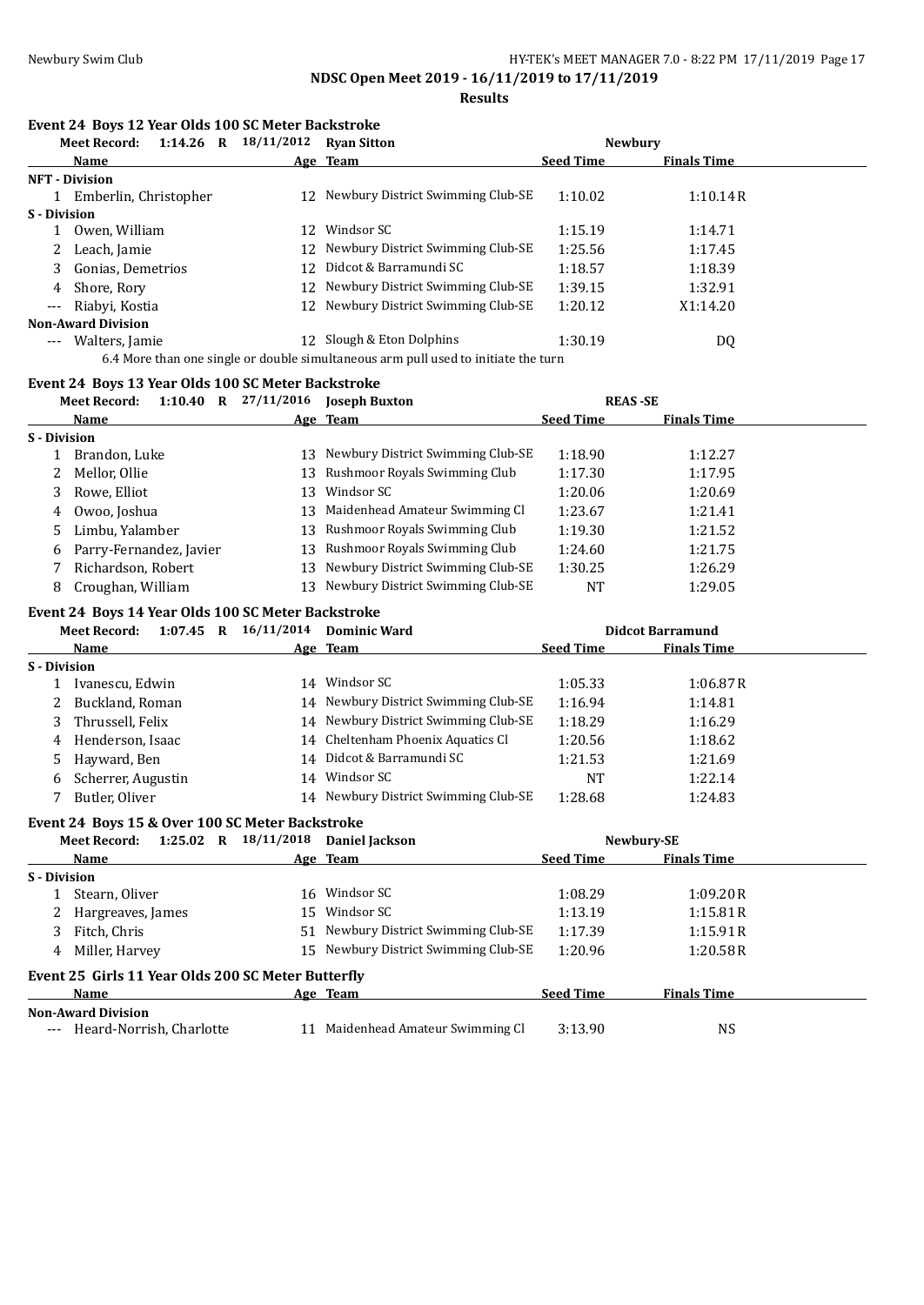**Results**

### **Event 24 Boys 12 Year Olds 100 SC Meter Backstroke**

|                     | $1:14.26$ R<br><b>Meet Record:</b>                                                 | 18/11/2012 | <b>Ryan Sitton</b>                | <b>Newbury</b>   |                    |  |  |  |  |
|---------------------|------------------------------------------------------------------------------------|------------|-----------------------------------|------------------|--------------------|--|--|--|--|
|                     | <b>Name</b>                                                                        |            | Age Team                          | <b>Seed Time</b> | <b>Finals Time</b> |  |  |  |  |
|                     | <b>NFT</b> - Division                                                              |            |                                   |                  |                    |  |  |  |  |
|                     | 1 Emberlin, Christopher                                                            | 12         | Newbury District Swimming Club-SE | 1:10.02          | 1:10.14R           |  |  |  |  |
| S - Division        |                                                                                    |            |                                   |                  |                    |  |  |  |  |
|                     | Owen, William                                                                      | 12         | Windsor SC                        | 1:15.19          | 1:14.71            |  |  |  |  |
|                     | 2 Leach, Jamie                                                                     | 12         | Newbury District Swimming Club-SE | 1:25.56          | 1:17.45            |  |  |  |  |
|                     | 3 Gonias, Demetrios                                                                | 12.        | Didcot & Barramundi SC            | 1:18.57          | 1:18.39            |  |  |  |  |
| 4                   | Shore, Rory                                                                        | 12         | Newbury District Swimming Club-SE | 1:39.15          | 1:32.91            |  |  |  |  |
| $\qquad \qquad - -$ | Riabyi, Kostia                                                                     | 12         | Newbury District Swimming Club-SE | 1:20.12          | X1:14.20           |  |  |  |  |
|                     | <b>Non-Award Division</b>                                                          |            |                                   |                  |                    |  |  |  |  |
| $---$               | Walters, Jamie                                                                     |            | 12 Slough & Eton Dolphins         | 1:30.19          | DQ                 |  |  |  |  |
|                     | 6.4 More than one single or double simultaneous arm pull used to initiate the turn |            |                                   |                  |                    |  |  |  |  |

# **Event 24 Boys 13 Year Olds 100 SC Meter Backstroke**

|              | <b>Meet Record:</b>     | 1:10.40 | $\mathbf R$ | 27/11/2016 | <b>Joseph Buxton</b>                 | <b>REAS-SE</b>   |                    |  |
|--------------|-------------------------|---------|-------------|------------|--------------------------------------|------------------|--------------------|--|
|              | Name                    |         |             |            | Age Team                             | <b>Seed Time</b> | <b>Finals Time</b> |  |
| S - Division |                         |         |             |            |                                      |                  |                    |  |
|              | Brandon, Luke           |         |             | 13.        | Newbury District Swimming Club-SE    | 1:18.90          | 1:12.27            |  |
| 2            | Mellor, Ollie           |         |             |            | 13 Rushmoor Royals Swimming Club     | 1:17.30          | 1:17.95            |  |
| 3.           | Rowe, Elliot            |         |             | 13         | Windsor SC                           | 1:20.06          | 1:20.69            |  |
|              | 4 Owoo, Joshua          |         |             |            | 13 Maidenhead Amateur Swimming Cl    | 1:23.67          | 1:21.41            |  |
|              | Limbu, Yalamber         |         |             |            | 13 Rushmoor Royals Swimming Club     | 1:19.30          | 1:21.52            |  |
| 6            | Parry-Fernandez, Javier |         |             |            | 13 Rushmoor Royals Swimming Club     | 1:24.60          | 1:21.75            |  |
|              | Richardson, Robert      |         |             |            | 13 Newbury District Swimming Club-SE | 1:30.25          | 1:26.29            |  |
|              | Croughan, William       |         |             | 13.        | Newbury District Swimming Club-SE    | NT               | 1:29.05            |  |

## **Event 24 Boys 14 Year Olds 100 SC Meter Backstroke**

|                     | <b>Meet Record:</b> | 1:07.45 | R | 16/11/2014 | <b>Dominic Ward</b>                  |                  | <b>Didcot Barramund</b> |  |
|---------------------|---------------------|---------|---|------------|--------------------------------------|------------------|-------------------------|--|
|                     | Name                |         |   |            | Age Team                             | <b>Seed Time</b> | <b>Finals Time</b>      |  |
| <b>S</b> - Division |                     |         |   |            |                                      |                  |                         |  |
|                     | Ivanescu, Edwin     |         |   | 14         | Windsor SC                           | 1:05.33          | 1:06.87R                |  |
|                     | 2 Buckland, Roman   |         |   |            | 14 Newbury District Swimming Club-SE | 1:16.94          | 1:14.81                 |  |
|                     | 3 Thrussell, Felix  |         |   |            | 14 Newbury District Swimming Club-SE | 1:18.29          | 1:16.29                 |  |
|                     | 4 Henderson, Isaac  |         |   |            | 14 Cheltenham Phoenix Aquatics Cl    | 1:20.56          | 1:18.62                 |  |
|                     | 5 Hayward, Ben      |         |   |            | 14 Didcot & Barramundi SC            | 1:21.53          | 1:21.69                 |  |
| 6                   | Scherrer, Augustin  |         |   |            | 14 Windsor SC                        | NT               | 1:22.14                 |  |
|                     | Butler, Oliver      |         |   |            | 14 Newbury District Swimming Club-SE | 1:28.68          | 1:24.83                 |  |

# **Event 24 Boys 15 & Over 100 SC Meter Backstroke**

|                     | Meet Record:                                       | $1:25.02$ R | 18/11/2018 | <b>Daniel Jackson</b>                |                  | Newbury-SE         |  |
|---------------------|----------------------------------------------------|-------------|------------|--------------------------------------|------------------|--------------------|--|
|                     | Name                                               |             |            | Age Team                             | <b>Seed Time</b> | <b>Finals Time</b> |  |
| <b>S</b> - Division |                                                    |             |            |                                      |                  |                    |  |
|                     | Stearn, Oliver                                     |             |            | 16 Windsor SC                        | 1:08.29          | 1:09.20R           |  |
| 2                   | Hargreaves, James                                  |             | 15         | Windsor SC                           | 1:13.19          | 1:15.81R           |  |
|                     | Fitch, Chris                                       |             |            | 51 Newbury District Swimming Club-SE | 1:17.39          | 1:15.91R           |  |
| 4                   | Miller, Harvey                                     |             |            | 15 Newbury District Swimming Club-SE | 1:20.96          | 1:20.58R           |  |
|                     | Event 25 Girls 11 Year Olds 200 SC Meter Butterfly |             |            |                                      |                  |                    |  |
|                     | <b>Name</b>                                        |             |            | Age Team                             | <b>Seed Time</b> | <b>Finals Time</b> |  |
|                     | <b>Non-Award Division</b>                          |             |            |                                      |                  |                    |  |
|                     | Heard-Norrish, Charlotte                           |             | 11         | Maidenhead Amateur Swimming Cl       | 3:13.90          | NS                 |  |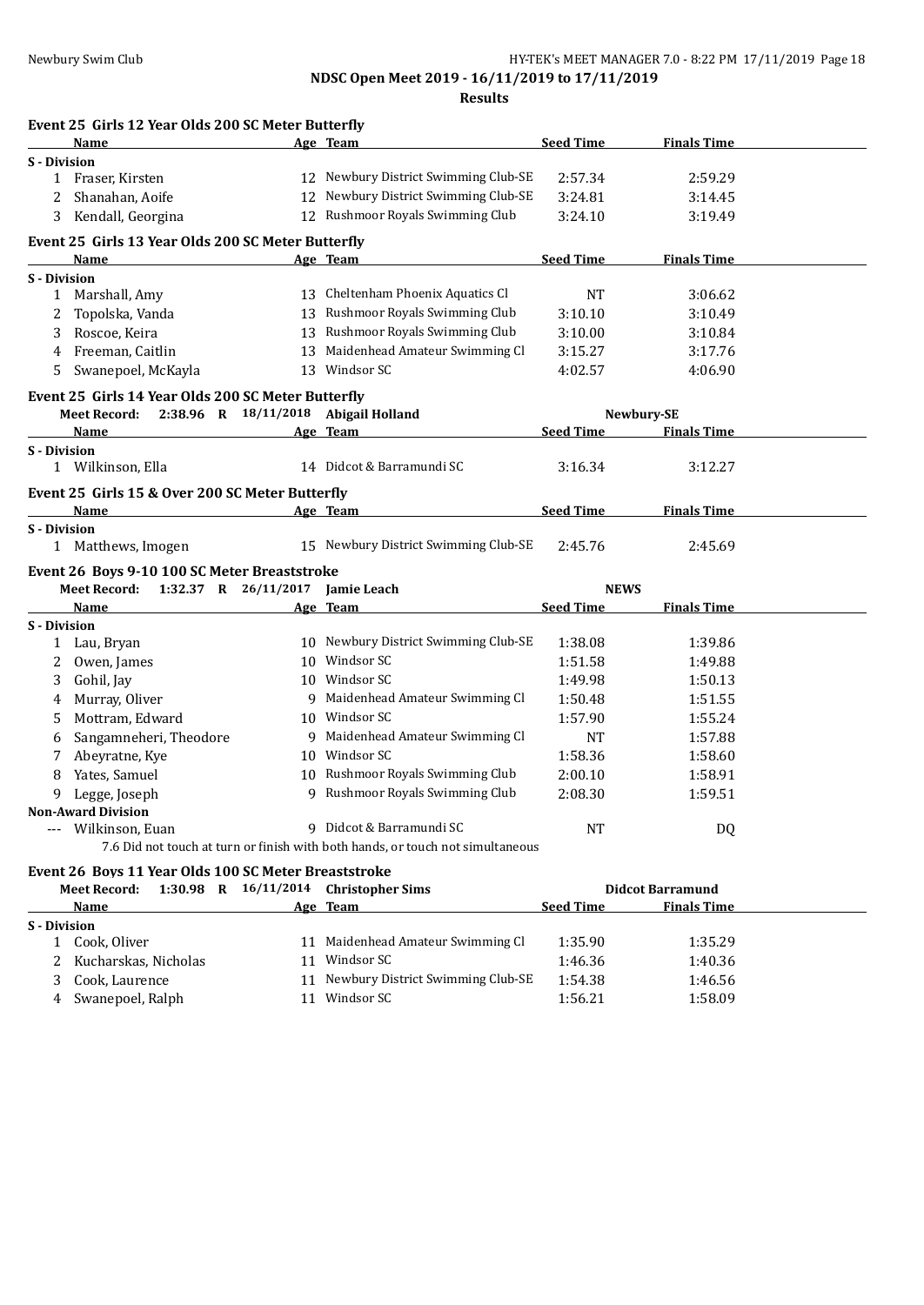**NDSC Open Meet 2019 - 16/11/2019 to 17/11/2019**

**Results**

| <b>Finals Time</b>              |
|---------------------------------|
|                                 |
| 2:59.29                         |
| 3:14.45                         |
| 3:19.49                         |
|                                 |
| <b>Finals Time</b>              |
|                                 |
| 3:06.62                         |
| 3:10.49                         |
| 3:10.84                         |
| 3:17.76                         |
| 4:06.90                         |
|                                 |
| Newbury-SE                      |
| Seed Time<br><b>Finals Time</b> |
|                                 |
| 3:12.27                         |
|                                 |
| <b>Finals Time</b>              |
| 2:45.69                         |
| 2:45.76                         |
|                                 |

|                     | 1:32.37<br><b>Meet Record:</b><br>R | 26/11/2017 | <b>Iamie Leach</b>                | <b>NEWS</b>      |                    |
|---------------------|-------------------------------------|------------|-----------------------------------|------------------|--------------------|
|                     | <b>Name</b>                         |            | Age Team                          | <b>Seed Time</b> | <b>Finals Time</b> |
| <b>S</b> - Division |                                     |            |                                   |                  |                    |
|                     | Lau, Bryan                          | 10         | Newbury District Swimming Club-SE | 1:38.08          | 1:39.86            |
|                     | Owen, James                         | 10         | Windsor SC                        | 1:51.58          | 1:49.88            |
| 3                   | Gohil, Jay                          | 10         | Windsor SC                        | 1:49.98          | 1:50.13            |
| 4                   | Murray, Oliver                      | 9          | Maidenhead Amateur Swimming Cl    | 1:50.48          | 1:51.55            |
| 5                   | Mottram. Edward                     | 10         | Windsor SC                        | 1:57.90          | 1:55.24            |
| 6                   | Sangamneheri, Theodore              | 9          | Maidenhead Amateur Swimming Cl    | <b>NT</b>        | 1:57.88            |
|                     | Abeyratne, Kye                      | 10         | Windsor SC                        | 1:58.36          | 1:58.60            |
| 8                   | Yates, Samuel                       | 10         | Rushmoor Royals Swimming Club     | 2:00.10          | 1:58.91            |
| 9                   | Legge, Joseph                       | 9          | Rushmoor Royals Swimming Club     | 2:08.30          | 1:59.51            |
|                     | <b>Non-Award Division</b>           |            |                                   |                  |                    |
| $\qquad \qquad - -$ | Wilkinson, Euan                     | q          | Didcot & Barramundi SC            | NT               | DQ                 |

7.6 Did not touch at turn or finish with both hands, or touch not simultaneous

# **Event 26 Boys 11 Year Olds 100 SC Meter Breaststroke**

| <b>Meet Record:</b> |                     |                                                                            |             |            |                                            |                                                                  |                         |
|---------------------|---------------------|----------------------------------------------------------------------------|-------------|------------|--------------------------------------------|------------------------------------------------------------------|-------------------------|
| Name                |                     |                                                                            |             |            | <b>Seed Time</b>                           | <b>Finals Time</b>                                               |                         |
|                     |                     |                                                                            |             |            |                                            |                                                                  |                         |
|                     |                     |                                                                            |             |            | 1:35.90                                    | 1:35.29                                                          |                         |
|                     |                     |                                                                            |             | Windsor SC | 1:46.36                                    | 1:40.36                                                          |                         |
|                     |                     |                                                                            | 11          |            | 1:54.38                                    | 1:46.56                                                          |                         |
|                     |                     |                                                                            |             | Windsor SC | 1:56.21                                    | 1:58.09                                                          |                         |
|                     | <b>S</b> - Division | Cook. Oliver<br>Kucharskas, Nicholas<br>Cook, Laurence<br>Swanepoel, Ralph | $1:30.98$ R |            | Age Team<br>Maidenhead Amateur Swimming Cl | 16/11/2014 Christopher Sims<br>Newbury District Swimming Club-SE | <b>Didcot Barramund</b> |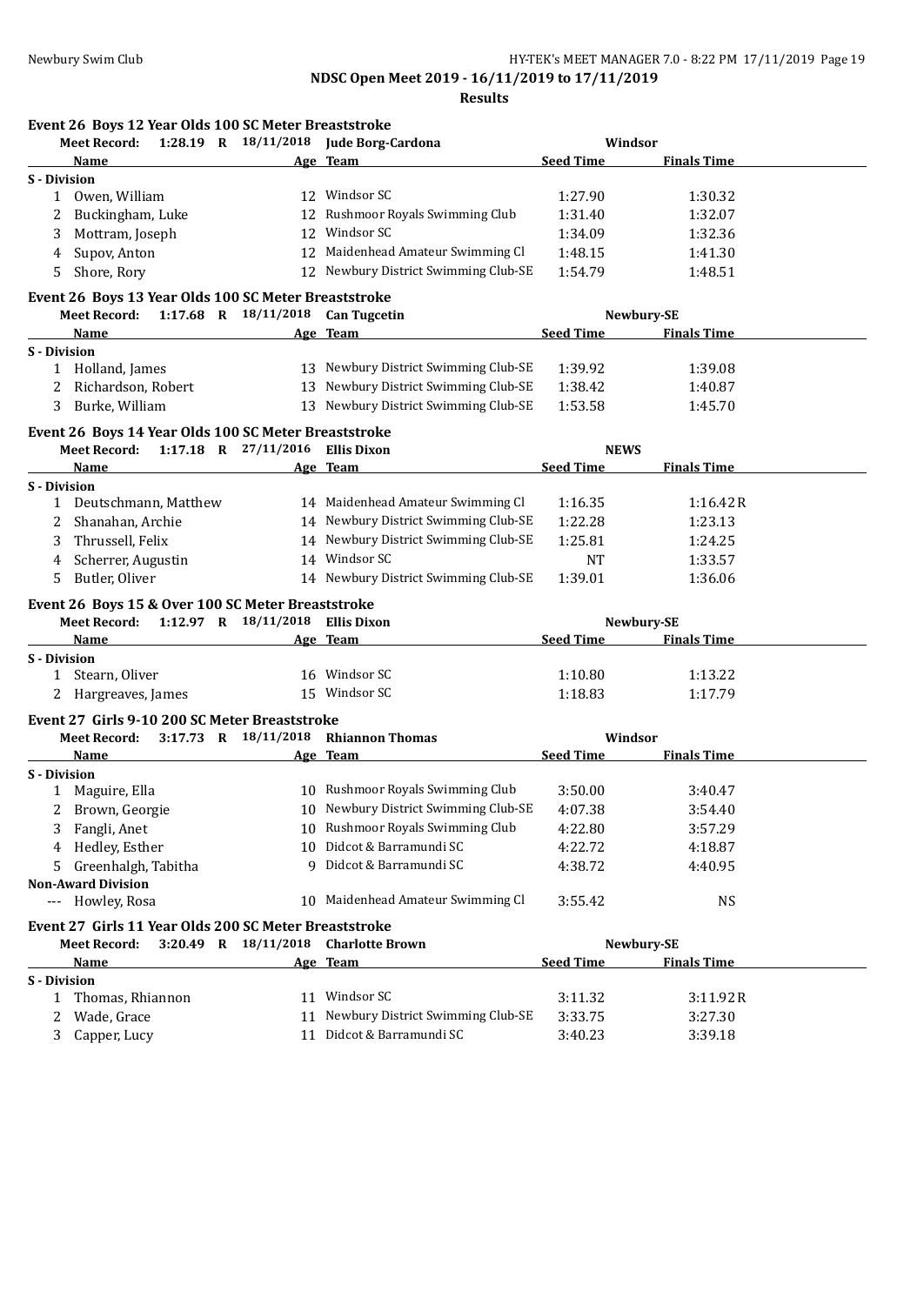**Results**

| Event 26 Boys 12 Year Olds 100 SC Meter Breaststroke  |                          |                                              |                  |                               |  |
|-------------------------------------------------------|--------------------------|----------------------------------------------|------------------|-------------------------------|--|
| Meet Record:                                          |                          | 1:28.19 R 18/11/2018 Jude Borg-Cardona       |                  | Windsor                       |  |
| Name                                                  |                          | Age Team                                     | <b>Seed Time</b> | <b>Finals Time</b>            |  |
| S - Division                                          |                          |                                              |                  |                               |  |
| Owen, William<br>1                                    |                          | 12 Windsor SC                                | 1:27.90          | 1:30.32                       |  |
| Buckingham, Luke<br>2                                 |                          | 12 Rushmoor Royals Swimming Club             | 1:31.40          | 1:32.07                       |  |
| Mottram, Joseph<br>3                                  | 12                       | Windsor SC                                   | 1:34.09          | 1:32.36                       |  |
| Supov, Anton<br>4                                     | 12                       | Maidenhead Amateur Swimming Cl               | 1:48.15          | 1:41.30                       |  |
| Shore, Rory<br>5                                      |                          | 12 Newbury District Swimming Club-SE         | 1:54.79          | 1:48.51                       |  |
| Event 26 Boys 13 Year Olds 100 SC Meter Breaststroke  |                          |                                              |                  |                               |  |
| Meet Record: 1:17.68 R 18/11/2018 Can Tugcetin        |                          |                                              |                  | Newbury-SE                    |  |
| Name                                                  |                          | Age Team                                     | <b>Seed Time</b> | <b>Finals Time</b>            |  |
| <b>S</b> - Division                                   |                          |                                              |                  |                               |  |
| 1 Holland, James                                      |                          | 13 Newbury District Swimming Club-SE         | 1:39.92          | 1:39.08                       |  |
| 2 Richardson, Robert                                  |                          | 13 Newbury District Swimming Club-SE         | 1:38.42          | 1:40.87                       |  |
| Burke, William<br>3                                   |                          | 13 Newbury District Swimming Club-SE         | 1:53.58          | 1:45.70                       |  |
| Event 26 Boys 14 Year Olds 100 SC Meter Breaststroke  |                          |                                              |                  |                               |  |
| Meet Record: 1:17.18 R 27/11/2016                     |                          | <b>Ellis Dixon</b>                           | <b>NEWS</b>      |                               |  |
| Name                                                  |                          | Age Team                                     | <b>Seed Time</b> | <b>Finals Time</b>            |  |
| <b>S</b> - Division                                   |                          |                                              |                  |                               |  |
| 1 Deutschmann, Matthew                                |                          | 14 Maidenhead Amateur Swimming Cl            | 1:16.35          | 1:16.42R                      |  |
| Shanahan, Archie<br>$2^{\circ}$                       |                          | 14 Newbury District Swimming Club-SE         | 1:22.28          | 1:23.13                       |  |
| Thrussell, Felix<br>3                                 |                          | 14 Newbury District Swimming Club-SE         | 1:25.81          | 1:24.25                       |  |
| Scherrer, Augustin<br>4                               |                          | 14 Windsor SC                                | <b>NT</b>        | 1:33.57                       |  |
| Butler, Oliver<br>5                                   |                          | 14 Newbury District Swimming Club-SE         | 1:39.01          | 1:36.06                       |  |
| Event 26 Boys 15 & Over 100 SC Meter Breaststroke     |                          |                                              |                  |                               |  |
| Meet Record: 1:12.97 R 18/11/2018 Ellis Dixon         |                          |                                              |                  | Newbury-SE                    |  |
| Name                                                  |                          | Age Team                                     | <b>Seed Time</b> | <b>Finals Time</b>            |  |
| S - Division                                          |                          |                                              |                  |                               |  |
| 1 Stearn, Oliver                                      |                          | 16 Windsor SC                                | 1:10.80          | 1:13.22                       |  |
| 2 Hargreaves, James                                   |                          | 15 Windsor SC                                | 1:18.83          | 1:17.79                       |  |
|                                                       |                          |                                              |                  |                               |  |
| Event 27 Girls 9-10 200 SC Meter Breaststroke         | $3:17.73$ R $18/11/2018$ |                                              |                  |                               |  |
| <b>Meet Record:</b>                                   |                          | <b>Rhiannon Thomas</b><br>Age Team           |                  | Windsor<br><b>Finals Time</b> |  |
| Name<br>S - Division                                  |                          |                                              | <b>Seed Time</b> |                               |  |
| 1 Maguire, Ella                                       |                          | 10 Rushmoor Royals Swimming Club             | 3:50.00          | 3:40.47                       |  |
| 2 Brown, Georgie                                      |                          | 10 Newbury District Swimming Club-SE 4:07.38 |                  | 3:54.40                       |  |
|                                                       |                          | 10 Rushmoor Royals Swimming Club             |                  |                               |  |
| Fangli, Anet<br>3                                     |                          |                                              | 4:22.80          | 3:57.29                       |  |
| Hedley, Esther<br>4                                   | 10                       | Didcot & Barramundi SC                       | 4:22.72          | 4:18.87                       |  |
| Greenhalgh, Tabitha<br>5.                             | q                        | Didcot & Barramundi SC                       | 4:38.72          | 4:40.95                       |  |
| <b>Non-Award Division</b>                             |                          | 10 Maidenhead Amateur Swimming Cl            |                  |                               |  |
| Howley, Rosa<br>$---$                                 |                          |                                              | 3:55.42          | <b>NS</b>                     |  |
| Event 27 Girls 11 Year Olds 200 SC Meter Breaststroke |                          |                                              |                  |                               |  |
| <b>Meet Record:</b>                                   | 3:20.49 R 18/11/2018     | <b>Charlotte Brown</b>                       |                  | Newbury-SE                    |  |
| Name                                                  |                          | Age Team                                     | <b>Seed Time</b> | <b>Finals Time</b>            |  |
| <b>S</b> - Division                                   |                          |                                              |                  |                               |  |
| Thomas, Rhiannon<br>1                                 |                          | 11 Windsor SC                                | 3:11.32          | 3:11.92R                      |  |
| Wade, Grace<br>2                                      | 11                       | Newbury District Swimming Club-SE            | 3:33.75          | 3:27.30                       |  |
| Capper, Lucy<br>3                                     |                          | 11 Didcot & Barramundi SC                    | 3:40.23          | 3:39.18                       |  |
|                                                       |                          |                                              |                  |                               |  |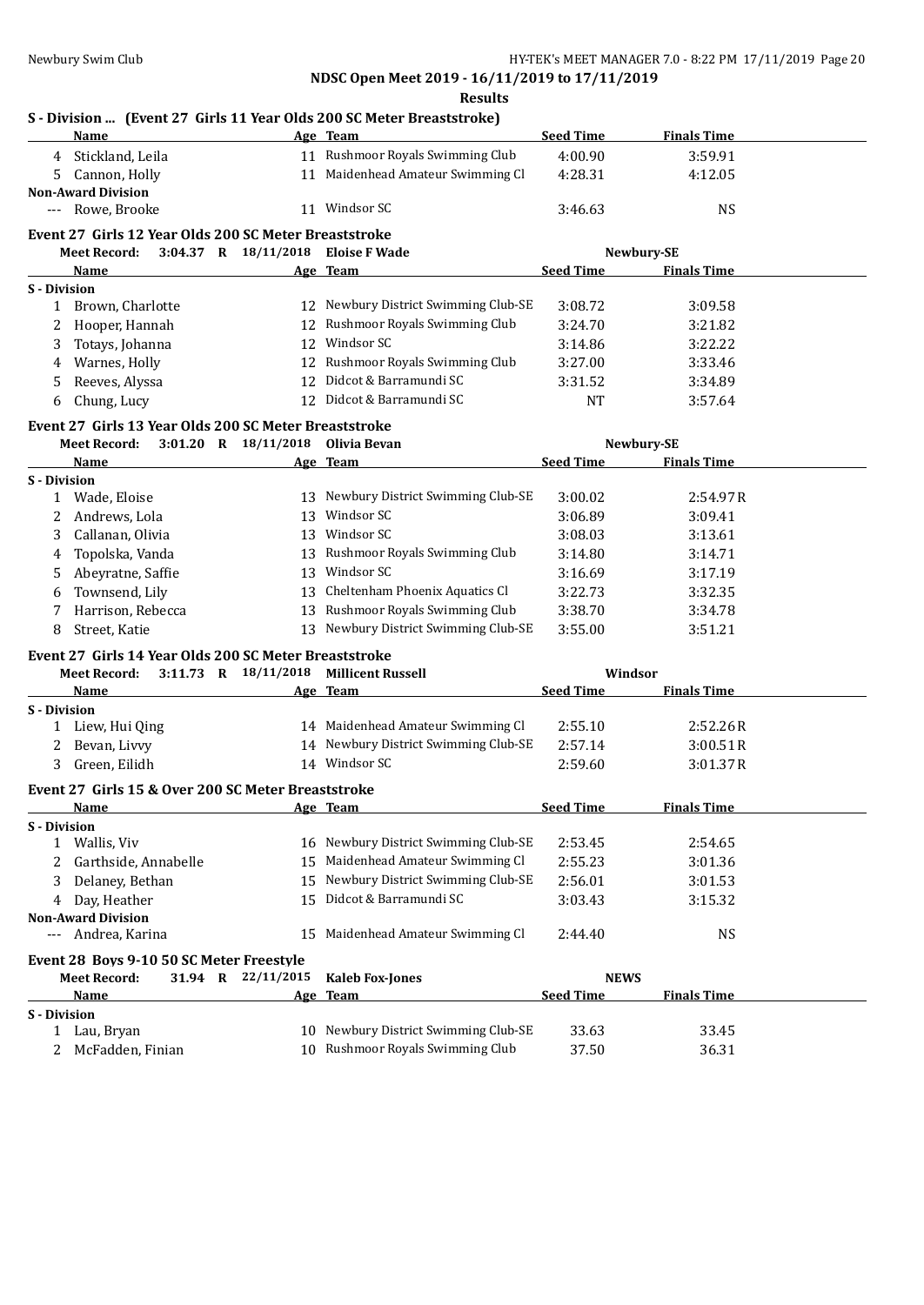**Results**

| S - Division  (Event 27 Girls 11 Year Olds 200 SC Meter Breaststroke) |  |  |  |
|-----------------------------------------------------------------------|--|--|--|
|                                                                       |  |  |  |

|                     | Name                                                  |                          | Age Team                                    | <b>Seed Time</b> | <b>Finals Time</b> |  |
|---------------------|-------------------------------------------------------|--------------------------|---------------------------------------------|------------------|--------------------|--|
|                     | 4 Stickland, Leila                                    |                          | 11 Rushmoor Royals Swimming Club            | 4:00.90          | 3:59.91            |  |
| 5.                  | Cannon, Holly                                         |                          | 11 Maidenhead Amateur Swimming Cl           | 4:28.31          | 4:12.05            |  |
|                     | <b>Non-Award Division</b>                             |                          |                                             |                  |                    |  |
| ---                 | Rowe, Brooke                                          |                          | 11 Windsor SC                               | 3:46.63          | <b>NS</b>          |  |
|                     |                                                       |                          |                                             |                  |                    |  |
|                     | Event 27 Girls 12 Year Olds 200 SC Meter Breaststroke |                          |                                             |                  |                    |  |
|                     | <b>Meet Record:</b>                                   | 3:04.37 R 18/11/2018     | <b>Eloise F Wade</b>                        |                  | Newbury-SE         |  |
|                     | Name                                                  |                          | Age Team                                    | <b>Seed Time</b> | <b>Finals Time</b> |  |
| <b>S</b> - Division |                                                       |                          | 12 Newbury District Swimming Club-SE        |                  |                    |  |
| $\mathbf{1}$        | Brown, Charlotte                                      |                          |                                             | 3:08.72          | 3:09.58            |  |
| 2                   | Hooper, Hannah                                        | 12                       | Rushmoor Royals Swimming Club<br>Windsor SC | 3:24.70          | 3:21.82            |  |
| 3                   | Totays, Johanna                                       | 12                       |                                             | 3:14.86          | 3:22.22            |  |
| 4                   | Warnes, Holly                                         |                          | 12 Rushmoor Royals Swimming Club            | 3:27.00          | 3:33.46            |  |
| 5                   | Reeves, Alyssa                                        | 12                       | Didcot & Barramundi SC                      | 3:31.52          | 3:34.89            |  |
| 6                   | Chung, Lucy                                           |                          | 12 Didcot & Barramundi SC                   | <b>NT</b>        | 3:57.64            |  |
|                     | Event 27 Girls 13 Year Olds 200 SC Meter Breaststroke |                          |                                             |                  |                    |  |
|                     | <b>Meet Record:</b>                                   | $3:01.20$ R $18/11/2018$ | Olivia Bevan                                |                  | Newbury-SE         |  |
|                     | Name                                                  |                          | Age Team                                    | <b>Seed Time</b> | <b>Finals Time</b> |  |
| <b>S</b> - Division |                                                       |                          |                                             |                  |                    |  |
|                     | 1 Wade, Eloise                                        |                          | 13 Newbury District Swimming Club-SE        | 3:00.02          | 2:54.97R           |  |
| 2                   | Andrews, Lola                                         |                          | 13 Windsor SC                               | 3:06.89          | 3:09.41            |  |
| 3                   | Callanan, Olivia                                      |                          | 13 Windsor SC                               | 3:08.03          | 3:13.61            |  |
| 4                   | Topolska, Vanda                                       |                          | 13 Rushmoor Royals Swimming Club            | 3:14.80          | 3:14.71            |  |
| 5                   | Abeyratne, Saffie                                     |                          | 13 Windsor SC                               | 3:16.69          | 3:17.19            |  |
| 6                   | Townsend, Lily                                        | 13                       | Cheltenham Phoenix Aquatics Cl              | 3:22.73          | 3:32.35            |  |
| 7                   | Harrison, Rebecca                                     |                          | 13 Rushmoor Royals Swimming Club            | 3:38.70          | 3:34.78            |  |
| 8                   | Street, Katie                                         |                          | 13 Newbury District Swimming Club-SE        | 3:55.00          | 3:51.21            |  |
|                     |                                                       |                          |                                             |                  |                    |  |
|                     | Event 27 Girls 14 Year Olds 200 SC Meter Breaststroke |                          |                                             |                  |                    |  |
|                     | <b>Meet Record:</b>                                   | 3:11.73 R 18/11/2018     | <b>Millicent Russell</b>                    |                  | Windsor            |  |
|                     | Name                                                  |                          | Age Team                                    | <b>Seed Time</b> | <b>Finals Time</b> |  |
| <b>S</b> - Division |                                                       |                          | 14 Maidenhead Amateur Swimming Cl           |                  |                    |  |
|                     | 1 Liew, Hui Qing                                      |                          | 14 Newbury District Swimming Club-SE        | 2:55.10          | 2:52.26R           |  |
|                     | Bevan, Livvy                                          |                          |                                             | 2:57.14          | 3:00.51R           |  |
| 3                   | Green, Eilidh                                         |                          | 14 Windsor SC                               | 2:59.60          | 3:01.37R           |  |
|                     | Event 27 Girls 15 & Over 200 SC Meter Breaststroke    |                          |                                             |                  |                    |  |
|                     | Name                                                  |                          | Age Team                                    | <b>Seed Time</b> | <b>Finals Time</b> |  |
| <b>S</b> - Division |                                                       |                          |                                             |                  |                    |  |
|                     | 1 Wallis, Viv                                         |                          | 16 Newbury District Swimming Club-SE        | 2:53.45          | 2:54.65            |  |
| 2                   | Garthside, Annabelle                                  | 15                       | Maidenhead Amateur Swimming Cl              | 2:55.23          | 3:01.36            |  |
| 3                   | Delaney, Bethan                                       | 15                       | Newbury District Swimming Club-SE           | 2:56.01          | 3:01.53            |  |
| 4                   | Day, Heather                                          | 15                       | Didcot & Barramundi SC                      | 3:03.43          | 3:15.32            |  |
|                     | <b>Non-Award Division</b>                             |                          |                                             |                  |                    |  |
| ---                 | Andrea, Karina                                        | 15                       | Maidenhead Amateur Swimming Cl              | 2:44.40          | <b>NS</b>          |  |
|                     | Event 28 Boys 9-10 50 SC Meter Freestyle              |                          |                                             |                  |                    |  |
|                     | <b>Meet Record:</b>                                   | 31.94 R 22/11/2015       | <b>Kaleb Fox-Jones</b>                      | <b>NEWS</b>      |                    |  |
|                     | Name                                                  | Age                      | <b>Team</b>                                 | <b>Seed Time</b> | <b>Finals Time</b> |  |
| S - Division        |                                                       |                          |                                             |                  |                    |  |
|                     | 1 Lau, Bryan                                          | 10                       | Newbury District Swimming Club-SE           | 33.63            | 33.45              |  |
| $\mathbf{2}$        | McFadden, Finian                                      | 10                       | Rushmoor Royals Swimming Club               | 37.50            | 36.31              |  |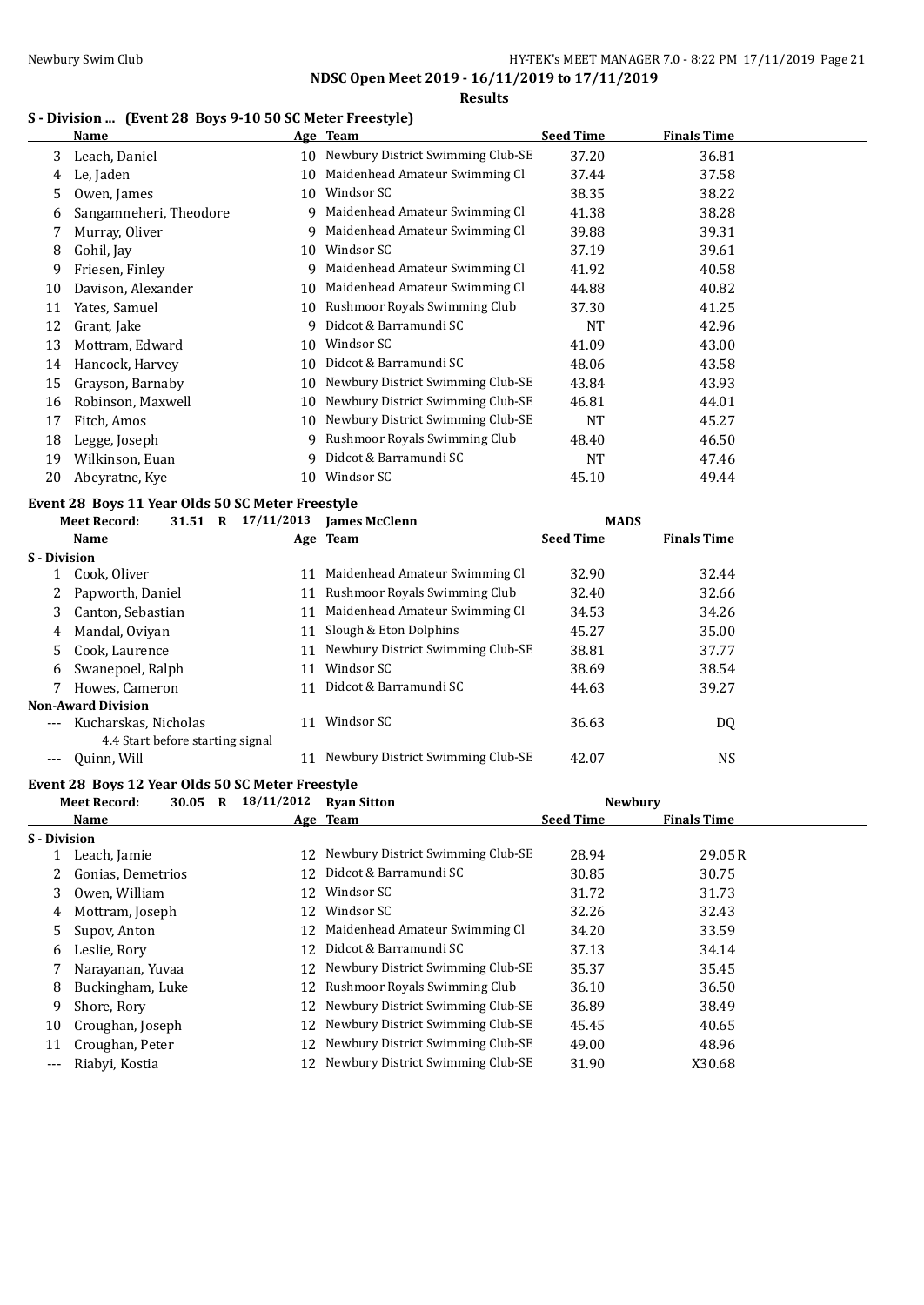**NDSC Open Meet 2019 - 16/11/2019 to 17/11/2019 Results**

## **S - Division ... (Event 28 Boys 9-10 50 SC Meter Freestyle)**

|    | Name                   |    | Age Team                          | <b>Seed Time</b> | <b>Finals Time</b> |  |
|----|------------------------|----|-----------------------------------|------------------|--------------------|--|
| 3  | Leach, Daniel          | 10 | Newbury District Swimming Club-SE | 37.20            | 36.81              |  |
| 4  | Le, Jaden              | 10 | Maidenhead Amateur Swimming Cl    | 37.44            | 37.58              |  |
| 5. | Owen, James            | 10 | Windsor SC                        | 38.35            | 38.22              |  |
| 6  | Sangamneheri, Theodore | 9  | Maidenhead Amateur Swimming Cl    | 41.38            | 38.28              |  |
|    | Murray, Oliver         | 9  | Maidenhead Amateur Swimming Cl    | 39.88            | 39.31              |  |
| 8  | Gohil, Jay             | 10 | Windsor SC                        | 37.19            | 39.61              |  |
| 9  | Friesen, Finley        | 9  | Maidenhead Amateur Swimming Cl    | 41.92            | 40.58              |  |
| 10 | Davison, Alexander     | 10 | Maidenhead Amateur Swimming Cl    | 44.88            | 40.82              |  |
| 11 | Yates, Samuel          | 10 | Rushmoor Royals Swimming Club     | 37.30            | 41.25              |  |
| 12 | Grant, Jake            | 9  | Didcot & Barramundi SC            | <b>NT</b>        | 42.96              |  |
| 13 | Mottram, Edward        | 10 | Windsor SC                        | 41.09            | 43.00              |  |
| 14 | Hancock, Harvey        | 10 | Didcot & Barramundi SC            | 48.06            | 43.58              |  |
| 15 | Grayson, Barnaby       | 10 | Newbury District Swimming Club-SE | 43.84            | 43.93              |  |
| 16 | Robinson, Maxwell      | 10 | Newbury District Swimming Club-SE | 46.81            | 44.01              |  |
| 17 | Fitch, Amos            | 10 | Newbury District Swimming Club-SE | NT               | 45.27              |  |
| 18 | Legge, Joseph          | 9  | Rushmoor Royals Swimming Club     | 48.40            | 46.50              |  |
| 19 | Wilkinson, Euan        | 9  | Didcot & Barramundi SC            | <b>NT</b>        | 47.46              |  |
| 20 | Abeyratne, Kye         | 10 | Windsor SC                        | 45.10            | 49.44              |  |

### **Event 28 Boys 11 Year Olds 50 SC Meter Freestyle**

|                   | <b>Meet Record:</b>                                      | 31.51 R | 17/11/2013 | <b>James McClenn</b>              | <b>MADS</b>      |                    |  |
|-------------------|----------------------------------------------------------|---------|------------|-----------------------------------|------------------|--------------------|--|
|                   | Name                                                     |         |            | Age Team                          | <b>Seed Time</b> | <b>Finals Time</b> |  |
| S - Division      |                                                          |         |            |                                   |                  |                    |  |
|                   | Cook, Oliver                                             |         | 11         | Maidenhead Amateur Swimming Cl    | 32.90            | 32.44              |  |
|                   | Papworth, Daniel                                         |         | 11         | Rushmoor Royals Swimming Club     | 32.40            | 32.66              |  |
| 3.                | Canton, Sebastian                                        |         | 11         | Maidenhead Amateur Swimming Cl    | 34.53            | 34.26              |  |
| 4                 | Mandal, Oviyan                                           |         | 11         | Slough & Eton Dolphins            | 45.27            | 35.00              |  |
| 5.                | Cook, Laurence                                           |         | 11         | Newbury District Swimming Club-SE | 38.81            | 37.77              |  |
| 6                 | Swanepoel, Ralph                                         |         | 11         | Windsor SC                        | 38.69            | 38.54              |  |
|                   | Howes, Cameron                                           |         | 11         | Didcot & Barramundi SC            | 44.63            | 39.27              |  |
|                   | <b>Non-Award Division</b>                                |         |            |                                   |                  |                    |  |
| $---$             | Kucharskas, Nicholas<br>4.4 Start before starting signal |         | 11         | Windsor SC                        | 36.63            | DQ                 |  |
| $\qquad \qquad -$ | Quinn, Will                                              |         |            | Newbury District Swimming Club-SE | 42.07            | <b>NS</b>          |  |

### **Event 28 Boys 12 Year Olds 50 SC Meter Freestyle**

| <b>Meet Record:</b> | R | 18/11/2012                                                                             | <b>Ryan Sitton</b>                |                            |                    |                |
|---------------------|---|----------------------------------------------------------------------------------------|-----------------------------------|----------------------------|--------------------|----------------|
| Name                |   |                                                                                        |                                   | <b>Seed Time</b>           | <b>Finals Time</b> |                |
| <b>S</b> - Division |   |                                                                                        |                                   |                            |                    |                |
| Leach, Jamie        |   | 12                                                                                     | Newbury District Swimming Club-SE | 28.94                      | 29.05R             |                |
|                     |   | 12                                                                                     | Didcot & Barramundi SC            | 30.85                      | 30.75              |                |
| Owen, William       |   | 12                                                                                     | Windsor SC                        | 31.72                      | 31.73              |                |
| Mottram, Joseph     |   | 12                                                                                     | Windsor SC                        | 32.26                      | 32.43              |                |
| Supov, Anton        |   | 12                                                                                     | Maidenhead Amateur Swimming Cl    | 34.20                      | 33.59              |                |
| Leslie, Rory        |   | 12                                                                                     | Didcot & Barramundi SC            | 37.13                      | 34.14              |                |
|                     |   |                                                                                        | Newbury District Swimming Club-SE | 35.37                      | 35.45              |                |
|                     |   | 12                                                                                     | Rushmoor Royals Swimming Club     | 36.10                      | 36.50              |                |
| Shore, Rory         |   | 12                                                                                     | Newbury District Swimming Club-SE | 36.89                      | 38.49              |                |
|                     |   |                                                                                        | Newbury District Swimming Club-SE | 45.45                      | 40.65              |                |
| Croughan, Peter     |   |                                                                                        | Newbury District Swimming Club-SE | 49.00                      | 48.96              |                |
| Riabyi, Kostia      |   |                                                                                        | Newbury District Swimming Club-SE | 31.90                      | X30.68             |                |
|                     |   | 30.05<br>Gonias, Demetrios<br>Narayanan, Yuvaa<br>Buckingham, Luke<br>Croughan, Joseph |                                   | Age Team<br>12<br>12<br>12 |                    | <b>Newbury</b> |